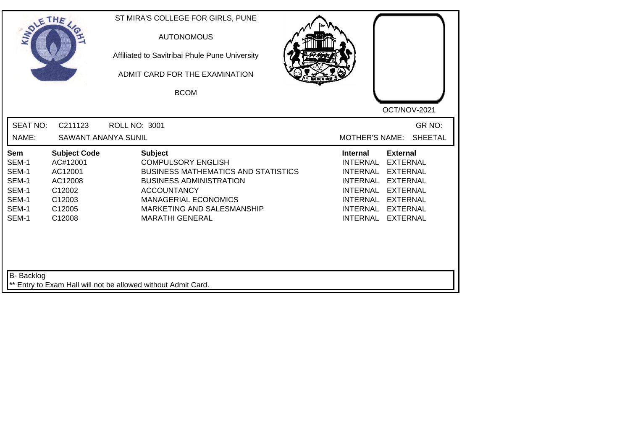| SOLETHE .                                                                 |                                                                                               | ST MIRA'S COLLEGE FOR GIRLS, PUNE<br><b>AUTONOMOUS</b><br>Affiliated to Savitribai Phule Pune University<br>ADMIT CARD FOR THE EXAMINATION<br><b>BCOM</b>                                                                                | OCT/NOV-2021                                                                                                                                                                                                                                                               |
|---------------------------------------------------------------------------|-----------------------------------------------------------------------------------------------|------------------------------------------------------------------------------------------------------------------------------------------------------------------------------------------------------------------------------------------|----------------------------------------------------------------------------------------------------------------------------------------------------------------------------------------------------------------------------------------------------------------------------|
| <b>SEAT NO:</b><br>NAME:                                                  | C211123<br><b>SAWANT ANANYA SUNIL</b>                                                         | <b>ROLL NO: 3001</b>                                                                                                                                                                                                                     | GR NO:<br><b>MOTHER'S NAME:</b><br><b>SHEETAL</b>                                                                                                                                                                                                                          |
| <b>Sem</b><br>SEM-1<br>SEM-1<br>SEM-1<br>SEM-1<br>SEM-1<br>SEM-1<br>SEM-1 | <b>Subject Code</b><br>AC#12001<br>AC12001<br>AC12008<br>C12002<br>C12003<br>C12005<br>C12008 | <b>Subject</b><br><b>COMPULSORY ENGLISH</b><br><b>BUSINESS MATHEMATICS AND STATISTICS</b><br><b>BUSINESS ADMINISTRATION</b><br><b>ACCOUNTANCY</b><br><b>MANAGERIAL ECONOMICS</b><br>MARKETING AND SALESMANSHIP<br><b>MARATHI GENERAL</b> | <b>Internal</b><br><b>External</b><br><b>INTERNAL</b><br><b>EXTERNAL</b><br><b>EXTERNAL</b><br><b>INTERNAL</b><br><b>EXTERNAL</b><br><b>INTERNAL</b><br><b>EXTERNAL</b><br><b>INTERNAL</b><br>INTERNAL EXTERNAL<br><b>INTERNAL</b><br><b>EXTERNAL</b><br>INTERNAL EXTERNAL |
| <b>B-</b> Backlog                                                         |                                                                                               | Entry to Exam Hall will not be allowed without Admit Card.                                                                                                                                                                               |                                                                                                                                                                                                                                                                            |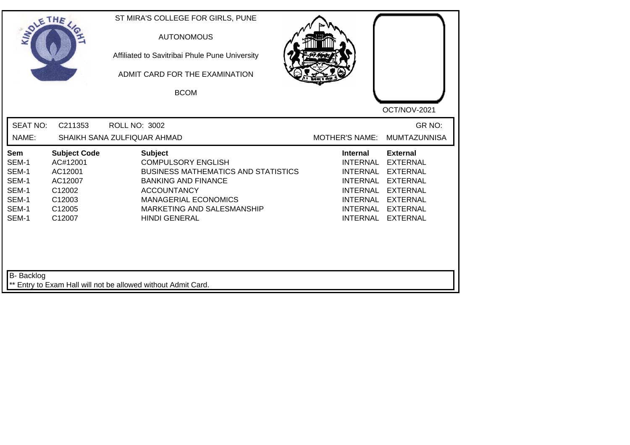| SOLETHE                                                            |                                                                                               | ST MIRA'S COLLEGE FOR GIRLS, PUNE<br><b>AUTONOMOUS</b><br>Affiliated to Savitribai Phule Pune University<br>ADMIT CARD FOR THE EXAMINATION<br><b>BCOM</b>                                                                          |                                                                                                                                               | OCT/NOV-2021                                                                                                                                         |
|--------------------------------------------------------------------|-----------------------------------------------------------------------------------------------|------------------------------------------------------------------------------------------------------------------------------------------------------------------------------------------------------------------------------------|-----------------------------------------------------------------------------------------------------------------------------------------------|------------------------------------------------------------------------------------------------------------------------------------------------------|
| <b>SEAT NO:</b><br>NAME:                                           | C211353                                                                                       | <b>ROLL NO: 3002</b><br>SHAIKH SANA ZULFIQUAR AHMAD                                                                                                                                                                                | <b>MOTHER'S NAME:</b>                                                                                                                         | GR NO:<br><b>MUMTAZUNNISA</b>                                                                                                                        |
| Sem<br>SEM-1<br>SEM-1<br>SEM-1<br>SEM-1<br>SEM-1<br>SEM-1<br>SEM-1 | <b>Subject Code</b><br>AC#12001<br>AC12001<br>AC12007<br>C12002<br>C12003<br>C12005<br>C12007 | <b>Subject</b><br><b>COMPULSORY ENGLISH</b><br><b>BUSINESS MATHEMATICS AND STATISTICS</b><br><b>BANKING AND FINANCE</b><br><b>ACCOUNTANCY</b><br><b>MANAGERIAL ECONOMICS</b><br>MARKETING AND SALESMANSHIP<br><b>HINDI GENERAL</b> | <b>Internal</b><br><b>INTERNAL</b><br><b>INTERNAL</b><br><b>INTERNAL</b><br><b>INTERNAL</b><br><b>INTERNAL</b><br><b>INTERNAL</b><br>INTERNAL | <b>External</b><br><b>EXTERNAL</b><br><b>EXTERNAL</b><br><b>EXTERNAL</b><br><b>EXTERNAL</b><br><b>EXTERNAL</b><br><b>EXTERNAL</b><br><b>EXTERNAL</b> |
| <b>B-</b> Backlog                                                  |                                                                                               | Entry to Exam Hall will not be allowed without Admit Card.                                                                                                                                                                         |                                                                                                                                               |                                                                                                                                                      |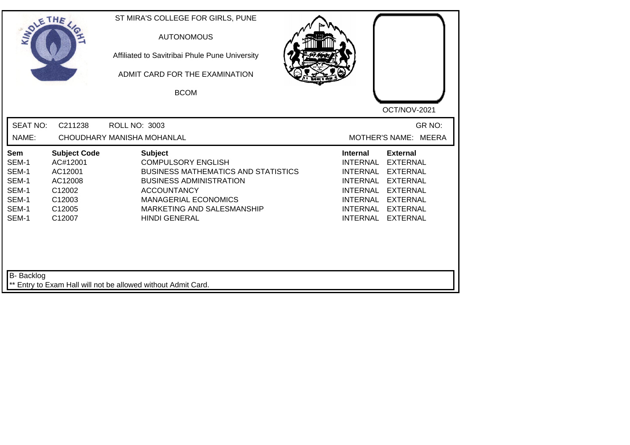| SOLE THE                                                           |                                                                                               | ST MIRA'S COLLEGE FOR GIRLS, PUNE<br><b>AUTONOMOUS</b><br>Affiliated to Savitribai Phule Pune University<br>ADMIT CARD FOR THE EXAMINATION<br><b>BCOM</b>                                                                              | OCT/NOV-2021                                                                                                                                                                                                                                                                                          |
|--------------------------------------------------------------------|-----------------------------------------------------------------------------------------------|----------------------------------------------------------------------------------------------------------------------------------------------------------------------------------------------------------------------------------------|-------------------------------------------------------------------------------------------------------------------------------------------------------------------------------------------------------------------------------------------------------------------------------------------------------|
| <b>SEAT NO:</b><br>NAME:                                           | C211238                                                                                       | <b>ROLL NO: 3003</b><br>CHOUDHARY MANISHA MOHANLAL                                                                                                                                                                                     | GR NO:<br>MOTHER'S NAME: MEERA                                                                                                                                                                                                                                                                        |
| Sem<br>SEM-1<br>SEM-1<br>SEM-1<br>SEM-1<br>SEM-1<br>SEM-1<br>SEM-1 | <b>Subject Code</b><br>AC#12001<br>AC12001<br>AC12008<br>C12002<br>C12003<br>C12005<br>C12007 | <b>Subject</b><br><b>COMPULSORY ENGLISH</b><br><b>BUSINESS MATHEMATICS AND STATISTICS</b><br><b>BUSINESS ADMINISTRATION</b><br><b>ACCOUNTANCY</b><br><b>MANAGERIAL ECONOMICS</b><br>MARKETING AND SALESMANSHIP<br><b>HINDI GENERAL</b> | <b>Internal</b><br><b>External</b><br><b>INTERNAL</b><br><b>EXTERNAL</b><br><b>INTERNAL</b><br><b>EXTERNAL</b><br><b>INTERNAL</b><br><b>EXTERNAL</b><br><b>INTERNAL</b><br><b>EXTERNAL</b><br>INTERNAL<br><b>EXTERNAL</b><br><b>INTERNAL</b><br><b>EXTERNAL</b><br><b>INTERNAL</b><br><b>EXTERNAL</b> |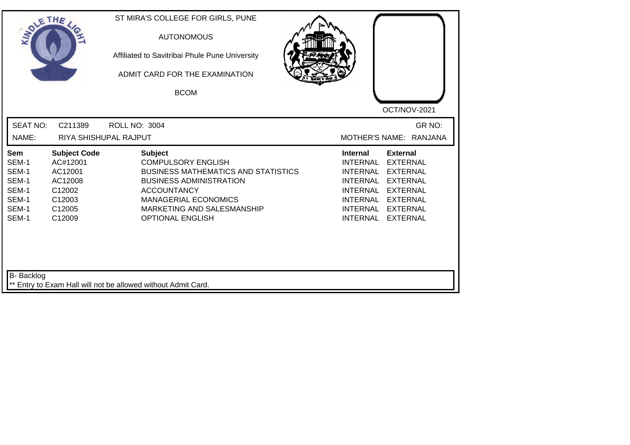| SOLETHE .                                                                 |                                                                                               | ST MIRA'S COLLEGE FOR GIRLS, PUNE<br><b>AUTONOMOUS</b><br>Affiliated to Savitribai Phule Pune University<br>ADMIT CARD FOR THE EXAMINATION<br><b>BCOM</b>                                                                                 | OCT/NOV-2021                                                                                                                                                                                                                                                                                                 |
|---------------------------------------------------------------------------|-----------------------------------------------------------------------------------------------|-------------------------------------------------------------------------------------------------------------------------------------------------------------------------------------------------------------------------------------------|--------------------------------------------------------------------------------------------------------------------------------------------------------------------------------------------------------------------------------------------------------------------------------------------------------------|
| <b>SEAT NO:</b><br>NAME:                                                  | C211389                                                                                       | <b>ROLL NO: 3004</b><br>RIYA SHISHUPAL RAJPUT                                                                                                                                                                                             | GR NO:<br>MOTHER'S NAME: RANJANA                                                                                                                                                                                                                                                                             |
| <b>Sem</b><br>SEM-1<br>SEM-1<br>SEM-1<br>SEM-1<br>SEM-1<br>SEM-1<br>SEM-1 | <b>Subject Code</b><br>AC#12001<br>AC12001<br>AC12008<br>C12002<br>C12003<br>C12005<br>C12009 | <b>Subject</b><br><b>COMPULSORY ENGLISH</b><br><b>BUSINESS MATHEMATICS AND STATISTICS</b><br><b>BUSINESS ADMINISTRATION</b><br><b>ACCOUNTANCY</b><br><b>MANAGERIAL ECONOMICS</b><br>MARKETING AND SALESMANSHIP<br><b>OPTIONAL ENGLISH</b> | <b>External</b><br><b>Internal</b><br><b>INTERNAL</b><br><b>EXTERNAL</b><br><b>INTERNAL</b><br><b>EXTERNAL</b><br><b>INTERNAL</b><br><b>EXTERNAL</b><br><b>INTERNAL</b><br><b>EXTERNAL</b><br><b>INTERNAL</b><br><b>EXTERNAL</b><br><b>INTERNAL</b><br><b>EXTERNAL</b><br><b>INTERNAL</b><br><b>EXTERNAL</b> |
| B- Backlog                                                                |                                                                                               | ** Entry to Exam Hall will not be allowed without Admit Card.                                                                                                                                                                             |                                                                                                                                                                                                                                                                                                              |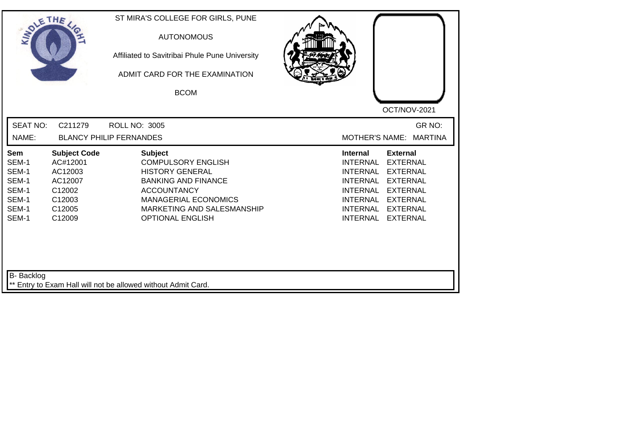| SOLETHE .                                                          |                                                                                               | ST MIRA'S COLLEGE FOR GIRLS, PUNE<br><b>AUTONOMOUS</b><br>Affiliated to Savitribai Phule Pune University<br>ADMIT CARD FOR THE EXAMINATION<br><b>BCOM</b>                                                         | OCT/NOV-2021                                                                                                                                                                                                                                                                                                 |
|--------------------------------------------------------------------|-----------------------------------------------------------------------------------------------|-------------------------------------------------------------------------------------------------------------------------------------------------------------------------------------------------------------------|--------------------------------------------------------------------------------------------------------------------------------------------------------------------------------------------------------------------------------------------------------------------------------------------------------------|
| <b>SEAT NO:</b><br>NAME:                                           | C211279                                                                                       | <b>ROLL NO: 3005</b><br><b>BLANCY PHILIP FERNANDES</b>                                                                                                                                                            | GR NO:<br><b>MOTHER'S NAME:</b><br><b>MARTINA</b>                                                                                                                                                                                                                                                            |
| Sem<br>SEM-1<br>SEM-1<br>SEM-1<br>SEM-1<br>SEM-1<br>SEM-1<br>SEM-1 | <b>Subject Code</b><br>AC#12001<br>AC12003<br>AC12007<br>C12002<br>C12003<br>C12005<br>C12009 | <b>Subject</b><br><b>COMPULSORY ENGLISH</b><br><b>HISTORY GENERAL</b><br><b>BANKING AND FINANCE</b><br><b>ACCOUNTANCY</b><br><b>MANAGERIAL ECONOMICS</b><br>MARKETING AND SALESMANSHIP<br><b>OPTIONAL ENGLISH</b> | <b>Internal</b><br><b>External</b><br><b>INTERNAL</b><br><b>EXTERNAL</b><br><b>INTERNAL</b><br><b>EXTERNAL</b><br><b>INTERNAL</b><br><b>EXTERNAL</b><br><b>INTERNAL</b><br><b>EXTERNAL</b><br><b>INTERNAL</b><br><b>EXTERNAL</b><br><b>INTERNAL</b><br><b>EXTERNAL</b><br><b>INTERNAL</b><br><b>EXTERNAL</b> |
| <b>B-</b> Backlog                                                  |                                                                                               | ** Entry to Exam Hall will not be allowed without Admit Card.                                                                                                                                                     |                                                                                                                                                                                                                                                                                                              |

┛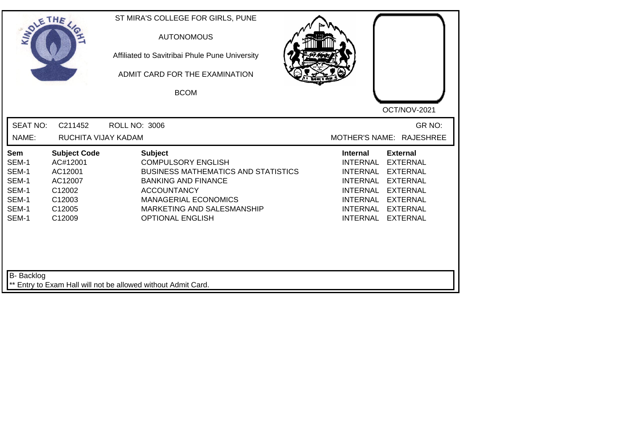| SOLETHE                                                            |                                                                                               | ST MIRA'S COLLEGE FOR GIRLS, PUNE<br><b>AUTONOMOUS</b><br>Affiliated to Savitribai Phule Pune University<br>ADMIT CARD FOR THE EXAMINATION<br><b>BCOM</b>                                                                             | OCT/NOV-2021                                                                                                                                                                                                                         |
|--------------------------------------------------------------------|-----------------------------------------------------------------------------------------------|---------------------------------------------------------------------------------------------------------------------------------------------------------------------------------------------------------------------------------------|--------------------------------------------------------------------------------------------------------------------------------------------------------------------------------------------------------------------------------------|
| <b>SEAT NO:</b>                                                    | C211452                                                                                       | <b>ROLL NO: 3006</b>                                                                                                                                                                                                                  | GR NO:                                                                                                                                                                                                                               |
| NAME:                                                              | RUCHITA VIJAY KADAM                                                                           |                                                                                                                                                                                                                                       | MOTHER'S NAME: RAJESHREE                                                                                                                                                                                                             |
| Sem<br>SEM-1<br>SEM-1<br>SEM-1<br>SEM-1<br>SEM-1<br>SEM-1<br>SEM-1 | <b>Subject Code</b><br>AC#12001<br>AC12001<br>AC12007<br>C12002<br>C12003<br>C12005<br>C12009 | <b>Subject</b><br><b>COMPULSORY ENGLISH</b><br><b>BUSINESS MATHEMATICS AND STATISTICS</b><br><b>BANKING AND FINANCE</b><br><b>ACCOUNTANCY</b><br><b>MANAGERIAL ECONOMICS</b><br>MARKETING AND SALESMANSHIP<br><b>OPTIONAL ENGLISH</b> | <b>External</b><br><b>Internal</b><br>INTERNAL<br><b>EXTERNAL</b><br>INTERNAL<br><b>EXTERNAL</b><br>INTERNAL EXTERNAL<br><b>INTERNAL</b><br><b>EXTERNAL</b><br>INTERNAL EXTERNAL<br>INTERNAL<br><b>EXTERNAL</b><br>INTERNAL EXTERNAL |
| B- Backlog                                                         |                                                                                               | ** Entry to Exam Hall will not be allowed without Admit Card.                                                                                                                                                                         |                                                                                                                                                                                                                                      |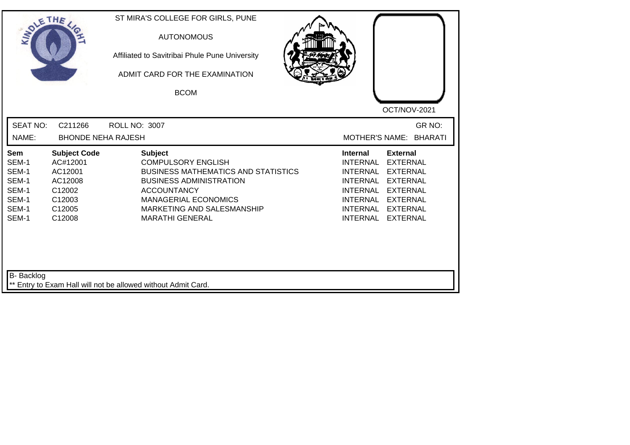| SOLETHE ,                                                          |                                                                                               | ST MIRA'S COLLEGE FOR GIRLS, PUNE<br><b>AUTONOMOUS</b><br>Affiliated to Savitribai Phule Pune University<br>ADMIT CARD FOR THE EXAMINATION<br><b>BCOM</b>                                                                                | OCT/NOV-2021                                                                                                                                                                                                                                                                                                 |
|--------------------------------------------------------------------|-----------------------------------------------------------------------------------------------|------------------------------------------------------------------------------------------------------------------------------------------------------------------------------------------------------------------------------------------|--------------------------------------------------------------------------------------------------------------------------------------------------------------------------------------------------------------------------------------------------------------------------------------------------------------|
| <b>SEAT NO:</b><br>NAME:                                           | C211266<br><b>BHONDE NEHA RAJESH</b>                                                          | <b>ROLL NO: 3007</b>                                                                                                                                                                                                                     | GR NO:<br><b>MOTHER'S NAME:</b><br><b>BHARATI</b>                                                                                                                                                                                                                                                            |
|                                                                    |                                                                                               |                                                                                                                                                                                                                                          |                                                                                                                                                                                                                                                                                                              |
| Sem<br>SEM-1<br>SEM-1<br>SEM-1<br>SEM-1<br>SEM-1<br>SEM-1<br>SEM-1 | <b>Subject Code</b><br>AC#12001<br>AC12001<br>AC12008<br>C12002<br>C12003<br>C12005<br>C12008 | <b>Subject</b><br><b>COMPULSORY ENGLISH</b><br><b>BUSINESS MATHEMATICS AND STATISTICS</b><br><b>BUSINESS ADMINISTRATION</b><br><b>ACCOUNTANCY</b><br><b>MANAGERIAL ECONOMICS</b><br>MARKETING AND SALESMANSHIP<br><b>MARATHI GENERAL</b> | <b>External</b><br><b>Internal</b><br><b>INTERNAL</b><br><b>EXTERNAL</b><br><b>INTERNAL</b><br><b>EXTERNAL</b><br><b>INTERNAL</b><br><b>EXTERNAL</b><br><b>INTERNAL</b><br><b>EXTERNAL</b><br><b>INTERNAL</b><br><b>EXTERNAL</b><br><b>INTERNAL</b><br><b>EXTERNAL</b><br><b>INTERNAL</b><br><b>EXTERNAL</b> |
| <b>B-</b> Backlog                                                  |                                                                                               | ** Entry to Exam Hall will not be allowed without Admit Card.                                                                                                                                                                            |                                                                                                                                                                                                                                                                                                              |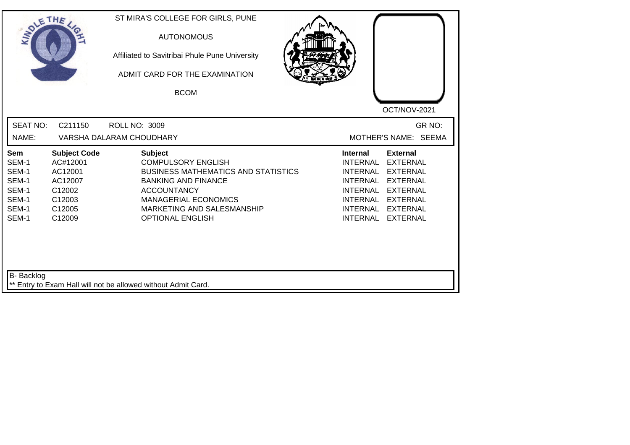| <b>SEAT NO:</b><br>GR NO:<br>C211150<br><b>ROLL NO: 3009</b><br>MOTHER'S NAME: SEEMA<br>NAME:<br>VARSHA DALARAM CHOUDHARY<br><b>Subject</b><br><b>Subject Code</b><br><b>Internal</b><br><b>External</b><br>Sem<br>SEM-1<br><b>COMPULSORY ENGLISH</b><br><b>INTERNAL</b><br><b>EXTERNAL</b><br>AC#12001<br>SEM-1<br><b>BUSINESS MATHEMATICS AND STATISTICS</b><br>AC12001<br><b>INTERNAL</b><br><b>EXTERNAL</b><br>SEM-1<br><b>BANKING AND FINANCE</b><br><b>INTERNAL</b><br><b>EXTERNAL</b><br>AC12007<br>SEM-1<br>C12002<br><b>ACCOUNTANCY</b><br><b>INTERNAL</b><br><b>EXTERNAL</b><br>SEM-1<br>C12003<br><b>MANAGERIAL ECONOMICS</b><br>INTERNAL<br><b>EXTERNAL</b><br>SEM-1<br>C12005<br>MARKETING AND SALESMANSHIP<br><b>INTERNAL</b><br><b>EXTERNAL</b><br>SEM-1<br><b>OPTIONAL ENGLISH</b><br>C12009<br>INTERNAL<br><b>EXTERNAL</b> | SOLETHE . | ST MIRA'S COLLEGE FOR GIRLS, PUNE<br><b>AUTONOMOUS</b><br>Affiliated to Savitribai Phule Pune University<br>ADMIT CARD FOR THE EXAMINATION<br><b>BCOM</b> | OCT/NOV-2021 |
|---------------------------------------------------------------------------------------------------------------------------------------------------------------------------------------------------------------------------------------------------------------------------------------------------------------------------------------------------------------------------------------------------------------------------------------------------------------------------------------------------------------------------------------------------------------------------------------------------------------------------------------------------------------------------------------------------------------------------------------------------------------------------------------------------------------------------------------------|-----------|-----------------------------------------------------------------------------------------------------------------------------------------------------------|--------------|
|                                                                                                                                                                                                                                                                                                                                                                                                                                                                                                                                                                                                                                                                                                                                                                                                                                             |           |                                                                                                                                                           |              |
|                                                                                                                                                                                                                                                                                                                                                                                                                                                                                                                                                                                                                                                                                                                                                                                                                                             |           |                                                                                                                                                           |              |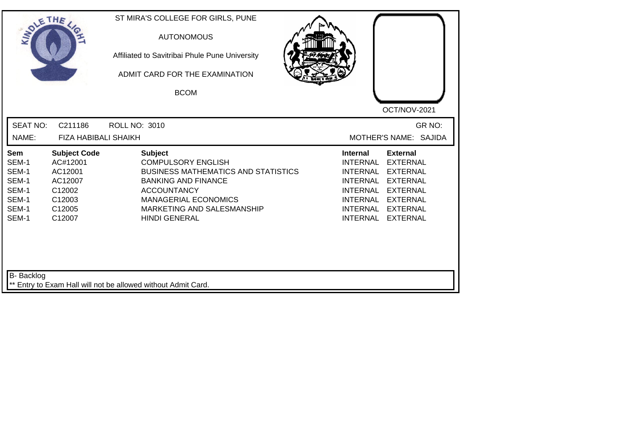| SOLE THE                                                           |                                                                                               | ST MIRA'S COLLEGE FOR GIRLS, PUNE<br><b>AUTONOMOUS</b><br>Affiliated to Savitribai Phule Pune University<br>ADMIT CARD FOR THE EXAMINATION<br><b>BCOM</b>                                                                          | OCT/NOV-2021                                                                                                                                                                                                                                                                                          |
|--------------------------------------------------------------------|-----------------------------------------------------------------------------------------------|------------------------------------------------------------------------------------------------------------------------------------------------------------------------------------------------------------------------------------|-------------------------------------------------------------------------------------------------------------------------------------------------------------------------------------------------------------------------------------------------------------------------------------------------------|
| <b>SEAT NO:</b><br>NAME:                                           | C211186<br><b>FIZA HABIBALI SHAIKH</b>                                                        | <b>ROLL NO: 3010</b>                                                                                                                                                                                                               | GR NO:<br>MOTHER'S NAME: SAJIDA                                                                                                                                                                                                                                                                       |
| Sem<br>SEM-1<br>SEM-1<br>SEM-1<br>SEM-1<br>SEM-1<br>SEM-1<br>SEM-1 | <b>Subject Code</b><br>AC#12001<br>AC12001<br>AC12007<br>C12002<br>C12003<br>C12005<br>C12007 | <b>Subject</b><br><b>COMPULSORY ENGLISH</b><br><b>BUSINESS MATHEMATICS AND STATISTICS</b><br><b>BANKING AND FINANCE</b><br><b>ACCOUNTANCY</b><br><b>MANAGERIAL ECONOMICS</b><br>MARKETING AND SALESMANSHIP<br><b>HINDI GENERAL</b> | <b>External</b><br>Internal<br><b>INTERNAL</b><br><b>EXTERNAL</b><br><b>INTERNAL</b><br><b>EXTERNAL</b><br><b>EXTERNAL</b><br><b>INTERNAL</b><br><b>INTERNAL</b><br><b>EXTERNAL</b><br><b>INTERNAL</b><br><b>EXTERNAL</b><br><b>INTERNAL</b><br><b>EXTERNAL</b><br><b>INTERNAL</b><br><b>EXTERNAL</b> |
| B- Backlog                                                         |                                                                                               | ** Entry to Exam Hall will not be allowed without Admit Card.                                                                                                                                                                      |                                                                                                                                                                                                                                                                                                       |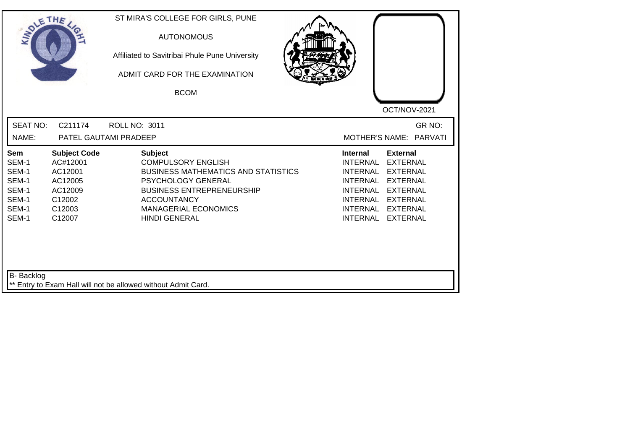| SOLETHE ,                                                                 |                                                                                                | ST MIRA'S COLLEGE FOR GIRLS, PUNE<br><b>AUTONOMOUS</b><br>Affiliated to Savitribai Phule Pune University<br>ADMIT CARD FOR THE EXAMINATION<br><b>BCOM</b>                                                                        | OCT/NOV-2021                                                                                                                                                                                                                                                                                |
|---------------------------------------------------------------------------|------------------------------------------------------------------------------------------------|----------------------------------------------------------------------------------------------------------------------------------------------------------------------------------------------------------------------------------|---------------------------------------------------------------------------------------------------------------------------------------------------------------------------------------------------------------------------------------------------------------------------------------------|
| <b>SEAT NO:</b><br>NAME:                                                  | C211174                                                                                        | <b>ROLL NO: 3011</b><br>PATEL GAUTAMI PRADEEP                                                                                                                                                                                    | GR NO:<br>MOTHER'S NAME: PARVATI                                                                                                                                                                                                                                                            |
| <b>Sem</b><br>SEM-1<br>SEM-1<br>SEM-1<br>SEM-1<br>SEM-1<br>SEM-1<br>SEM-1 | <b>Subject Code</b><br>AC#12001<br>AC12001<br>AC12005<br>AC12009<br>C12002<br>C12003<br>C12007 | <b>Subject</b><br><b>COMPULSORY ENGLISH</b><br><b>BUSINESS MATHEMATICS AND STATISTICS</b><br>PSYCHOLOGY GENERAL<br><b>BUSINESS ENTREPRENEURSHIP</b><br><b>ACCOUNTANCY</b><br><b>MANAGERIAL ECONOMICS</b><br><b>HINDI GENERAL</b> | <b>External</b><br><b>Internal</b><br><b>EXTERNAL</b><br><b>INTERNAL</b><br><b>INTERNAL</b><br><b>EXTERNAL</b><br><b>INTERNAL</b><br><b>EXTERNAL</b><br><b>INTERNAL</b><br><b>EXTERNAL</b><br><b>INTERNAL</b><br><b>EXTERNAL</b><br><b>INTERNAL</b><br><b>EXTERNAL</b><br>INTERNAL EXTERNAL |
| <b>B-</b> Backlog                                                         |                                                                                                | ** Entry to Exam Hall will not be allowed without Admit Card.                                                                                                                                                                    |                                                                                                                                                                                                                                                                                             |

┛╹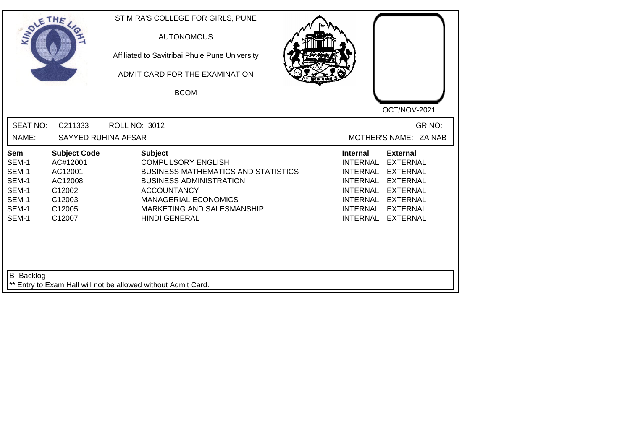| SOLETHE .                                                          |                                                                                               | ST MIRA'S COLLEGE FOR GIRLS, PUNE<br><b>AUTONOMOUS</b><br>Affiliated to Savitribai Phule Pune University<br>ADMIT CARD FOR THE EXAMINATION<br><b>BCOM</b>                                                                              |                                                                                                                                        |                                                                                                                                                      |
|--------------------------------------------------------------------|-----------------------------------------------------------------------------------------------|----------------------------------------------------------------------------------------------------------------------------------------------------------------------------------------------------------------------------------------|----------------------------------------------------------------------------------------------------------------------------------------|------------------------------------------------------------------------------------------------------------------------------------------------------|
| <b>SEAT NO:</b><br>NAME:                                           | C211333<br><b>SAYYED RUHINA AFSAR</b>                                                         | <b>ROLL NO: 3012</b>                                                                                                                                                                                                                   |                                                                                                                                        | OCT/NOV-2021<br>GR NO:<br>MOTHER'S NAME: ZAINAB                                                                                                      |
| Sem<br>SEM-1<br>SEM-1<br>SEM-1<br>SEM-1<br>SEM-1<br>SEM-1<br>SEM-1 | <b>Subject Code</b><br>AC#12001<br>AC12001<br>AC12008<br>C12002<br>C12003<br>C12005<br>C12007 | <b>Subject</b><br><b>COMPULSORY ENGLISH</b><br><b>BUSINESS MATHEMATICS AND STATISTICS</b><br><b>BUSINESS ADMINISTRATION</b><br><b>ACCOUNTANCY</b><br><b>MANAGERIAL ECONOMICS</b><br>MARKETING AND SALESMANSHIP<br><b>HINDI GENERAL</b> | <b>Internal</b><br>INTERNAL<br><b>INTERNAL</b><br>INTERNAL<br><b>INTERNAL</b><br><b>INTERNAL</b><br><b>INTERNAL</b><br><b>INTERNAL</b> | <b>External</b><br><b>EXTERNAL</b><br><b>EXTERNAL</b><br><b>EXTERNAL</b><br><b>EXTERNAL</b><br><b>EXTERNAL</b><br><b>EXTERNAL</b><br><b>EXTERNAL</b> |
| B- Backlog                                                         |                                                                                               | ** Entry to Exam Hall will not be allowed without Admit Card.                                                                                                                                                                          |                                                                                                                                        |                                                                                                                                                      |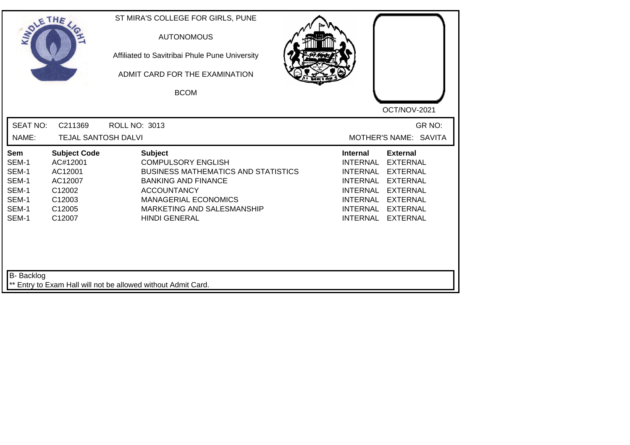| <b>SOLETHE</b>                                                     |                                                                                               | ST MIRA'S COLLEGE FOR GIRLS, PUNE<br><b>AUTONOMOUS</b><br>Affiliated to Savitribai Phule Pune University<br>ADMIT CARD FOR THE EXAMINATION<br><b>BCOM</b>                                                                          |                                                                                                                                                      |                                                                                                                                                      |
|--------------------------------------------------------------------|-----------------------------------------------------------------------------------------------|------------------------------------------------------------------------------------------------------------------------------------------------------------------------------------------------------------------------------------|------------------------------------------------------------------------------------------------------------------------------------------------------|------------------------------------------------------------------------------------------------------------------------------------------------------|
| <b>SEAT NO:</b><br>NAME:                                           | C211369<br><b>TEJAL SANTOSH DALVI</b>                                                         | <b>ROLL NO: 3013</b>                                                                                                                                                                                                               |                                                                                                                                                      | OCT/NOV-2021<br>GR NO:<br>MOTHER'S NAME: SAVITA                                                                                                      |
| Sem<br>SEM-1<br>SEM-1<br>SEM-1<br>SEM-1<br>SEM-1<br>SEM-1<br>SEM-1 | <b>Subject Code</b><br>AC#12001<br>AC12001<br>AC12007<br>C12002<br>C12003<br>C12005<br>C12007 | <b>Subject</b><br><b>COMPULSORY ENGLISH</b><br><b>BUSINESS MATHEMATICS AND STATISTICS</b><br><b>BANKING AND FINANCE</b><br><b>ACCOUNTANCY</b><br><b>MANAGERIAL ECONOMICS</b><br>MARKETING AND SALESMANSHIP<br><b>HINDI GENERAL</b> | <b>Internal</b><br><b>INTERNAL</b><br><b>INTERNAL</b><br><b>INTERNAL</b><br><b>INTERNAL</b><br><b>INTERNAL</b><br><b>INTERNAL</b><br><b>INTERNAL</b> | <b>External</b><br><b>EXTERNAL</b><br><b>EXTERNAL</b><br><b>EXTERNAL</b><br><b>EXTERNAL</b><br><b>EXTERNAL</b><br><b>EXTERNAL</b><br><b>EXTERNAL</b> |
| B- Backlog                                                         |                                                                                               | ** Entry to Exam Hall will not be allowed without Admit Card.                                                                                                                                                                      |                                                                                                                                                      |                                                                                                                                                      |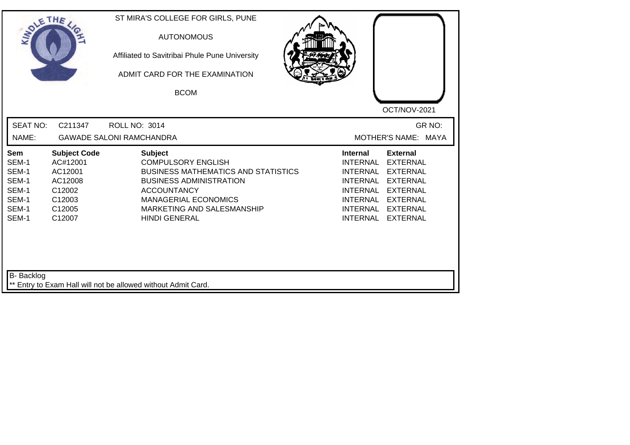| SOLETHE ,                                                          |                                                                                               | ST MIRA'S COLLEGE FOR GIRLS, PUNE<br><b>AUTONOMOUS</b><br>Affiliated to Savitribai Phule Pune University<br>ADMIT CARD FOR THE EXAMINATION<br><b>BCOM</b>                                                                              | OCT/NOV-2021                                                                                                                                                                                                                                                                                                 |
|--------------------------------------------------------------------|-----------------------------------------------------------------------------------------------|----------------------------------------------------------------------------------------------------------------------------------------------------------------------------------------------------------------------------------------|--------------------------------------------------------------------------------------------------------------------------------------------------------------------------------------------------------------------------------------------------------------------------------------------------------------|
| <b>SEAT NO:</b><br>NAME:                                           | C211347                                                                                       | <b>ROLL NO: 3014</b><br><b>GAWADE SALONI RAMCHANDRA</b>                                                                                                                                                                                | GR NO:<br>MOTHER'S NAME: MAYA                                                                                                                                                                                                                                                                                |
| Sem<br>SEM-1<br>SEM-1<br>SEM-1<br>SEM-1<br>SEM-1<br>SEM-1<br>SEM-1 | <b>Subject Code</b><br>AC#12001<br>AC12001<br>AC12008<br>C12002<br>C12003<br>C12005<br>C12007 | <b>Subject</b><br><b>COMPULSORY ENGLISH</b><br><b>BUSINESS MATHEMATICS AND STATISTICS</b><br><b>BUSINESS ADMINISTRATION</b><br><b>ACCOUNTANCY</b><br><b>MANAGERIAL ECONOMICS</b><br>MARKETING AND SALESMANSHIP<br><b>HINDI GENERAL</b> | <b>Internal</b><br><b>External</b><br><b>INTERNAL</b><br><b>EXTERNAL</b><br><b>INTERNAL</b><br><b>EXTERNAL</b><br><b>INTERNAL</b><br><b>EXTERNAL</b><br><b>INTERNAL</b><br><b>EXTERNAL</b><br><b>INTERNAL</b><br><b>EXTERNAL</b><br><b>INTERNAL</b><br><b>EXTERNAL</b><br><b>INTERNAL</b><br><b>EXTERNAL</b> |
| B- Backlog                                                         |                                                                                               | ** Entry to Exam Hall will not be allowed without Admit Card.                                                                                                                                                                          |                                                                                                                                                                                                                                                                                                              |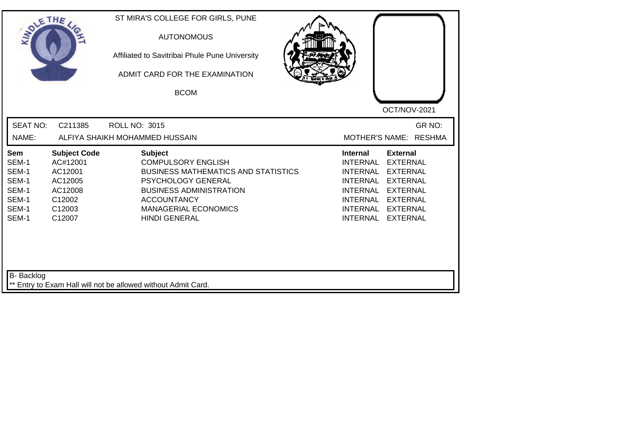| SOLETHE .                                                          |                                                                                                | ST MIRA'S COLLEGE FOR GIRLS, PUNE<br><b>AUTONOMOUS</b><br>Affiliated to Savitribai Phule Pune University<br>ADMIT CARD FOR THE EXAMINATION<br><b>BCOM</b>                                                                             | OCT/NOV-2021                                                                                                                                                                                                                                                                                   |
|--------------------------------------------------------------------|------------------------------------------------------------------------------------------------|---------------------------------------------------------------------------------------------------------------------------------------------------------------------------------------------------------------------------------------|------------------------------------------------------------------------------------------------------------------------------------------------------------------------------------------------------------------------------------------------------------------------------------------------|
| <b>SEAT NO:</b>                                                    | C211385                                                                                        | <b>ROLL NO: 3015</b>                                                                                                                                                                                                                  | GR NO:                                                                                                                                                                                                                                                                                         |
| NAME:                                                              |                                                                                                | ALFIYA SHAIKH MOHAMMED HUSSAIN                                                                                                                                                                                                        | MOTHER'S NAME: RESHMA                                                                                                                                                                                                                                                                          |
| Sem<br>SEM-1<br>SEM-1<br>SEM-1<br>SEM-1<br>SEM-1<br>SEM-1<br>SEM-1 | <b>Subject Code</b><br>AC#12001<br>AC12001<br>AC12005<br>AC12008<br>C12002<br>C12003<br>C12007 | <b>Subject</b><br><b>COMPULSORY ENGLISH</b><br><b>BUSINESS MATHEMATICS AND STATISTICS</b><br><b>PSYCHOLOGY GENERAL</b><br><b>BUSINESS ADMINISTRATION</b><br><b>ACCOUNTANCY</b><br><b>MANAGERIAL ECONOMICS</b><br><b>HINDI GENERAL</b> | <b>External</b><br><b>Internal</b><br><b>INTERNAL</b><br><b>EXTERNAL</b><br><b>INTERNAL</b><br><b>EXTERNAL</b><br><b>INTERNAL</b><br><b>EXTERNAL</b><br><b>INTERNAL</b><br><b>EXTERNAL</b><br>INTERNAL<br><b>EXTERNAL</b><br>INTERNAL<br><b>EXTERNAL</b><br><b>INTERNAL</b><br><b>EXTERNAL</b> |
| <b>B-</b> Backlog                                                  |                                                                                                | ** Entry to Exam Hall will not be allowed without Admit Card.                                                                                                                                                                         |                                                                                                                                                                                                                                                                                                |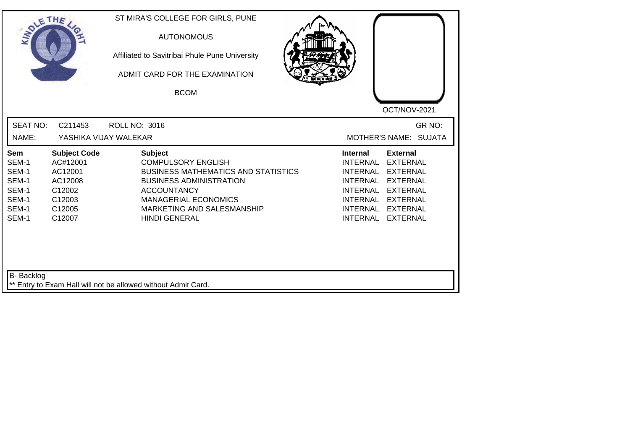|                                                                                                                                                                     | ADMIT CARD FOR THE EXAMINATION<br><b>BCOM</b>                                                                                                                                                                                          | OCT/NOV-2021                                                                                                                                                                                                                                                                                          |
|---------------------------------------------------------------------------------------------------------------------------------------------------------------------|----------------------------------------------------------------------------------------------------------------------------------------------------------------------------------------------------------------------------------------|-------------------------------------------------------------------------------------------------------------------------------------------------------------------------------------------------------------------------------------------------------------------------------------------------------|
| <b>SEAT NO:</b><br>C211453<br>NAME:                                                                                                                                 | <b>ROLL NO: 3016</b><br>YASHIKA VIJAY WALEKAR                                                                                                                                                                                          | GR NO:<br>MOTHER'S NAME: SUJATA                                                                                                                                                                                                                                                                       |
| <b>Subject Code</b><br>Sem<br>AC#12001<br>SEM-1<br>SEM-1<br>AC12001<br>SEM-1<br>AC12008<br>SEM-1<br>C12002<br>SEM-1<br>C12003<br>SEM-1<br>C12005<br>SEM-1<br>C12007 | <b>Subject</b><br><b>COMPULSORY ENGLISH</b><br><b>BUSINESS MATHEMATICS AND STATISTICS</b><br><b>BUSINESS ADMINISTRATION</b><br><b>ACCOUNTANCY</b><br><b>MANAGERIAL ECONOMICS</b><br>MARKETING AND SALESMANSHIP<br><b>HINDI GENERAL</b> | <b>Internal</b><br><b>External</b><br><b>INTERNAL</b><br><b>EXTERNAL</b><br><b>INTERNAL</b><br><b>EXTERNAL</b><br><b>INTERNAL</b><br><b>EXTERNAL</b><br><b>INTERNAL</b><br><b>EXTERNAL</b><br>INTERNAL<br><b>EXTERNAL</b><br><b>INTERNAL</b><br><b>EXTERNAL</b><br><b>INTERNAL</b><br><b>EXTERNAL</b> |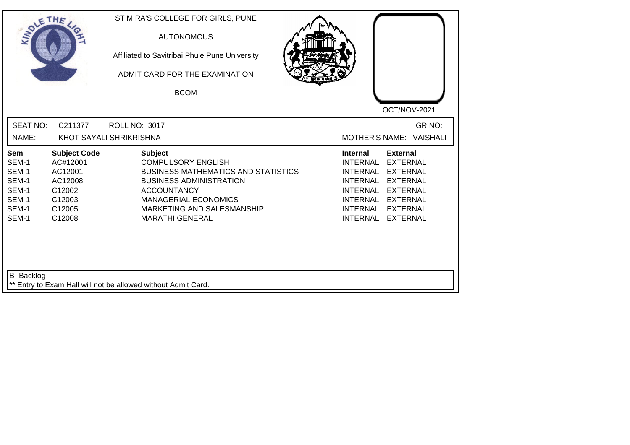| SOLE THE                                                                  |                                                                                               | ST MIRA'S COLLEGE FOR GIRLS, PUNE<br><b>AUTONOMOUS</b><br>Affiliated to Savitribai Phule Pune University<br>ADMIT CARD FOR THE EXAMINATION<br><b>BCOM</b>                                                                                | OCT/NOV-2021                                                                                                                                                                                                                                                                     |
|---------------------------------------------------------------------------|-----------------------------------------------------------------------------------------------|------------------------------------------------------------------------------------------------------------------------------------------------------------------------------------------------------------------------------------------|----------------------------------------------------------------------------------------------------------------------------------------------------------------------------------------------------------------------------------------------------------------------------------|
| <b>SEAT NO:</b><br>NAME:                                                  | C211377                                                                                       | <b>ROLL NO: 3017</b><br>KHOT SAYALI SHRIKRISHNA                                                                                                                                                                                          | GR NO:<br>MOTHER'S NAME: VAISHALI                                                                                                                                                                                                                                                |
| <b>Sem</b><br>SEM-1<br>SEM-1<br>SEM-1<br>SEM-1<br>SEM-1<br>SEM-1<br>SEM-1 | <b>Subject Code</b><br>AC#12001<br>AC12001<br>AC12008<br>C12002<br>C12003<br>C12005<br>C12008 | <b>Subject</b><br><b>COMPULSORY ENGLISH</b><br><b>BUSINESS MATHEMATICS AND STATISTICS</b><br><b>BUSINESS ADMINISTRATION</b><br><b>ACCOUNTANCY</b><br><b>MANAGERIAL ECONOMICS</b><br>MARKETING AND SALESMANSHIP<br><b>MARATHI GENERAL</b> | <b>External</b><br><b>Internal</b><br><b>INTERNAL</b><br><b>EXTERNAL</b><br><b>EXTERNAL</b><br>INTERNAL<br><b>INTERNAL</b><br><b>EXTERNAL</b><br>INTERNAL<br><b>EXTERNAL</b><br>INTERNAL<br><b>EXTERNAL</b><br><b>INTERNAL</b><br><b>EXTERNAL</b><br>INTERNAL<br><b>EXTERNAL</b> |
| B- Backlog                                                                |                                                                                               | ** Entry to Exam Hall will not be allowed without Admit Card.                                                                                                                                                                            |                                                                                                                                                                                                                                                                                  |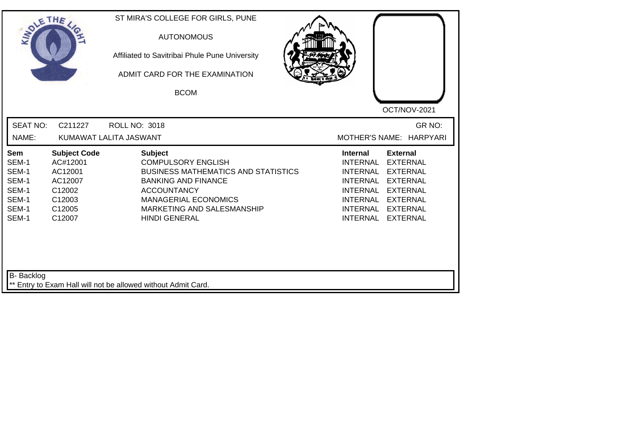| <b>SOLETHE</b>                                                     |                                                                                               | ST MIRA'S COLLEGE FOR GIRLS, PUNE<br><b>AUTONOMOUS</b><br>Affiliated to Savitribai Phule Pune University<br>ADMIT CARD FOR THE EXAMINATION<br><b>BCOM</b>                                                                          | OCT/NOV-2021                                                                                                                                                                                                                                                                                                 |
|--------------------------------------------------------------------|-----------------------------------------------------------------------------------------------|------------------------------------------------------------------------------------------------------------------------------------------------------------------------------------------------------------------------------------|--------------------------------------------------------------------------------------------------------------------------------------------------------------------------------------------------------------------------------------------------------------------------------------------------------------|
| <b>SEAT NO:</b><br>NAME:                                           | C211227                                                                                       | <b>ROLL NO: 3018</b><br>KUMAWAT LALITA JASWANT                                                                                                                                                                                     | GR NO:<br>MOTHER'S NAME: HARPYARI                                                                                                                                                                                                                                                                            |
| Sem<br>SEM-1<br>SEM-1<br>SEM-1<br>SEM-1<br>SEM-1<br>SEM-1<br>SEM-1 | <b>Subject Code</b><br>AC#12001<br>AC12001<br>AC12007<br>C12002<br>C12003<br>C12005<br>C12007 | <b>Subject</b><br><b>COMPULSORY ENGLISH</b><br><b>BUSINESS MATHEMATICS AND STATISTICS</b><br><b>BANKING AND FINANCE</b><br><b>ACCOUNTANCY</b><br><b>MANAGERIAL ECONOMICS</b><br>MARKETING AND SALESMANSHIP<br><b>HINDI GENERAL</b> | <b>External</b><br><b>Internal</b><br><b>INTERNAL</b><br><b>EXTERNAL</b><br><b>INTERNAL</b><br><b>EXTERNAL</b><br><b>INTERNAL</b><br><b>EXTERNAL</b><br><b>INTERNAL</b><br><b>EXTERNAL</b><br><b>INTERNAL</b><br><b>EXTERNAL</b><br><b>INTERNAL</b><br><b>EXTERNAL</b><br><b>EXTERNAL</b><br><b>INTERNAL</b> |
| <b>B-</b> Backlog                                                  |                                                                                               | ** Entry to Exam Hall will not be allowed without Admit Card.                                                                                                                                                                      |                                                                                                                                                                                                                                                                                                              |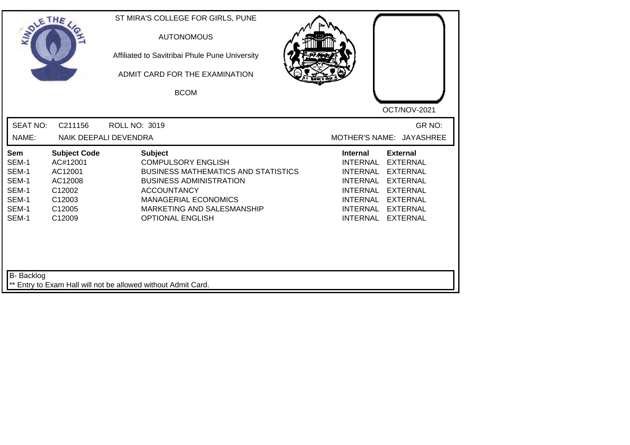| SOLE THE                                                                  |                                                                                               | ST MIRA'S COLLEGE FOR GIRLS, PUNE<br><b>AUTONOMOUS</b><br>Affiliated to Savitribai Phule Pune University<br>ADMIT CARD FOR THE EXAMINATION<br><b>BCOM</b>                                                                                 | OCT/NOV-2021                                                                                                                                                                                                                                                                                                 |
|---------------------------------------------------------------------------|-----------------------------------------------------------------------------------------------|-------------------------------------------------------------------------------------------------------------------------------------------------------------------------------------------------------------------------------------------|--------------------------------------------------------------------------------------------------------------------------------------------------------------------------------------------------------------------------------------------------------------------------------------------------------------|
| <b>SEAT NO:</b><br>NAME:                                                  | C211156                                                                                       | ROLL NO: 3019<br>NAIK DEEPALI DEVENDRA                                                                                                                                                                                                    | GR NO:<br>MOTHER'S NAME: JAYASHREE                                                                                                                                                                                                                                                                           |
| <b>Sem</b><br>SEM-1<br>SEM-1<br>SEM-1<br>SEM-1<br>SEM-1<br>SEM-1<br>SEM-1 | <b>Subject Code</b><br>AC#12001<br>AC12001<br>AC12008<br>C12002<br>C12003<br>C12005<br>C12009 | <b>Subject</b><br><b>COMPULSORY ENGLISH</b><br><b>BUSINESS MATHEMATICS AND STATISTICS</b><br><b>BUSINESS ADMINISTRATION</b><br><b>ACCOUNTANCY</b><br><b>MANAGERIAL ECONOMICS</b><br>MARKETING AND SALESMANSHIP<br><b>OPTIONAL ENGLISH</b> | <b>External</b><br><b>Internal</b><br><b>INTERNAL</b><br><b>EXTERNAL</b><br><b>INTERNAL</b><br><b>EXTERNAL</b><br><b>INTERNAL</b><br><b>EXTERNAL</b><br><b>INTERNAL</b><br><b>EXTERNAL</b><br><b>INTERNAL</b><br><b>EXTERNAL</b><br><b>INTERNAL</b><br><b>EXTERNAL</b><br><b>INTERNAL</b><br><b>EXTERNAL</b> |
| B- Backlog                                                                |                                                                                               | ** Entry to Exam Hall will not be allowed without Admit Card.                                                                                                                                                                             |                                                                                                                                                                                                                                                                                                              |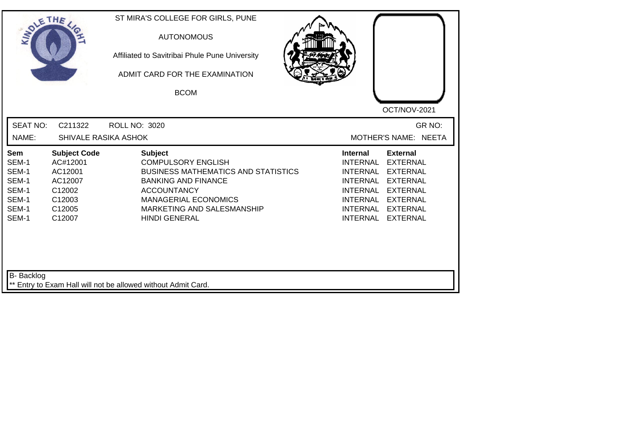| SOLETHE .                                                          |                                                                                               | ST MIRA'S COLLEGE FOR GIRLS, PUNE<br><b>AUTONOMOUS</b><br>Affiliated to Savitribai Phule Pune University<br>ADMIT CARD FOR THE EXAMINATION<br><b>BCOM</b>                                                                          | OCT/NOV-2021                                                                                                                                                                                                                                                                                                 |
|--------------------------------------------------------------------|-----------------------------------------------------------------------------------------------|------------------------------------------------------------------------------------------------------------------------------------------------------------------------------------------------------------------------------------|--------------------------------------------------------------------------------------------------------------------------------------------------------------------------------------------------------------------------------------------------------------------------------------------------------------|
| <b>SEAT NO:</b><br>NAME:                                           | C211322<br>SHIVALE RASIKA ASHOK                                                               | <b>ROLL NO: 3020</b>                                                                                                                                                                                                               | GR NO:<br>MOTHER'S NAME: NEETA                                                                                                                                                                                                                                                                               |
| Sem<br>SEM-1<br>SEM-1<br>SEM-1<br>SEM-1<br>SEM-1<br>SEM-1<br>SEM-1 | <b>Subject Code</b><br>AC#12001<br>AC12001<br>AC12007<br>C12002<br>C12003<br>C12005<br>C12007 | <b>Subject</b><br><b>COMPULSORY ENGLISH</b><br><b>BUSINESS MATHEMATICS AND STATISTICS</b><br><b>BANKING AND FINANCE</b><br><b>ACCOUNTANCY</b><br><b>MANAGERIAL ECONOMICS</b><br>MARKETING AND SALESMANSHIP<br><b>HINDI GENERAL</b> | <b>Internal</b><br><b>External</b><br><b>INTERNAL</b><br><b>EXTERNAL</b><br><b>INTERNAL</b><br><b>EXTERNAL</b><br><b>INTERNAL</b><br><b>EXTERNAL</b><br><b>INTERNAL</b><br><b>EXTERNAL</b><br><b>INTERNAL</b><br><b>EXTERNAL</b><br><b>INTERNAL</b><br><b>EXTERNAL</b><br><b>INTERNAL</b><br><b>EXTERNAL</b> |
| <b>B-</b> Backlog                                                  |                                                                                               | ** Entry to Exam Hall will not be allowed without Admit Card.                                                                                                                                                                      |                                                                                                                                                                                                                                                                                                              |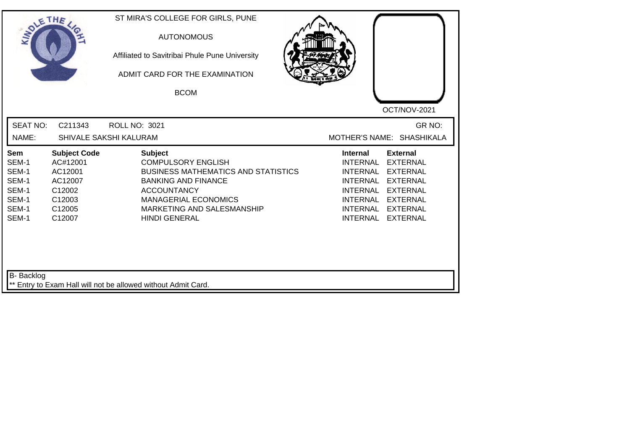| SOLETHE .                                                                 |                                                                                               | ST MIRA'S COLLEGE FOR GIRLS, PUNE<br><b>AUTONOMOUS</b><br>Affiliated to Savitribai Phule Pune University<br>ADMIT CARD FOR THE EXAMINATION<br><b>BCOM</b>                                                                          | OCT/NOV-2021                                                                                                                                                                                                                                                                                          |
|---------------------------------------------------------------------------|-----------------------------------------------------------------------------------------------|------------------------------------------------------------------------------------------------------------------------------------------------------------------------------------------------------------------------------------|-------------------------------------------------------------------------------------------------------------------------------------------------------------------------------------------------------------------------------------------------------------------------------------------------------|
| <b>SEAT NO:</b><br>NAME:                                                  | C211343                                                                                       | <b>ROLL NO: 3021</b><br>SHIVALE SAKSHI KALURAM                                                                                                                                                                                     | GR NO:<br>MOTHER'S NAME: SHASHIKALA                                                                                                                                                                                                                                                                   |
| <b>Sem</b><br>SEM-1<br>SEM-1<br>SEM-1<br>SEM-1<br>SEM-1<br>SEM-1<br>SEM-1 | <b>Subject Code</b><br>AC#12001<br>AC12001<br>AC12007<br>C12002<br>C12003<br>C12005<br>C12007 | <b>Subject</b><br><b>COMPULSORY ENGLISH</b><br><b>BUSINESS MATHEMATICS AND STATISTICS</b><br><b>BANKING AND FINANCE</b><br><b>ACCOUNTANCY</b><br><b>MANAGERIAL ECONOMICS</b><br>MARKETING AND SALESMANSHIP<br><b>HINDI GENERAL</b> | <b>External</b><br>Internal<br><b>INTERNAL</b><br><b>EXTERNAL</b><br><b>INTERNAL</b><br><b>EXTERNAL</b><br><b>INTERNAL</b><br><b>EXTERNAL</b><br><b>INTERNAL</b><br><b>EXTERNAL</b><br><b>INTERNAL</b><br><b>EXTERNAL</b><br><b>INTERNAL</b><br><b>EXTERNAL</b><br><b>INTERNAL</b><br><b>EXTERNAL</b> |
| <b>B-</b> Backlog                                                         |                                                                                               | ** Entry to Exam Hall will not be allowed without Admit Card.                                                                                                                                                                      |                                                                                                                                                                                                                                                                                                       |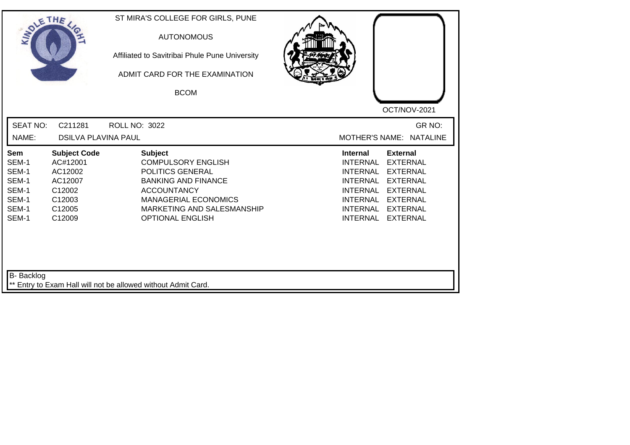| SOLETHE .                                                          |                                                                                               | ST MIRA'S COLLEGE FOR GIRLS, PUNE<br><b>AUTONOMOUS</b><br>Affiliated to Savitribai Phule Pune University<br>ADMIT CARD FOR THE EXAMINATION<br><b>BCOM</b>                                                   |                                                                                                                                                                                                                                                                                                              |
|--------------------------------------------------------------------|-----------------------------------------------------------------------------------------------|-------------------------------------------------------------------------------------------------------------------------------------------------------------------------------------------------------------|--------------------------------------------------------------------------------------------------------------------------------------------------------------------------------------------------------------------------------------------------------------------------------------------------------------|
| <b>SEAT NO:</b><br>NAME:                                           | C211281<br><b>DSILVA PLAVINA PAUL</b>                                                         | <b>ROLL NO: 3022</b>                                                                                                                                                                                        | OCT/NOV-2021<br>GR NO:<br>MOTHER'S NAME: NATALINE                                                                                                                                                                                                                                                            |
| Sem<br>SEM-1<br>SEM-1<br>SEM-1<br>SEM-1<br>SEM-1<br>SEM-1<br>SEM-1 | <b>Subject Code</b><br>AC#12001<br>AC12002<br>AC12007<br>C12002<br>C12003<br>C12005<br>C12009 | <b>Subject</b><br><b>COMPULSORY ENGLISH</b><br>POLITICS GENERAL<br><b>BANKING AND FINANCE</b><br><b>ACCOUNTANCY</b><br><b>MANAGERIAL ECONOMICS</b><br>MARKETING AND SALESMANSHIP<br><b>OPTIONAL ENGLISH</b> | <b>Internal</b><br><b>External</b><br><b>EXTERNAL</b><br><b>INTERNAL</b><br><b>INTERNAL</b><br><b>EXTERNAL</b><br><b>INTERNAL</b><br><b>EXTERNAL</b><br><b>EXTERNAL</b><br><b>INTERNAL</b><br><b>INTERNAL</b><br><b>EXTERNAL</b><br><b>INTERNAL</b><br><b>EXTERNAL</b><br><b>INTERNAL</b><br><b>EXTERNAL</b> |
| <b>B-</b> Backlog                                                  |                                                                                               | ** Entry to Exam Hall will not be allowed without Admit Card.                                                                                                                                               |                                                                                                                                                                                                                                                                                                              |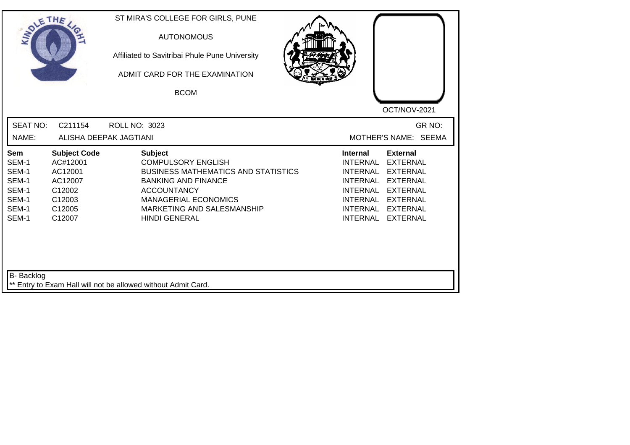| SOLETHE .                                                          |                                                                                               | ST MIRA'S COLLEGE FOR GIRLS, PUNE<br><b>AUTONOMOUS</b><br>Affiliated to Savitribai Phule Pune University<br>ADMIT CARD FOR THE EXAMINATION<br><b>BCOM</b>                                                                          | OCT/NOV-2021                                                                                                                                                                                                                                                                                |
|--------------------------------------------------------------------|-----------------------------------------------------------------------------------------------|------------------------------------------------------------------------------------------------------------------------------------------------------------------------------------------------------------------------------------|---------------------------------------------------------------------------------------------------------------------------------------------------------------------------------------------------------------------------------------------------------------------------------------------|
| <b>SEAT NO:</b>                                                    | C211154                                                                                       | <b>ROLL NO: 3023</b>                                                                                                                                                                                                               | GR NO:<br>MOTHER'S NAME: SEEMA                                                                                                                                                                                                                                                              |
| NAME:                                                              |                                                                                               | ALISHA DEEPAK JAGTIANI                                                                                                                                                                                                             |                                                                                                                                                                                                                                                                                             |
| Sem<br>SEM-1<br>SEM-1<br>SEM-1<br>SEM-1<br>SEM-1<br>SEM-1<br>SEM-1 | <b>Subject Code</b><br>AC#12001<br>AC12001<br>AC12007<br>C12002<br>C12003<br>C12005<br>C12007 | <b>Subject</b><br><b>COMPULSORY ENGLISH</b><br><b>BUSINESS MATHEMATICS AND STATISTICS</b><br><b>BANKING AND FINANCE</b><br><b>ACCOUNTANCY</b><br><b>MANAGERIAL ECONOMICS</b><br>MARKETING AND SALESMANSHIP<br><b>HINDI GENERAL</b> | <b>External</b><br><b>Internal</b><br><b>INTERNAL</b><br><b>EXTERNAL</b><br><b>INTERNAL</b><br><b>EXTERNAL</b><br><b>INTERNAL</b><br><b>EXTERNAL</b><br><b>INTERNAL</b><br><b>EXTERNAL</b><br>INTERNAL EXTERNAL<br><b>INTERNAL</b><br><b>EXTERNAL</b><br><b>EXTERNAL</b><br><b>INTERNAL</b> |
| <b>B-</b> Backlog                                                  |                                                                                               | ** Entry to Exam Hall will not be allowed without Admit Card.                                                                                                                                                                      |                                                                                                                                                                                                                                                                                             |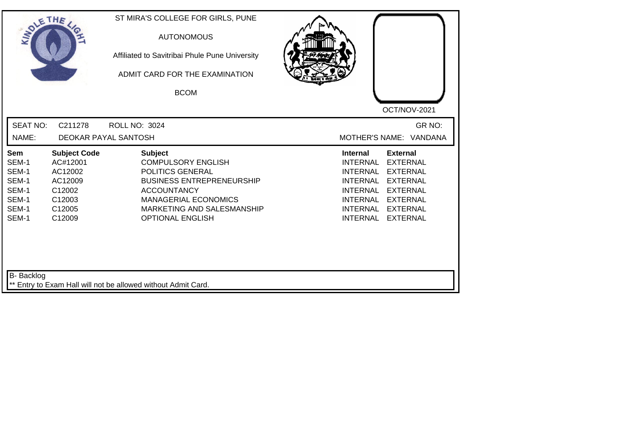| SOLETHE ,                                                                 |                                                                                               | ST MIRA'S COLLEGE FOR GIRLS, PUNE<br><b>AUTONOMOUS</b><br>Affiliated to Savitribai Phule Pune University<br>ADMIT CARD FOR THE EXAMINATION<br><b>BCOM</b>                                                         |                                                                                                                                                                                                                                                                                                       |
|---------------------------------------------------------------------------|-----------------------------------------------------------------------------------------------|-------------------------------------------------------------------------------------------------------------------------------------------------------------------------------------------------------------------|-------------------------------------------------------------------------------------------------------------------------------------------------------------------------------------------------------------------------------------------------------------------------------------------------------|
| <b>SEAT NO:</b><br>NAME:                                                  | C211278                                                                                       | <b>ROLL NO: 3024</b><br>DEOKAR PAYAL SANTOSH                                                                                                                                                                      | OCT/NOV-2021<br>GR NO:<br>MOTHER'S NAME: VANDANA                                                                                                                                                                                                                                                      |
| <b>Sem</b><br>SEM-1<br>SEM-1<br>SEM-1<br>SEM-1<br>SEM-1<br>SEM-1<br>SEM-1 | <b>Subject Code</b><br>AC#12001<br>AC12002<br>AC12009<br>C12002<br>C12003<br>C12005<br>C12009 | <b>Subject</b><br><b>COMPULSORY ENGLISH</b><br>POLITICS GENERAL<br><b>BUSINESS ENTREPRENEURSHIP</b><br><b>ACCOUNTANCY</b><br><b>MANAGERIAL ECONOMICS</b><br>MARKETING AND SALESMANSHIP<br><b>OPTIONAL ENGLISH</b> | <b>External</b><br>Internal<br><b>INTERNAL</b><br><b>EXTERNAL</b><br><b>INTERNAL</b><br><b>EXTERNAL</b><br><b>INTERNAL</b><br><b>EXTERNAL</b><br><b>INTERNAL</b><br><b>EXTERNAL</b><br><b>INTERNAL</b><br><b>EXTERNAL</b><br><b>INTERNAL</b><br><b>EXTERNAL</b><br><b>INTERNAL</b><br><b>EXTERNAL</b> |
| B- Backlog                                                                |                                                                                               | ** Entry to Exam Hall will not be allowed without Admit Card.                                                                                                                                                     |                                                                                                                                                                                                                                                                                                       |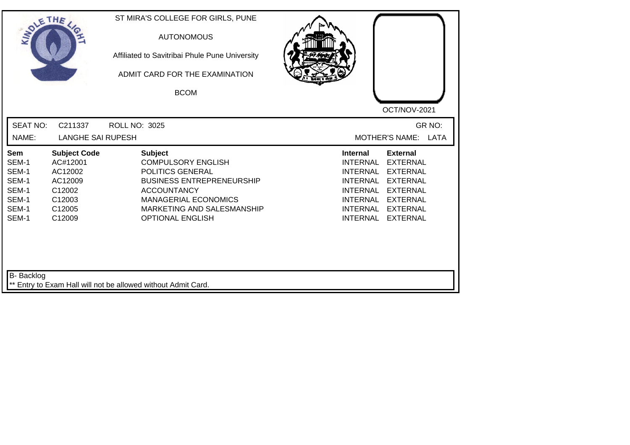| <b>SOLETHE</b>                                                     |                                                                                               | ST MIRA'S COLLEGE FOR GIRLS, PUNE<br><b>AUTONOMOUS</b><br>Affiliated to Savitribai Phule Pune University<br>ADMIT CARD FOR THE EXAMINATION<br><b>BCOM</b>                                                         | OCT/NOV-2021                                                                                                                                                                                                                                                                                          |
|--------------------------------------------------------------------|-----------------------------------------------------------------------------------------------|-------------------------------------------------------------------------------------------------------------------------------------------------------------------------------------------------------------------|-------------------------------------------------------------------------------------------------------------------------------------------------------------------------------------------------------------------------------------------------------------------------------------------------------|
| <b>SEAT NO:</b><br>NAME:                                           | C211337<br><b>LANGHE SAI RUPESH</b>                                                           | <b>ROLL NO: 3025</b>                                                                                                                                                                                              | GR NO:<br>MOTHER'S NAME: LATA                                                                                                                                                                                                                                                                         |
| Sem<br>SEM-1<br>SEM-1<br>SEM-1<br>SEM-1<br>SEM-1<br>SEM-1<br>SEM-1 | <b>Subject Code</b><br>AC#12001<br>AC12002<br>AC12009<br>C12002<br>C12003<br>C12005<br>C12009 | <b>Subject</b><br><b>COMPULSORY ENGLISH</b><br>POLITICS GENERAL<br><b>BUSINESS ENTREPRENEURSHIP</b><br><b>ACCOUNTANCY</b><br><b>MANAGERIAL ECONOMICS</b><br>MARKETING AND SALESMANSHIP<br><b>OPTIONAL ENGLISH</b> | <b>Internal</b><br><b>External</b><br><b>INTERNAL</b><br><b>EXTERNAL</b><br><b>INTERNAL</b><br><b>EXTERNAL</b><br><b>INTERNAL</b><br><b>EXTERNAL</b><br><b>INTERNAL</b><br><b>EXTERNAL</b><br>INTERNAL<br><b>EXTERNAL</b><br><b>INTERNAL</b><br><b>EXTERNAL</b><br><b>INTERNAL</b><br><b>EXTERNAL</b> |
| B- Backlog                                                         |                                                                                               | ** Entry to Exam Hall will not be allowed without Admit Card.                                                                                                                                                     |                                                                                                                                                                                                                                                                                                       |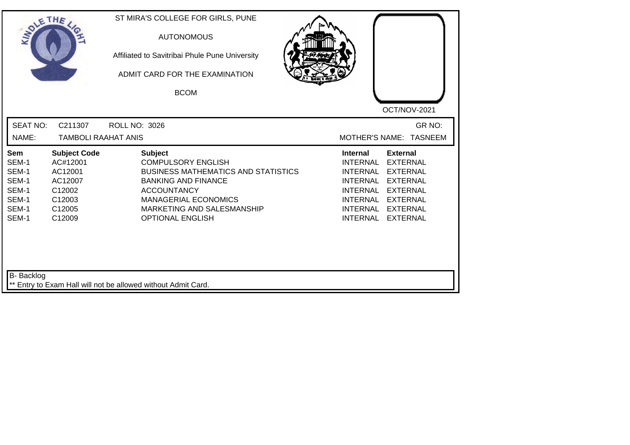| SOLE THE                                                           |                                                                                               | ST MIRA'S COLLEGE FOR GIRLS, PUNE<br><b>AUTONOMOUS</b><br>Affiliated to Savitribai Phule Pune University<br>ADMIT CARD FOR THE EXAMINATION<br><b>BCOM</b>                                                                             | OCT/NOV-2021                                                                                                                                                                                                                                          |
|--------------------------------------------------------------------|-----------------------------------------------------------------------------------------------|---------------------------------------------------------------------------------------------------------------------------------------------------------------------------------------------------------------------------------------|-------------------------------------------------------------------------------------------------------------------------------------------------------------------------------------------------------------------------------------------------------|
| <b>SEAT NO:</b><br>NAME:                                           | C211307<br><b>TAMBOLI RAAHAT ANIS</b>                                                         | <b>ROLL NO: 3026</b>                                                                                                                                                                                                                  | GR NO:<br>MOTHER'S NAME: TASNEEM                                                                                                                                                                                                                      |
| Sem<br>SEM-1<br>SEM-1<br>SEM-1<br>SEM-1<br>SEM-1<br>SEM-1<br>SEM-1 | <b>Subject Code</b><br>AC#12001<br>AC12001<br>AC12007<br>C12002<br>C12003<br>C12005<br>C12009 | <b>Subject</b><br><b>COMPULSORY ENGLISH</b><br><b>BUSINESS MATHEMATICS AND STATISTICS</b><br><b>BANKING AND FINANCE</b><br><b>ACCOUNTANCY</b><br><b>MANAGERIAL ECONOMICS</b><br>MARKETING AND SALESMANSHIP<br><b>OPTIONAL ENGLISH</b> | <b>External</b><br><b>Internal</b><br>INTERNAL<br><b>EXTERNAL</b><br>INTERNAL<br><b>EXTERNAL</b><br>INTERNAL EXTERNAL<br><b>INTERNAL</b><br><b>EXTERNAL</b><br>INTERNAL EXTERNAL<br>INTERNAL<br><b>EXTERNAL</b><br><b>INTERNAL</b><br><b>EXTERNAL</b> |
| <b>B-</b> Backlog                                                  |                                                                                               | ** Entry to Exam Hall will not be allowed without Admit Card.                                                                                                                                                                         |                                                                                                                                                                                                                                                       |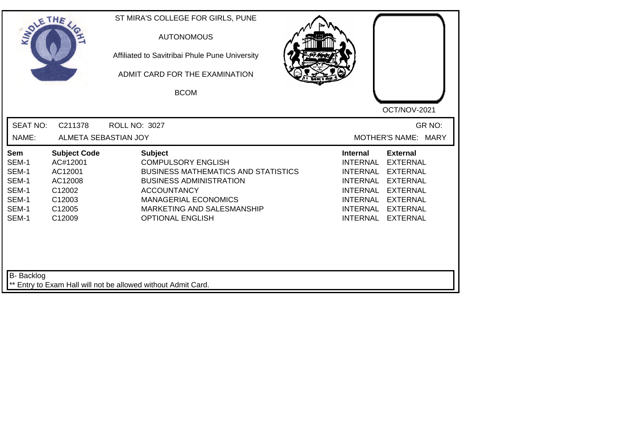| <b>SEAT NO:</b><br>C211378<br>GR NO:<br><b>ROLL NO: 3027</b><br>NAME:<br>ALMETA SEBASTIAN JOY<br>MOTHER'S NAME: MARY<br><b>Subject</b><br><b>Subject Code</b><br><b>Internal</b><br><b>External</b><br>Sem<br>SEM-1<br><b>COMPULSORY ENGLISH</b><br><b>INTERNAL</b><br><b>EXTERNAL</b><br>AC#12001<br>SEM-1<br>AC12001<br><b>BUSINESS MATHEMATICS AND STATISTICS</b><br><b>INTERNAL</b><br><b>EXTERNAL</b><br>SEM-1<br>AC12008<br><b>BUSINESS ADMINISTRATION</b><br><b>INTERNAL</b><br><b>EXTERNAL</b><br>SEM-1<br>C12002<br><b>ACCOUNTANCY</b><br><b>INTERNAL</b><br><b>EXTERNAL</b><br>SEM-1<br>C12003<br><b>MANAGERIAL ECONOMICS</b><br><b>INTERNAL</b><br><b>EXTERNAL</b><br>SEM-1<br>C12005<br>MARKETING AND SALESMANSHIP<br><b>INTERNAL</b><br><b>EXTERNAL</b><br>SEM-1<br>C12009<br><b>OPTIONAL ENGLISH</b><br><b>INTERNAL</b><br><b>EXTERNAL</b> | SOLETHE . | ST MIRA'S COLLEGE FOR GIRLS, PUNE<br><b>AUTONOMOUS</b><br>Affiliated to Savitribai Phule Pune University<br>ADMIT CARD FOR THE EXAMINATION<br><b>BCOM</b> | OCT/NOV-2021 |
|----------------------------------------------------------------------------------------------------------------------------------------------------------------------------------------------------------------------------------------------------------------------------------------------------------------------------------------------------------------------------------------------------------------------------------------------------------------------------------------------------------------------------------------------------------------------------------------------------------------------------------------------------------------------------------------------------------------------------------------------------------------------------------------------------------------------------------------------------------|-----------|-----------------------------------------------------------------------------------------------------------------------------------------------------------|--------------|
|                                                                                                                                                                                                                                                                                                                                                                                                                                                                                                                                                                                                                                                                                                                                                                                                                                                          |           |                                                                                                                                                           |              |
|                                                                                                                                                                                                                                                                                                                                                                                                                                                                                                                                                                                                                                                                                                                                                                                                                                                          |           |                                                                                                                                                           |              |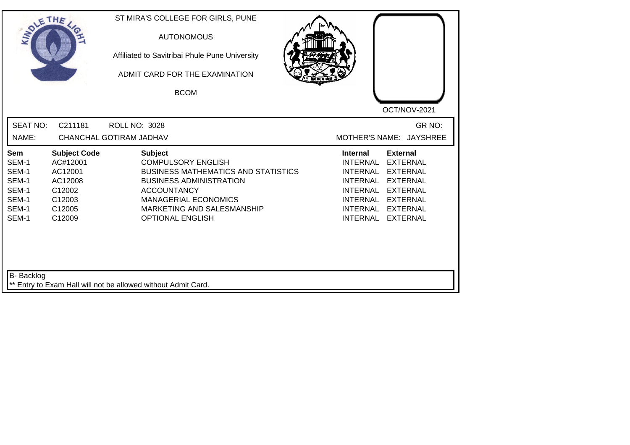| SOLE THE                                                                  |                                                                                               | ST MIRA'S COLLEGE FOR GIRLS, PUNE<br><b>AUTONOMOUS</b><br>Affiliated to Savitribai Phule Pune University<br>ADMIT CARD FOR THE EXAMINATION<br><b>BCOM</b>                                                                                 | OCT/NOV-2021                                                                                                                                                                                                                                                                                                 |
|---------------------------------------------------------------------------|-----------------------------------------------------------------------------------------------|-------------------------------------------------------------------------------------------------------------------------------------------------------------------------------------------------------------------------------------------|--------------------------------------------------------------------------------------------------------------------------------------------------------------------------------------------------------------------------------------------------------------------------------------------------------------|
| <b>SEAT NO:</b><br>NAME:                                                  | C211181                                                                                       | <b>ROLL NO: 3028</b><br>CHANCHAL GOTIRAM JADHAV                                                                                                                                                                                           | GR NO:<br>MOTHER'S NAME: JAYSHREE                                                                                                                                                                                                                                                                            |
| <b>Sem</b><br>SEM-1<br>SEM-1<br>SEM-1<br>SEM-1<br>SEM-1<br>SEM-1<br>SEM-1 | <b>Subject Code</b><br>AC#12001<br>AC12001<br>AC12008<br>C12002<br>C12003<br>C12005<br>C12009 | <b>Subject</b><br><b>COMPULSORY ENGLISH</b><br><b>BUSINESS MATHEMATICS AND STATISTICS</b><br><b>BUSINESS ADMINISTRATION</b><br><b>ACCOUNTANCY</b><br><b>MANAGERIAL ECONOMICS</b><br>MARKETING AND SALESMANSHIP<br><b>OPTIONAL ENGLISH</b> | <b>External</b><br><b>Internal</b><br><b>INTERNAL</b><br><b>EXTERNAL</b><br><b>INTERNAL</b><br><b>EXTERNAL</b><br><b>INTERNAL</b><br><b>EXTERNAL</b><br><b>INTERNAL</b><br><b>EXTERNAL</b><br><b>INTERNAL</b><br><b>EXTERNAL</b><br><b>INTERNAL</b><br><b>EXTERNAL</b><br><b>INTERNAL</b><br><b>EXTERNAL</b> |
| B- Backlog                                                                |                                                                                               | ** Entry to Exam Hall will not be allowed without Admit Card.                                                                                                                                                                             |                                                                                                                                                                                                                                                                                                              |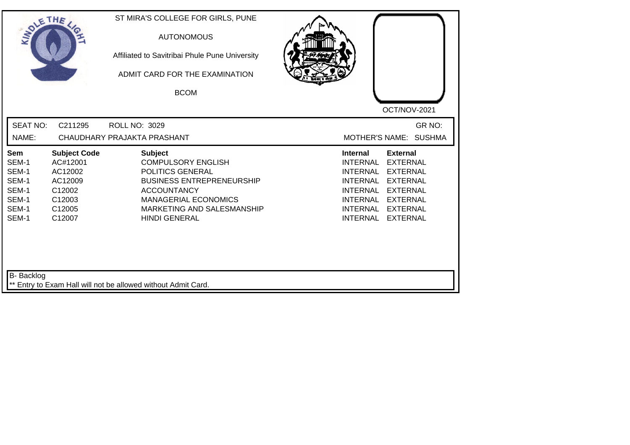| SOLETHE ,                                                          |                                                                                               | ST MIRA'S COLLEGE FOR GIRLS, PUNE<br><b>AUTONOMOUS</b><br>Affiliated to Savitribai Phule Pune University<br>ADMIT CARD FOR THE EXAMINATION<br><b>BCOM</b>                                                      | OCT/NOV-2021                                                                                                                                                                                                                                                                                                 |
|--------------------------------------------------------------------|-----------------------------------------------------------------------------------------------|----------------------------------------------------------------------------------------------------------------------------------------------------------------------------------------------------------------|--------------------------------------------------------------------------------------------------------------------------------------------------------------------------------------------------------------------------------------------------------------------------------------------------------------|
| <b>SEAT NO:</b><br>NAME:                                           | C211295                                                                                       | <b>ROLL NO: 3029</b><br>CHAUDHARY PRAJAKTA PRASHANT                                                                                                                                                            | GR NO:<br>MOTHER'S NAME: SUSHMA                                                                                                                                                                                                                                                                              |
| Sem<br>SEM-1<br>SEM-1<br>SEM-1<br>SEM-1<br>SEM-1<br>SEM-1<br>SEM-1 | <b>Subject Code</b><br>AC#12001<br>AC12002<br>AC12009<br>C12002<br>C12003<br>C12005<br>C12007 | <b>Subject</b><br><b>COMPULSORY ENGLISH</b><br>POLITICS GENERAL<br><b>BUSINESS ENTREPRENEURSHIP</b><br><b>ACCOUNTANCY</b><br><b>MANAGERIAL ECONOMICS</b><br>MARKETING AND SALESMANSHIP<br><b>HINDI GENERAL</b> | <b>External</b><br><b>Internal</b><br><b>EXTERNAL</b><br><b>INTERNAL</b><br><b>INTERNAL</b><br><b>EXTERNAL</b><br><b>INTERNAL</b><br><b>EXTERNAL</b><br><b>INTERNAL</b><br><b>EXTERNAL</b><br><b>INTERNAL</b><br><b>EXTERNAL</b><br><b>INTERNAL</b><br><b>EXTERNAL</b><br><b>EXTERNAL</b><br><b>INTERNAL</b> |
| B- Backlog                                                         |                                                                                               | ** Entry to Exam Hall will not be allowed without Admit Card.                                                                                                                                                  |                                                                                                                                                                                                                                                                                                              |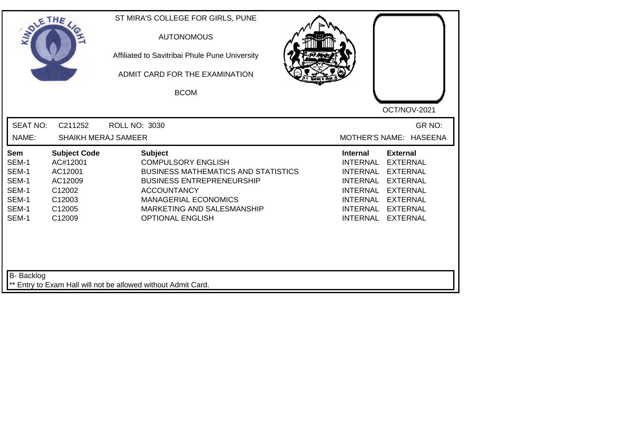| SOLE THE                                                           |                                                                                               | ST MIRA'S COLLEGE FOR GIRLS, PUNE<br><b>AUTONOMOUS</b><br>Affiliated to Savitribai Phule Pune University<br>ADMIT CARD FOR THE EXAMINATION<br><b>BCOM</b>                                                                                   | OCT/NOV-2021                                                                                                                                                                                                                                                                                          |
|--------------------------------------------------------------------|-----------------------------------------------------------------------------------------------|---------------------------------------------------------------------------------------------------------------------------------------------------------------------------------------------------------------------------------------------|-------------------------------------------------------------------------------------------------------------------------------------------------------------------------------------------------------------------------------------------------------------------------------------------------------|
| <b>SEAT NO:</b><br>NAME:                                           | C211252<br><b>SHAIKH MERAJ SAMEER</b>                                                         | ROLL NO: 3030                                                                                                                                                                                                                               | GR NO:<br>MOTHER'S NAME: HASEENA                                                                                                                                                                                                                                                                      |
| Sem<br>SEM-1<br>SEM-1<br>SEM-1<br>SEM-1<br>SEM-1<br>SEM-1<br>SEM-1 | <b>Subject Code</b><br>AC#12001<br>AC12001<br>AC12009<br>C12002<br>C12003<br>C12005<br>C12009 | <b>Subject</b><br><b>COMPULSORY ENGLISH</b><br><b>BUSINESS MATHEMATICS AND STATISTICS</b><br><b>BUSINESS ENTREPRENEURSHIP</b><br><b>ACCOUNTANCY</b><br><b>MANAGERIAL ECONOMICS</b><br>MARKETING AND SALESMANSHIP<br><b>OPTIONAL ENGLISH</b> | <b>External</b><br>Internal<br><b>INTERNAL</b><br><b>EXTERNAL</b><br><b>INTERNAL</b><br><b>EXTERNAL</b><br><b>INTERNAL</b><br><b>EXTERNAL</b><br><b>INTERNAL</b><br><b>EXTERNAL</b><br><b>INTERNAL</b><br><b>EXTERNAL</b><br><b>INTERNAL</b><br><b>EXTERNAL</b><br><b>INTERNAL</b><br><b>EXTERNAL</b> |
| <b>B-</b> Backlog                                                  |                                                                                               | ** Entry to Exam Hall will not be allowed without Admit Card.                                                                                                                                                                               |                                                                                                                                                                                                                                                                                                       |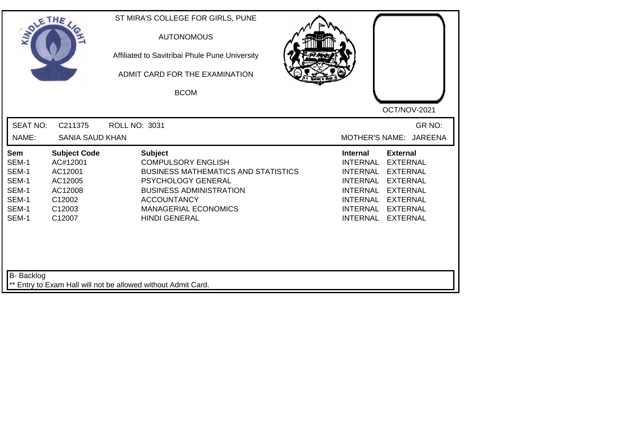| SOLE THE                                                           |                                                                                                | ST MIRA'S COLLEGE FOR GIRLS, PUNE<br><b>AUTONOMOUS</b><br>Affiliated to Savitribai Phule Pune University<br>ADMIT CARD FOR THE EXAMINATION<br><b>BCOM</b>                                                                      | OCT/NOV-2021                                                                                                                                                                                                                                                                                                 |
|--------------------------------------------------------------------|------------------------------------------------------------------------------------------------|--------------------------------------------------------------------------------------------------------------------------------------------------------------------------------------------------------------------------------|--------------------------------------------------------------------------------------------------------------------------------------------------------------------------------------------------------------------------------------------------------------------------------------------------------------|
| <b>SEAT NO:</b><br>NAME:                                           | C211375<br><b>SANIA SAUD KHAN</b>                                                              | ROLL NO: 3031                                                                                                                                                                                                                  | GR NO:<br>MOTHER'S NAME: JAREENA                                                                                                                                                                                                                                                                             |
| Sem<br>SEM-1<br>SEM-1<br>SEM-1<br>SEM-1<br>SEM-1<br>SEM-1<br>SEM-1 | <b>Subject Code</b><br>AC#12001<br>AC12001<br>AC12005<br>AC12008<br>C12002<br>C12003<br>C12007 | <b>Subject</b><br><b>COMPULSORY ENGLISH</b><br><b>BUSINESS MATHEMATICS AND STATISTICS</b><br>PSYCHOLOGY GENERAL<br><b>BUSINESS ADMINISTRATION</b><br><b>ACCOUNTANCY</b><br><b>MANAGERIAL ECONOMICS</b><br><b>HINDI GENERAL</b> | <b>Internal</b><br><b>External</b><br><b>INTERNAL</b><br><b>EXTERNAL</b><br><b>INTERNAL</b><br><b>EXTERNAL</b><br><b>INTERNAL</b><br><b>EXTERNAL</b><br><b>INTERNAL</b><br><b>EXTERNAL</b><br><b>INTERNAL</b><br><b>EXTERNAL</b><br><b>INTERNAL</b><br><b>EXTERNAL</b><br><b>INTERNAL</b><br><b>EXTERNAL</b> |
| B- Backlog                                                         |                                                                                                | ** Entry to Exam Hall will not be allowed without Admit Card.                                                                                                                                                                  |                                                                                                                                                                                                                                                                                                              |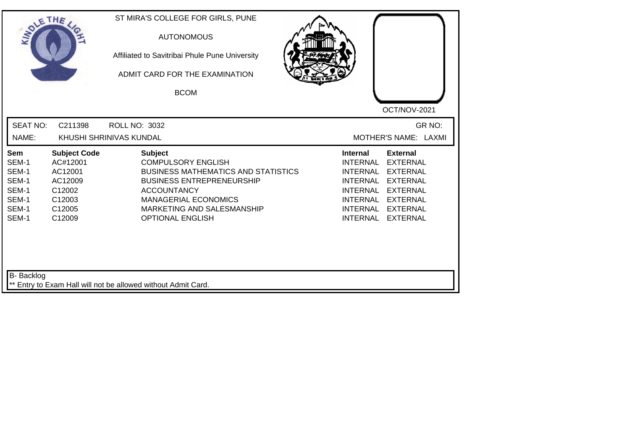| SOLETHE ,                                                          |                                                                                               | ST MIRA'S COLLEGE FOR GIRLS, PUNE<br><b>AUTONOMOUS</b><br>Affiliated to Savitribai Phule Pune University<br>ADMIT CARD FOR THE EXAMINATION<br><b>BCOM</b>                                                                                   | OCT/NOV-2021                                                                                                                                                                                                                                                                                          |
|--------------------------------------------------------------------|-----------------------------------------------------------------------------------------------|---------------------------------------------------------------------------------------------------------------------------------------------------------------------------------------------------------------------------------------------|-------------------------------------------------------------------------------------------------------------------------------------------------------------------------------------------------------------------------------------------------------------------------------------------------------|
| <b>SEAT NO:</b><br>NAME:                                           | C211398                                                                                       | <b>ROLL NO: 3032</b><br>KHUSHI SHRINIVAS KUNDAL                                                                                                                                                                                             | GR NO:<br>MOTHER'S NAME: LAXMI                                                                                                                                                                                                                                                                        |
| Sem<br>SEM-1<br>SEM-1<br>SEM-1<br>SEM-1<br>SEM-1<br>SEM-1<br>SEM-1 | <b>Subject Code</b><br>AC#12001<br>AC12001<br>AC12009<br>C12002<br>C12003<br>C12005<br>C12009 | <b>Subject</b><br><b>COMPULSORY ENGLISH</b><br><b>BUSINESS MATHEMATICS AND STATISTICS</b><br><b>BUSINESS ENTREPRENEURSHIP</b><br><b>ACCOUNTANCY</b><br><b>MANAGERIAL ECONOMICS</b><br>MARKETING AND SALESMANSHIP<br><b>OPTIONAL ENGLISH</b> | <b>Internal</b><br><b>External</b><br><b>INTERNAL</b><br><b>EXTERNAL</b><br><b>INTERNAL</b><br><b>EXTERNAL</b><br><b>INTERNAL</b><br><b>EXTERNAL</b><br><b>INTERNAL</b><br><b>EXTERNAL</b><br>INTERNAL<br><b>EXTERNAL</b><br><b>INTERNAL</b><br><b>EXTERNAL</b><br><b>INTERNAL</b><br><b>EXTERNAL</b> |
| B- Backlog                                                         |                                                                                               | ** Entry to Exam Hall will not be allowed without Admit Card.                                                                                                                                                                               |                                                                                                                                                                                                                                                                                                       |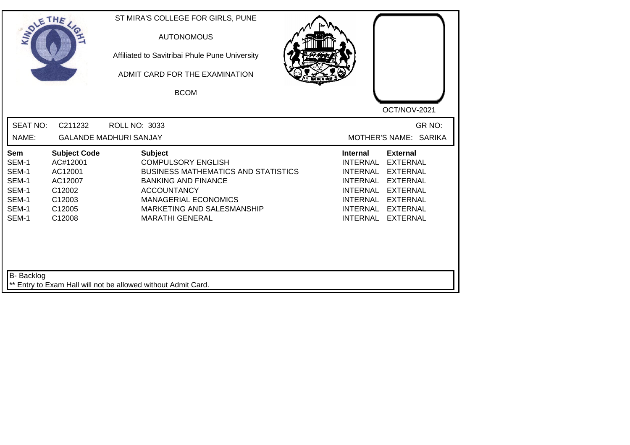|                                                                                                                                              |                                                                                                                                                                                                               |                                                                                                                                                                                                                                                                                                                                                            | OCT/NOV-2021 |
|----------------------------------------------------------------------------------------------------------------------------------------------|---------------------------------------------------------------------------------------------------------------------------------------------------------------------------------------------------------------|------------------------------------------------------------------------------------------------------------------------------------------------------------------------------------------------------------------------------------------------------------------------------------------------------------------------------------------------------------|--------------|
| <b>SEAT NO:</b><br>NAME:                                                                                                                     | C211232<br><b>ROLL NO: 3033</b><br><b>GALANDE MADHURI SANJAY</b>                                                                                                                                              | MOTHER'S NAME: SARIKA                                                                                                                                                                                                                                                                                                                                      | GR NO:       |
| Sem<br>SEM-1<br>AC#12001<br>SEM-1<br>AC12001<br>SEM-1<br>AC12007<br>SEM-1<br>C12002<br>SEM-1<br>C12003<br>SEM-1<br>C12005<br>SEM-1<br>C12008 | <b>Subject Code</b><br><b>Subject</b><br><b>COMPULSORY ENGLISH</b><br><b>BANKING AND FINANCE</b><br><b>ACCOUNTANCY</b><br><b>MANAGERIAL ECONOMICS</b><br>MARKETING AND SALESMANSHIP<br><b>MARATHI GENERAL</b> | <b>Internal</b><br><b>External</b><br><b>INTERNAL</b><br><b>EXTERNAL</b><br><b>BUSINESS MATHEMATICS AND STATISTICS</b><br><b>INTERNAL</b><br><b>EXTERNAL</b><br><b>INTERNAL</b><br><b>EXTERNAL</b><br><b>INTERNAL</b><br><b>EXTERNAL</b><br><b>INTERNAL</b><br><b>EXTERNAL</b><br><b>INTERNAL</b><br><b>EXTERNAL</b><br><b>INTERNAL</b><br><b>EXTERNAL</b> |              |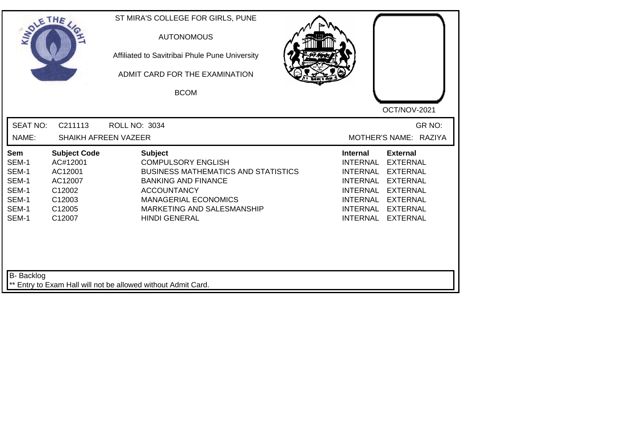| SOLETHE .                                                          |                                                                                                           | ST MIRA'S COLLEGE FOR GIRLS, PUNE<br><b>AUTONOMOUS</b><br>Affiliated to Savitribai Phule Pune University<br>ADMIT CARD FOR THE EXAMINATION<br><b>BCOM</b>                                                                          | OCT/NOV-2021                                                                                                                                                                                                                                                                                                 |
|--------------------------------------------------------------------|-----------------------------------------------------------------------------------------------------------|------------------------------------------------------------------------------------------------------------------------------------------------------------------------------------------------------------------------------------|--------------------------------------------------------------------------------------------------------------------------------------------------------------------------------------------------------------------------------------------------------------------------------------------------------------|
| <b>SEAT NO:</b><br>NAME:                                           | C211113<br><b>SHAIKH AFREEN VAZEER</b>                                                                    | <b>ROLL NO: 3034</b>                                                                                                                                                                                                               | GR NO:<br>MOTHER'S NAME: RAZIYA                                                                                                                                                                                                                                                                              |
| Sem<br>SEM-1<br>SEM-1<br>SEM-1<br>SEM-1<br>SEM-1<br>SEM-1<br>SEM-1 | <b>Subject Code</b><br>AC#12001<br>AC12001<br>AC12007<br>C12002<br>C12003<br>C <sub>12005</sub><br>C12007 | <b>Subject</b><br><b>COMPULSORY ENGLISH</b><br><b>BUSINESS MATHEMATICS AND STATISTICS</b><br><b>BANKING AND FINANCE</b><br><b>ACCOUNTANCY</b><br><b>MANAGERIAL ECONOMICS</b><br>MARKETING AND SALESMANSHIP<br><b>HINDI GENERAL</b> | <b>External</b><br><b>Internal</b><br><b>INTERNAL</b><br><b>EXTERNAL</b><br><b>INTERNAL</b><br><b>EXTERNAL</b><br><b>INTERNAL</b><br><b>EXTERNAL</b><br><b>INTERNAL</b><br><b>EXTERNAL</b><br><b>INTERNAL</b><br><b>EXTERNAL</b><br><b>INTERNAL</b><br><b>EXTERNAL</b><br><b>INTERNAL</b><br><b>EXTERNAL</b> |
| <b>B-</b> Backlog                                                  |                                                                                                           | ** Entry to Exam Hall will not be allowed without Admit Card.                                                                                                                                                                      |                                                                                                                                                                                                                                                                                                              |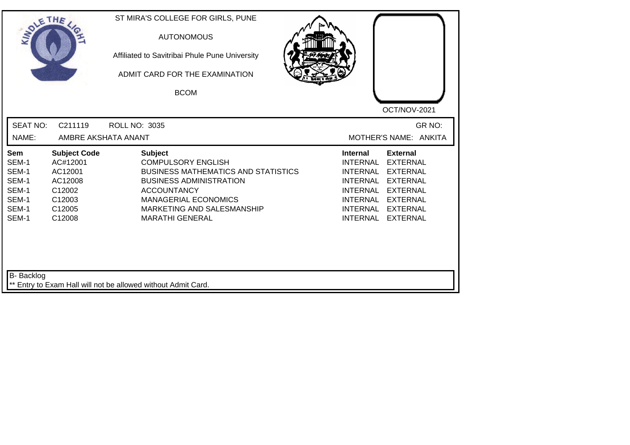| SOLE THE                                                                  |                                                                                               | ST MIRA'S COLLEGE FOR GIRLS, PUNE<br><b>AUTONOMOUS</b><br>Affiliated to Savitribai Phule Pune University<br>ADMIT CARD FOR THE EXAMINATION<br><b>BCOM</b>                                                                                |                                                                                                                                                                                                                                                                                                       |
|---------------------------------------------------------------------------|-----------------------------------------------------------------------------------------------|------------------------------------------------------------------------------------------------------------------------------------------------------------------------------------------------------------------------------------------|-------------------------------------------------------------------------------------------------------------------------------------------------------------------------------------------------------------------------------------------------------------------------------------------------------|
| <b>SEAT NO:</b><br>NAME:                                                  | C211119<br>AMBRE AKSHATA ANANT                                                                | <b>ROLL NO: 3035</b>                                                                                                                                                                                                                     | OCT/NOV-2021<br>GR NO:<br>MOTHER'S NAME: ANKITA                                                                                                                                                                                                                                                       |
| <b>Sem</b><br>SEM-1<br>SEM-1<br>SEM-1<br>SEM-1<br>SEM-1<br>SEM-1<br>SEM-1 | <b>Subject Code</b><br>AC#12001<br>AC12001<br>AC12008<br>C12002<br>C12003<br>C12005<br>C12008 | <b>Subject</b><br><b>COMPULSORY ENGLISH</b><br><b>BUSINESS MATHEMATICS AND STATISTICS</b><br><b>BUSINESS ADMINISTRATION</b><br><b>ACCOUNTANCY</b><br><b>MANAGERIAL ECONOMICS</b><br>MARKETING AND SALESMANSHIP<br><b>MARATHI GENERAL</b> | <b>External</b><br><b>Internal</b><br><b>INTERNAL</b><br><b>EXTERNAL</b><br><b>INTERNAL</b><br><b>EXTERNAL</b><br><b>INTERNAL</b><br><b>EXTERNAL</b><br><b>INTERNAL</b><br><b>EXTERNAL</b><br><b>INTERNAL</b><br><b>EXTERNAL</b><br>INTERNAL<br><b>EXTERNAL</b><br><b>INTERNAL</b><br><b>EXTERNAL</b> |
| B- Backlog                                                                |                                                                                               | ** Entry to Exam Hall will not be allowed without Admit Card.                                                                                                                                                                            |                                                                                                                                                                                                                                                                                                       |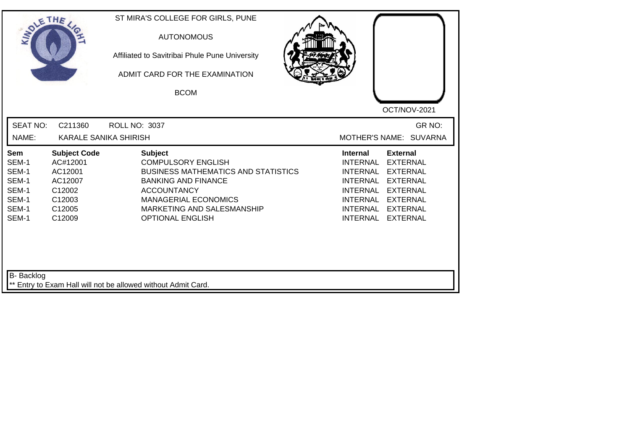| <b>SEAT NO:</b><br>GR NO:<br>C211360<br><b>ROLL NO: 3037</b><br>NAME:<br><b>KARALE SANIKA SHIRISH</b><br>MOTHER'S NAME: SUVARNA<br><b>Subject Code</b><br><b>Subject</b><br><b>Internal</b><br><b>External</b><br>Sem<br>SEM-1<br>AC#12001<br><b>COMPULSORY ENGLISH</b><br><b>INTERNAL</b><br><b>EXTERNAL</b><br>SEM-1<br>AC12001<br><b>BUSINESS MATHEMATICS AND STATISTICS</b><br><b>INTERNAL</b><br><b>EXTERNAL</b><br>SEM-1<br>AC12007<br><b>BANKING AND FINANCE</b><br><b>INTERNAL</b><br><b>EXTERNAL</b><br>SEM-1<br>C12002<br><b>ACCOUNTANCY</b><br><b>INTERNAL</b><br><b>EXTERNAL</b><br>SEM-1<br>C12003<br><b>MANAGERIAL ECONOMICS</b><br>INTERNAL<br><b>EXTERNAL</b><br>SEM-1<br>C12005<br>MARKETING AND SALESMANSHIP<br><b>INTERNAL</b><br><b>EXTERNAL</b><br>SEM-1<br>C12009<br><b>OPTIONAL ENGLISH</b><br><b>INTERNAL</b><br><b>EXTERNAL</b> | SOLETHE . | ST MIRA'S COLLEGE FOR GIRLS, PUNE<br><b>AUTONOMOUS</b><br>Affiliated to Savitribai Phule Pune University<br>ADMIT CARD FOR THE EXAMINATION<br><b>BCOM</b> | OCT/NOV-2021 |
|----------------------------------------------------------------------------------------------------------------------------------------------------------------------------------------------------------------------------------------------------------------------------------------------------------------------------------------------------------------------------------------------------------------------------------------------------------------------------------------------------------------------------------------------------------------------------------------------------------------------------------------------------------------------------------------------------------------------------------------------------------------------------------------------------------------------------------------------------------|-----------|-----------------------------------------------------------------------------------------------------------------------------------------------------------|--------------|
|                                                                                                                                                                                                                                                                                                                                                                                                                                                                                                                                                                                                                                                                                                                                                                                                                                                          |           |                                                                                                                                                           |              |
|                                                                                                                                                                                                                                                                                                                                                                                                                                                                                                                                                                                                                                                                                                                                                                                                                                                          |           |                                                                                                                                                           |              |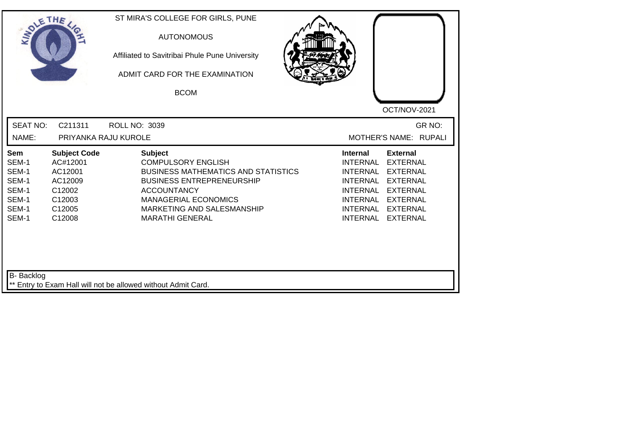| SOLE THE                                                           |                                                                                               | ST MIRA'S COLLEGE FOR GIRLS, PUNE<br><b>AUTONOMOUS</b><br>Affiliated to Savitribai Phule Pune University<br>ADMIT CARD FOR THE EXAMINATION<br><b>BCOM</b>                                                                                  | OCT/NOV-2021                                                                                                                                                                                                                                                                                          |
|--------------------------------------------------------------------|-----------------------------------------------------------------------------------------------|--------------------------------------------------------------------------------------------------------------------------------------------------------------------------------------------------------------------------------------------|-------------------------------------------------------------------------------------------------------------------------------------------------------------------------------------------------------------------------------------------------------------------------------------------------------|
| <b>SEAT NO:</b><br>NAME:                                           | C211311<br>PRIYANKA RAJU KUROLE                                                               | <b>ROLL NO: 3039</b>                                                                                                                                                                                                                       | GR NO:<br>MOTHER'S NAME: RUPALI                                                                                                                                                                                                                                                                       |
| Sem<br>SEM-1<br>SEM-1<br>SEM-1<br>SEM-1<br>SEM-1<br>SEM-1<br>SEM-1 | <b>Subject Code</b><br>AC#12001<br>AC12001<br>AC12009<br>C12002<br>C12003<br>C12005<br>C12008 | <b>Subject</b><br><b>COMPULSORY ENGLISH</b><br><b>BUSINESS MATHEMATICS AND STATISTICS</b><br><b>BUSINESS ENTREPRENEURSHIP</b><br><b>ACCOUNTANCY</b><br><b>MANAGERIAL ECONOMICS</b><br>MARKETING AND SALESMANSHIP<br><b>MARATHI GENERAL</b> | <b>Internal</b><br><b>External</b><br><b>INTERNAL</b><br><b>EXTERNAL</b><br><b>INTERNAL</b><br><b>EXTERNAL</b><br><b>INTERNAL</b><br><b>EXTERNAL</b><br><b>INTERNAL</b><br><b>EXTERNAL</b><br>INTERNAL<br><b>EXTERNAL</b><br><b>INTERNAL</b><br><b>EXTERNAL</b><br><b>INTERNAL</b><br><b>EXTERNAL</b> |
| <b>B-</b> Backlog                                                  |                                                                                               | ** Entry to Exam Hall will not be allowed without Admit Card.                                                                                                                                                                              |                                                                                                                                                                                                                                                                                                       |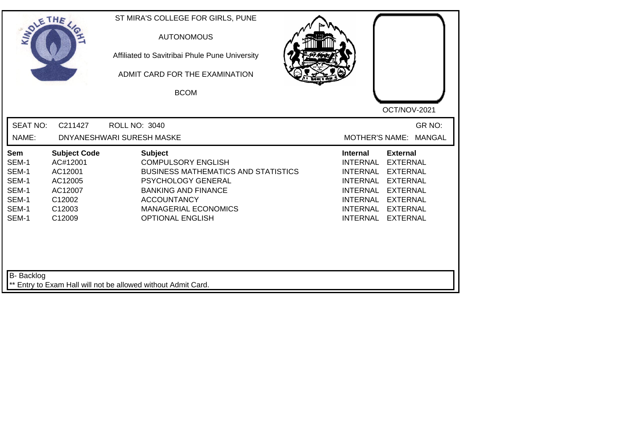| SOLETHE .                                                          |                                                                                                | ST MIRA'S COLLEGE FOR GIRLS, PUNE<br><b>AUTONOMOUS</b><br>Affiliated to Savitribai Phule Pune University<br>ADMIT CARD FOR THE EXAMINATION<br><b>BCOM</b>                                                                     |                                                                                                                                                      |                                                                                                                                                      |
|--------------------------------------------------------------------|------------------------------------------------------------------------------------------------|-------------------------------------------------------------------------------------------------------------------------------------------------------------------------------------------------------------------------------|------------------------------------------------------------------------------------------------------------------------------------------------------|------------------------------------------------------------------------------------------------------------------------------------------------------|
| <b>SEAT NO:</b><br>NAME:                                           | C211427                                                                                        | <b>ROLL NO: 3040</b><br>DNYANESHWARI SURESH MASKE                                                                                                                                                                             |                                                                                                                                                      | OCT/NOV-2021<br>GR NO:<br><b>MANGAL</b><br><b>MOTHER'S NAME:</b>                                                                                     |
| Sem<br>SEM-1<br>SEM-1<br>SEM-1<br>SEM-1<br>SEM-1<br>SEM-1<br>SEM-1 | <b>Subject Code</b><br>AC#12001<br>AC12001<br>AC12005<br>AC12007<br>C12002<br>C12003<br>C12009 | <b>Subject</b><br><b>COMPULSORY ENGLISH</b><br><b>BUSINESS MATHEMATICS AND STATISTICS</b><br>PSYCHOLOGY GENERAL<br><b>BANKING AND FINANCE</b><br><b>ACCOUNTANCY</b><br><b>MANAGERIAL ECONOMICS</b><br><b>OPTIONAL ENGLISH</b> | <b>Internal</b><br><b>INTERNAL</b><br><b>INTERNAL</b><br><b>INTERNAL</b><br><b>INTERNAL</b><br><b>INTERNAL</b><br><b>INTERNAL</b><br><b>INTERNAL</b> | <b>External</b><br><b>EXTERNAL</b><br><b>EXTERNAL</b><br><b>EXTERNAL</b><br><b>EXTERNAL</b><br><b>EXTERNAL</b><br><b>EXTERNAL</b><br><b>EXTERNAL</b> |
| B- Backlog                                                         |                                                                                                | ** Entry to Exam Hall will not be allowed without Admit Card.                                                                                                                                                                 |                                                                                                                                                      |                                                                                                                                                      |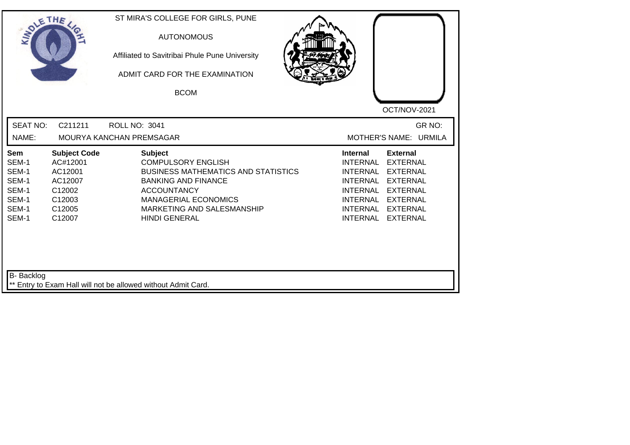| SOLETHE ,                                                          |                                                                                               | ST MIRA'S COLLEGE FOR GIRLS, PUNE<br><b>AUTONOMOUS</b><br>Affiliated to Savitribai Phule Pune University<br>ADMIT CARD FOR THE EXAMINATION<br><b>BCOM</b>                                                                          | OCT/NOV-2021                                                                                                                                                                                                                                                                                                 |
|--------------------------------------------------------------------|-----------------------------------------------------------------------------------------------|------------------------------------------------------------------------------------------------------------------------------------------------------------------------------------------------------------------------------------|--------------------------------------------------------------------------------------------------------------------------------------------------------------------------------------------------------------------------------------------------------------------------------------------------------------|
| <b>SEAT NO:</b><br>NAME:                                           | C211211                                                                                       | <b>ROLL NO: 3041</b><br>MOURYA KANCHAN PREMSAGAR                                                                                                                                                                                   | GR NO:<br>MOTHER'S NAME: URMILA                                                                                                                                                                                                                                                                              |
| Sem<br>SEM-1<br>SEM-1<br>SEM-1<br>SEM-1<br>SEM-1<br>SEM-1<br>SEM-1 | <b>Subject Code</b><br>AC#12001<br>AC12001<br>AC12007<br>C12002<br>C12003<br>C12005<br>C12007 | <b>Subject</b><br><b>COMPULSORY ENGLISH</b><br><b>BUSINESS MATHEMATICS AND STATISTICS</b><br><b>BANKING AND FINANCE</b><br><b>ACCOUNTANCY</b><br><b>MANAGERIAL ECONOMICS</b><br>MARKETING AND SALESMANSHIP<br><b>HINDI GENERAL</b> | <b>Internal</b><br><b>External</b><br><b>INTERNAL</b><br><b>EXTERNAL</b><br><b>INTERNAL</b><br><b>EXTERNAL</b><br><b>INTERNAL</b><br><b>EXTERNAL</b><br><b>INTERNAL</b><br><b>EXTERNAL</b><br><b>INTERNAL</b><br><b>EXTERNAL</b><br><b>INTERNAL</b><br><b>EXTERNAL</b><br><b>INTERNAL</b><br><b>EXTERNAL</b> |
| B- Backlog                                                         |                                                                                               | ** Entry to Exam Hall will not be allowed without Admit Card.                                                                                                                                                                      |                                                                                                                                                                                                                                                                                                              |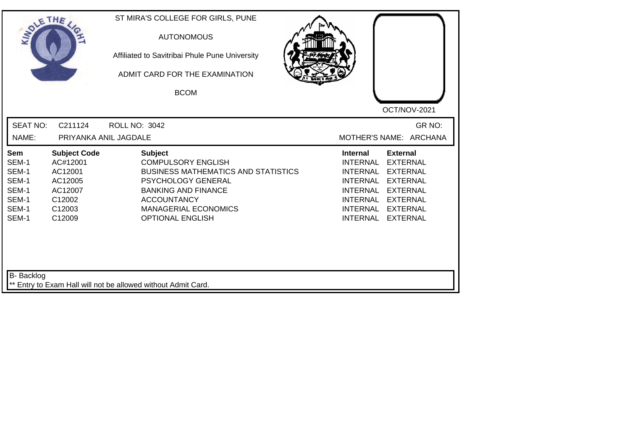| SOLETHE .                                                          |                                                                                                | ST MIRA'S COLLEGE FOR GIRLS, PUNE<br><b>AUTONOMOUS</b><br>Affiliated to Savitribai Phule Pune University<br>ADMIT CARD FOR THE EXAMINATION<br><b>BCOM</b>                                                                            |                                                                                                                                                      | OCT/NOV-2021                                                                                                                                         |
|--------------------------------------------------------------------|------------------------------------------------------------------------------------------------|--------------------------------------------------------------------------------------------------------------------------------------------------------------------------------------------------------------------------------------|------------------------------------------------------------------------------------------------------------------------------------------------------|------------------------------------------------------------------------------------------------------------------------------------------------------|
| <b>SEAT NO:</b><br>NAME:                                           | C211124<br>PRIYANKA ANIL JAGDALE                                                               | <b>ROLL NO: 3042</b>                                                                                                                                                                                                                 |                                                                                                                                                      | GR NO:<br>MOTHER'S NAME: ARCHANA                                                                                                                     |
| Sem<br>SEM-1<br>SEM-1<br>SEM-1<br>SEM-1<br>SEM-1<br>SEM-1<br>SEM-1 | <b>Subject Code</b><br>AC#12001<br>AC12001<br>AC12005<br>AC12007<br>C12002<br>C12003<br>C12009 | <b>Subject</b><br><b>COMPULSORY ENGLISH</b><br><b>BUSINESS MATHEMATICS AND STATISTICS</b><br><b>PSYCHOLOGY GENERAL</b><br><b>BANKING AND FINANCE</b><br><b>ACCOUNTANCY</b><br><b>MANAGERIAL ECONOMICS</b><br><b>OPTIONAL ENGLISH</b> | <b>Internal</b><br><b>INTERNAL</b><br><b>INTERNAL</b><br><b>INTERNAL</b><br><b>INTERNAL</b><br><b>INTERNAL</b><br><b>INTERNAL</b><br><b>INTERNAL</b> | <b>External</b><br><b>EXTERNAL</b><br><b>EXTERNAL</b><br><b>EXTERNAL</b><br><b>EXTERNAL</b><br><b>EXTERNAL</b><br><b>EXTERNAL</b><br><b>EXTERNAL</b> |
| <b>B-</b> Backlog                                                  |                                                                                                | ** Entry to Exam Hall will not be allowed without Admit Card.                                                                                                                                                                        |                                                                                                                                                      |                                                                                                                                                      |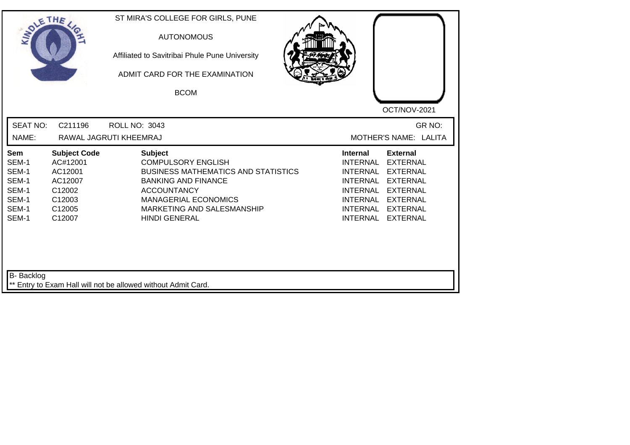| <b>SEAT NO:</b><br>GR NO:<br>C211196<br><b>ROLL NO: 3043</b><br>NAME:<br>MOTHER'S NAME: LALITA<br>RAWAL JAGRUTI KHEEMRAJ<br><b>Subject</b><br><b>Subject Code</b><br><b>Internal</b><br><b>External</b><br>Sem<br>SEM-1<br>AC#12001<br><b>COMPULSORY ENGLISH</b><br><b>INTERNAL</b><br><b>EXTERNAL</b><br>SEM-1<br>AC12001<br><b>BUSINESS MATHEMATICS AND STATISTICS</b><br><b>INTERNAL</b><br><b>EXTERNAL</b><br>SEM-1<br><b>BANKING AND FINANCE</b><br><b>INTERNAL</b><br><b>EXTERNAL</b><br>AC12007<br>SEM-1<br>C12002<br><b>ACCOUNTANCY</b><br><b>INTERNAL</b><br><b>EXTERNAL</b><br>SEM-1<br>C12003<br><b>MANAGERIAL ECONOMICS</b><br>INTERNAL<br><b>EXTERNAL</b><br>SEM-1<br>C12005<br>MARKETING AND SALESMANSHIP<br><b>INTERNAL</b><br><b>EXTERNAL</b><br>SEM-1<br><b>INTERNAL</b><br>C12007<br><b>HINDI GENERAL</b><br><b>EXTERNAL</b> | SOLETHE , | ST MIRA'S COLLEGE FOR GIRLS, PUNE<br><b>AUTONOMOUS</b><br>Affiliated to Savitribai Phule Pune University<br>ADMIT CARD FOR THE EXAMINATION<br><b>BCOM</b> | OCT/NOV-2021 |
|------------------------------------------------------------------------------------------------------------------------------------------------------------------------------------------------------------------------------------------------------------------------------------------------------------------------------------------------------------------------------------------------------------------------------------------------------------------------------------------------------------------------------------------------------------------------------------------------------------------------------------------------------------------------------------------------------------------------------------------------------------------------------------------------------------------------------------------------|-----------|-----------------------------------------------------------------------------------------------------------------------------------------------------------|--------------|
|                                                                                                                                                                                                                                                                                                                                                                                                                                                                                                                                                                                                                                                                                                                                                                                                                                                |           |                                                                                                                                                           |              |
|                                                                                                                                                                                                                                                                                                                                                                                                                                                                                                                                                                                                                                                                                                                                                                                                                                                |           |                                                                                                                                                           |              |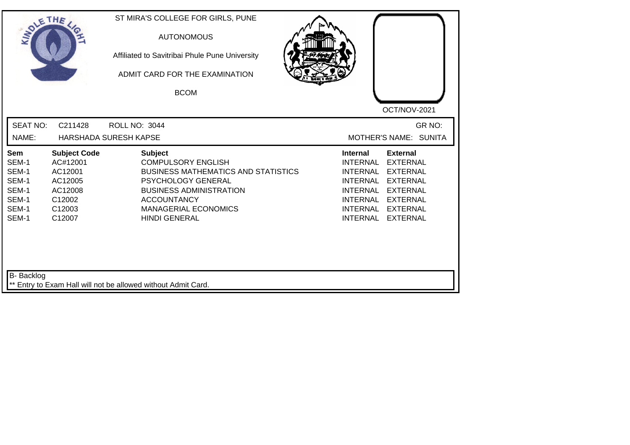| SOLETHE .                                                          |                                                                                                            | ST MIRA'S COLLEGE FOR GIRLS, PUNE<br><b>AUTONOMOUS</b><br>Affiliated to Savitribai Phule Pune University<br>ADMIT CARD FOR THE EXAMINATION<br><b>BCOM</b>                                                                             | OCT/NOV-2021                                                                                                                                                                                                                                                 |
|--------------------------------------------------------------------|------------------------------------------------------------------------------------------------------------|---------------------------------------------------------------------------------------------------------------------------------------------------------------------------------------------------------------------------------------|--------------------------------------------------------------------------------------------------------------------------------------------------------------------------------------------------------------------------------------------------------------|
| <b>SEAT NO:</b>                                                    | C211428                                                                                                    | <b>ROLL NO: 3044</b>                                                                                                                                                                                                                  | GR NO:                                                                                                                                                                                                                                                       |
| NAME:                                                              |                                                                                                            | <b>HARSHADA SURESH KAPSE</b>                                                                                                                                                                                                          | MOTHER'S NAME: SUNITA                                                                                                                                                                                                                                        |
| Sem<br>SEM-1<br>SEM-1<br>SEM-1<br>SEM-1<br>SEM-1<br>SEM-1<br>SEM-1 | <b>Subject Code</b><br>AC#12001<br>AC12001<br>AC12005<br>AC12008<br>C12002<br>C <sub>12003</sub><br>C12007 | <b>Subject</b><br><b>COMPULSORY ENGLISH</b><br><b>BUSINESS MATHEMATICS AND STATISTICS</b><br><b>PSYCHOLOGY GENERAL</b><br><b>BUSINESS ADMINISTRATION</b><br><b>ACCOUNTANCY</b><br><b>MANAGERIAL ECONOMICS</b><br><b>HINDI GENERAL</b> | <b>External</b><br><b>Internal</b><br>INTERNAL<br><b>EXTERNAL</b><br><b>INTERNAL</b><br><b>EXTERNAL</b><br><b>EXTERNAL</b><br>INTERNAL<br><b>INTERNAL</b><br><b>EXTERNAL</b><br>INTERNAL EXTERNAL<br><b>INTERNAL</b><br><b>EXTERNAL</b><br>INTERNAL EXTERNAL |
| <b>B-</b> Backlog                                                  |                                                                                                            | ** Entry to Exam Hall will not be allowed without Admit Card.                                                                                                                                                                         |                                                                                                                                                                                                                                                              |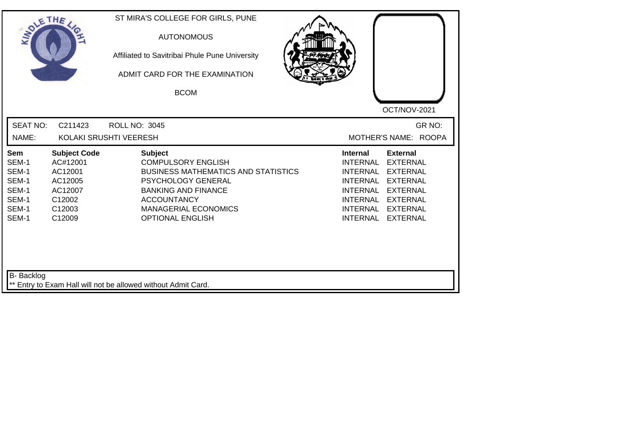| SOLETHE .                                                                 |                                                                                                            | ST MIRA'S COLLEGE FOR GIRLS, PUNE<br><b>AUTONOMOUS</b><br>Affiliated to Savitribai Phule Pune University<br>ADMIT CARD FOR THE EXAMINATION<br><b>BCOM</b>                                                                     | OCT/NOV-2021                                                                                                                                                                                                                                                                                                 |
|---------------------------------------------------------------------------|------------------------------------------------------------------------------------------------------------|-------------------------------------------------------------------------------------------------------------------------------------------------------------------------------------------------------------------------------|--------------------------------------------------------------------------------------------------------------------------------------------------------------------------------------------------------------------------------------------------------------------------------------------------------------|
| <b>SEAT NO:</b><br>NAME:                                                  | C211423                                                                                                    | <b>ROLL NO: 3045</b><br>KOLAKI SRUSHTI VEERESH                                                                                                                                                                                | GR NO:<br>MOTHER'S NAME: ROOPA                                                                                                                                                                                                                                                                               |
| <b>Sem</b><br>SEM-1<br>SEM-1<br>SEM-1<br>SEM-1<br>SEM-1<br>SEM-1<br>SEM-1 | <b>Subject Code</b><br>AC#12001<br>AC12001<br>AC12005<br>AC12007<br>C12002<br>C <sub>12003</sub><br>C12009 | <b>Subject</b><br><b>COMPULSORY ENGLISH</b><br><b>BUSINESS MATHEMATICS AND STATISTICS</b><br>PSYCHOLOGY GENERAL<br><b>BANKING AND FINANCE</b><br><b>ACCOUNTANCY</b><br><b>MANAGERIAL ECONOMICS</b><br><b>OPTIONAL ENGLISH</b> | <b>External</b><br><b>Internal</b><br><b>INTERNAL</b><br><b>EXTERNAL</b><br><b>INTERNAL</b><br><b>EXTERNAL</b><br><b>INTERNAL</b><br><b>EXTERNAL</b><br><b>INTERNAL</b><br><b>EXTERNAL</b><br><b>INTERNAL</b><br><b>EXTERNAL</b><br><b>INTERNAL</b><br><b>EXTERNAL</b><br><b>INTERNAL</b><br><b>EXTERNAL</b> |
| <b>B-</b> Backlog                                                         |                                                                                                            | ** Entry to Exam Hall will not be allowed without Admit Card.                                                                                                                                                                 |                                                                                                                                                                                                                                                                                                              |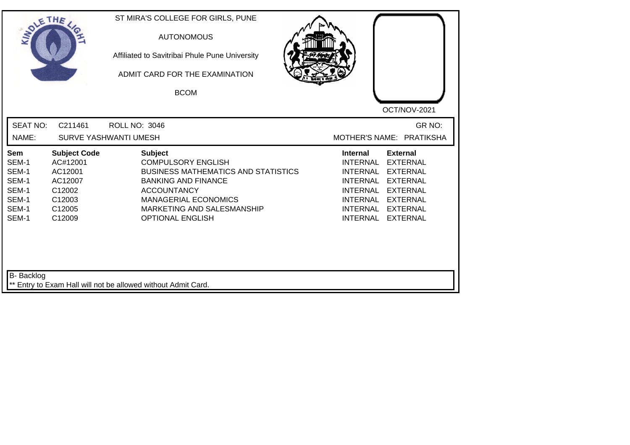| SOLETHE .                                                          |                                                                                                           | ST MIRA'S COLLEGE FOR GIRLS, PUNE<br><b>AUTONOMOUS</b><br>Affiliated to Savitribai Phule Pune University<br>ADMIT CARD FOR THE EXAMINATION<br><b>BCOM</b>                                                                             | OCT/NOV-2021                                                                                                                                                                                                                                                                                |
|--------------------------------------------------------------------|-----------------------------------------------------------------------------------------------------------|---------------------------------------------------------------------------------------------------------------------------------------------------------------------------------------------------------------------------------------|---------------------------------------------------------------------------------------------------------------------------------------------------------------------------------------------------------------------------------------------------------------------------------------------|
| <b>SEAT NO:</b><br>NAME:                                           | C211461                                                                                                   | <b>ROLL NO: 3046</b><br><b>SURVE YASHWANTI UMESH</b>                                                                                                                                                                                  | GR NO:<br>MOTHER'S NAME: PRATIKSHA                                                                                                                                                                                                                                                          |
| Sem<br>SEM-1<br>SEM-1<br>SEM-1<br>SEM-1<br>SEM-1<br>SEM-1<br>SEM-1 | <b>Subject Code</b><br>AC#12001<br>AC12001<br>AC12007<br>C12002<br>C12003<br>C <sub>12005</sub><br>C12009 | <b>Subject</b><br><b>COMPULSORY ENGLISH</b><br><b>BUSINESS MATHEMATICS AND STATISTICS</b><br><b>BANKING AND FINANCE</b><br><b>ACCOUNTANCY</b><br><b>MANAGERIAL ECONOMICS</b><br>MARKETING AND SALESMANSHIP<br><b>OPTIONAL ENGLISH</b> | <b>External</b><br><b>Internal</b><br><b>INTERNAL</b><br><b>EXTERNAL</b><br><b>INTERNAL</b><br><b>EXTERNAL</b><br><b>INTERNAL</b><br><b>EXTERNAL</b><br><b>INTERNAL</b><br><b>EXTERNAL</b><br>INTERNAL EXTERNAL<br><b>INTERNAL</b><br><b>EXTERNAL</b><br><b>INTERNAL</b><br><b>EXTERNAL</b> |
| B- Backlog                                                         |                                                                                                           | ** Entry to Exam Hall will not be allowed without Admit Card.                                                                                                                                                                         |                                                                                                                                                                                                                                                                                             |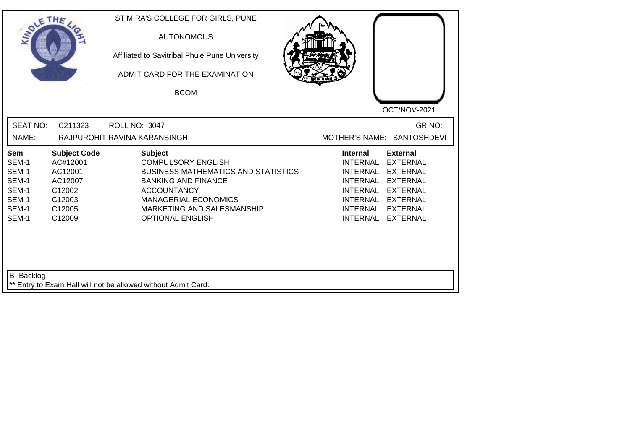| SOLETHE,                                                                  |                                                                                               | ST MIRA'S COLLEGE FOR GIRLS, PUNE<br><b>AUTONOMOUS</b><br>Affiliated to Savitribai Phule Pune University<br>ADMIT CARD FOR THE EXAMINATION<br><b>BCOM</b>                                                                             | OCT/NOV-2021                                                                                                                                                                                                                                                                                                 |
|---------------------------------------------------------------------------|-----------------------------------------------------------------------------------------------|---------------------------------------------------------------------------------------------------------------------------------------------------------------------------------------------------------------------------------------|--------------------------------------------------------------------------------------------------------------------------------------------------------------------------------------------------------------------------------------------------------------------------------------------------------------|
| <b>SEAT NO:</b><br>NAME:                                                  | C211323                                                                                       | <b>ROLL NO: 3047</b><br>RAJPUROHIT RAVINA KARANSINGH                                                                                                                                                                                  | GR NO:<br>MOTHER'S NAME: SANTOSHDEVI                                                                                                                                                                                                                                                                         |
| <b>Sem</b><br>SEM-1<br>SEM-1<br>SEM-1<br>SEM-1<br>SEM-1<br>SEM-1<br>SEM-1 | <b>Subject Code</b><br>AC#12001<br>AC12001<br>AC12007<br>C12002<br>C12003<br>C12005<br>C12009 | <b>Subject</b><br><b>COMPULSORY ENGLISH</b><br><b>BUSINESS MATHEMATICS AND STATISTICS</b><br><b>BANKING AND FINANCE</b><br><b>ACCOUNTANCY</b><br><b>MANAGERIAL ECONOMICS</b><br>MARKETING AND SALESMANSHIP<br><b>OPTIONAL ENGLISH</b> | <b>External</b><br><b>Internal</b><br><b>INTERNAL</b><br><b>EXTERNAL</b><br><b>INTERNAL</b><br><b>EXTERNAL</b><br><b>EXTERNAL</b><br><b>INTERNAL</b><br><b>INTERNAL</b><br><b>EXTERNAL</b><br><b>INTERNAL</b><br><b>EXTERNAL</b><br><b>INTERNAL</b><br><b>EXTERNAL</b><br><b>INTERNAL</b><br><b>EXTERNAL</b> |
| B- Backlog                                                                |                                                                                               | ** Entry to Exam Hall will not be allowed without Admit Card.                                                                                                                                                                         |                                                                                                                                                                                                                                                                                                              |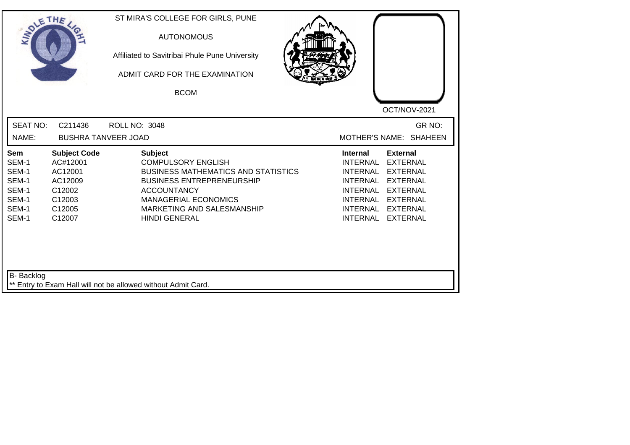| <b>SOLETHE</b>                                                     |                                                                                               | ST MIRA'S COLLEGE FOR GIRLS, PUNE<br><b>AUTONOMOUS</b><br>Affiliated to Savitribai Phule Pune University<br>ADMIT CARD FOR THE EXAMINATION<br><b>BCOM</b>                                                                                |                                                                                                                                                                                                                                                                                         |
|--------------------------------------------------------------------|-----------------------------------------------------------------------------------------------|------------------------------------------------------------------------------------------------------------------------------------------------------------------------------------------------------------------------------------------|-----------------------------------------------------------------------------------------------------------------------------------------------------------------------------------------------------------------------------------------------------------------------------------------|
| <b>SEAT NO:</b><br>NAME:                                           | C211436<br><b>BUSHRA TANVEER JOAD</b>                                                         | <b>ROLL NO: 3048</b>                                                                                                                                                                                                                     | OCT/NOV-2021<br>GR NO:<br>MOTHER'S NAME: SHAHEEN                                                                                                                                                                                                                                        |
| Sem<br>SEM-1<br>SEM-1<br>SEM-1<br>SEM-1<br>SEM-1<br>SEM-1<br>SEM-1 | <b>Subject Code</b><br>AC#12001<br>AC12001<br>AC12009<br>C12002<br>C12003<br>C12005<br>C12007 | <b>Subject</b><br><b>COMPULSORY ENGLISH</b><br><b>BUSINESS MATHEMATICS AND STATISTICS</b><br><b>BUSINESS ENTREPRENEURSHIP</b><br><b>ACCOUNTANCY</b><br><b>MANAGERIAL ECONOMICS</b><br>MARKETING AND SALESMANSHIP<br><b>HINDI GENERAL</b> | <b>External</b><br><b>Internal</b><br>INTERNAL<br><b>EXTERNAL</b><br>INTERNAL<br><b>EXTERNAL</b><br>INTERNAL<br><b>EXTERNAL</b><br><b>INTERNAL</b><br><b>EXTERNAL</b><br><b>INTERNAL</b><br><b>EXTERNAL</b><br><b>INTERNAL</b><br><b>EXTERNAL</b><br><b>INTERNAL</b><br><b>EXTERNAL</b> |
| <b>B-</b> Backlog                                                  |                                                                                               | ** Entry to Exam Hall will not be allowed without Admit Card.                                                                                                                                                                            |                                                                                                                                                                                                                                                                                         |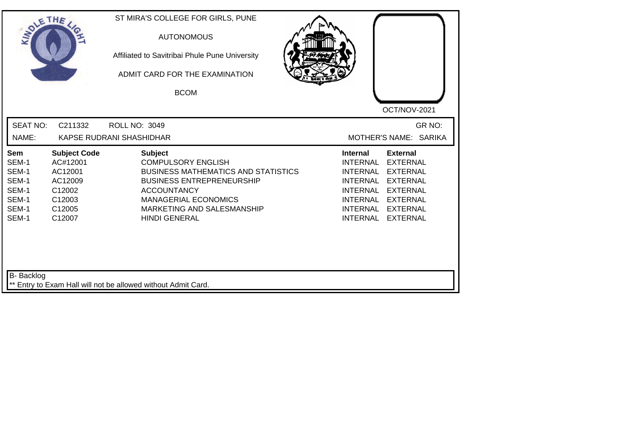| <b>SEAT NO:</b><br>C211332<br><b>ROLL NO: 3049</b><br>NAME:<br>KAPSE RUDRANI SHASHIDHAR<br><b>Subject</b><br><b>Subject Code</b><br><b>Internal</b><br><b>External</b><br>Sem<br>SEM-1<br>AC#12001<br><b>COMPULSORY ENGLISH</b><br><b>INTERNAL</b><br><b>EXTERNAL</b><br>SEM-1<br>AC12001<br><b>BUSINESS MATHEMATICS AND STATISTICS</b><br><b>INTERNAL</b><br><b>EXTERNAL</b><br>SEM-1<br><b>BUSINESS ENTREPRENEURSHIP</b><br><b>INTERNAL</b><br><b>EXTERNAL</b><br>AC12009<br>SEM-1<br>C12002<br><b>ACCOUNTANCY</b><br><b>INTERNAL</b><br><b>EXTERNAL</b><br>SEM-1<br>C12003<br><b>MANAGERIAL ECONOMICS</b><br>INTERNAL<br><b>EXTERNAL</b><br>SEM-1<br>C12005<br>MARKETING AND SALESMANSHIP<br><b>INTERNAL</b><br><b>EXTERNAL</b><br>SEM-1<br><b>INTERNAL</b><br>C12007<br><b>HINDI GENERAL</b><br><b>EXTERNAL</b> | SOLETHE . | ST MIRA'S COLLEGE FOR GIRLS, PUNE<br><b>AUTONOMOUS</b><br>Affiliated to Savitribai Phule Pune University<br>ADMIT CARD FOR THE EXAMINATION<br><b>BCOM</b> | OCT/NOV-2021                    |
|---------------------------------------------------------------------------------------------------------------------------------------------------------------------------------------------------------------------------------------------------------------------------------------------------------------------------------------------------------------------------------------------------------------------------------------------------------------------------------------------------------------------------------------------------------------------------------------------------------------------------------------------------------------------------------------------------------------------------------------------------------------------------------------------------------------------|-----------|-----------------------------------------------------------------------------------------------------------------------------------------------------------|---------------------------------|
|                                                                                                                                                                                                                                                                                                                                                                                                                                                                                                                                                                                                                                                                                                                                                                                                                     |           |                                                                                                                                                           | GR NO:<br>MOTHER'S NAME: SARIKA |
|                                                                                                                                                                                                                                                                                                                                                                                                                                                                                                                                                                                                                                                                                                                                                                                                                     |           |                                                                                                                                                           |                                 |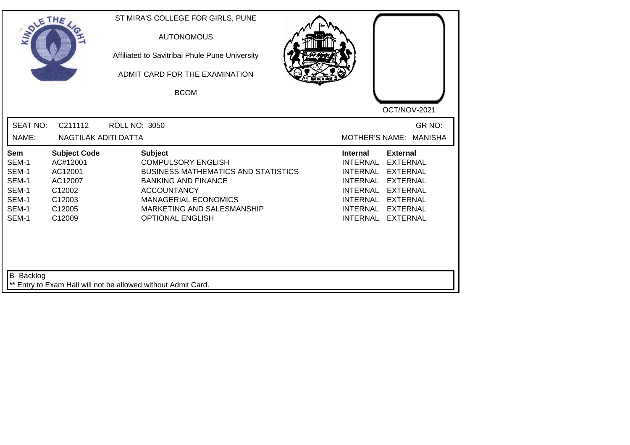| SOLETHE ,                                                          |                                                                                               | ST MIRA'S COLLEGE FOR GIRLS, PUNE<br><b>AUTONOMOUS</b><br>Affiliated to Savitribai Phule Pune University<br>ADMIT CARD FOR THE EXAMINATION<br><b>BCOM</b>                                                                             | OCT/NOV-2021                                                                                                                                                                                                                                                                                                 |
|--------------------------------------------------------------------|-----------------------------------------------------------------------------------------------|---------------------------------------------------------------------------------------------------------------------------------------------------------------------------------------------------------------------------------------|--------------------------------------------------------------------------------------------------------------------------------------------------------------------------------------------------------------------------------------------------------------------------------------------------------------|
| <b>SEAT NO:</b><br>NAME:                                           | C211112<br>NAGTILAK ADITI DATTA                                                               | <b>ROLL NO: 3050</b>                                                                                                                                                                                                                  | GR NO:<br><b>MOTHER'S NAME:</b><br><b>MANISHA</b>                                                                                                                                                                                                                                                            |
| Sem<br>SEM-1<br>SEM-1<br>SEM-1<br>SEM-1<br>SEM-1<br>SEM-1<br>SEM-1 | <b>Subject Code</b><br>AC#12001<br>AC12001<br>AC12007<br>C12002<br>C12003<br>C12005<br>C12009 | <b>Subject</b><br><b>COMPULSORY ENGLISH</b><br><b>BUSINESS MATHEMATICS AND STATISTICS</b><br><b>BANKING AND FINANCE</b><br><b>ACCOUNTANCY</b><br><b>MANAGERIAL ECONOMICS</b><br>MARKETING AND SALESMANSHIP<br><b>OPTIONAL ENGLISH</b> | <b>External</b><br><b>Internal</b><br><b>INTERNAL</b><br><b>EXTERNAL</b><br><b>EXTERNAL</b><br><b>INTERNAL</b><br><b>EXTERNAL</b><br><b>INTERNAL</b><br><b>INTERNAL</b><br><b>EXTERNAL</b><br><b>INTERNAL</b><br><b>EXTERNAL</b><br><b>INTERNAL</b><br><b>EXTERNAL</b><br><b>INTERNAL</b><br><b>EXTERNAL</b> |
| <b>B-</b> Backlog                                                  |                                                                                               | ** Entry to Exam Hall will not be allowed without Admit Card.                                                                                                                                                                         |                                                                                                                                                                                                                                                                                                              |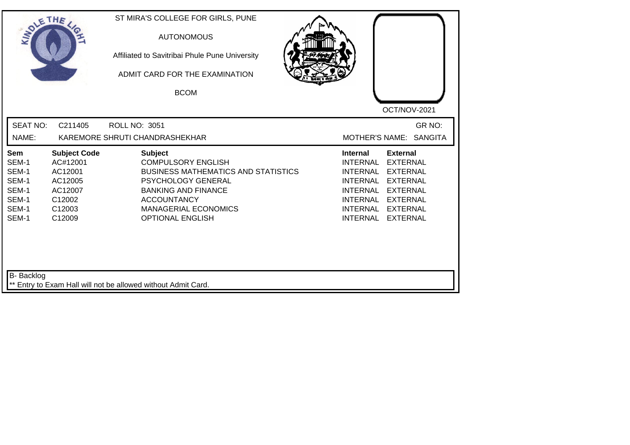| <b>SEAT NO:</b><br>GR NO:<br>C211405<br><b>ROLL NO: 3051</b><br>NAME:<br>KAREMORE SHRUTI CHANDRASHEKHAR<br>MOTHER'S NAME: SANGITA<br><b>Subject Code</b><br><b>Subject</b><br><b>Internal</b><br><b>External</b><br>Sem<br>SEM-1<br>AC#12001<br><b>COMPULSORY ENGLISH</b><br><b>INTERNAL</b><br><b>EXTERNAL</b><br>SEM-1<br>AC12001<br><b>BUSINESS MATHEMATICS AND STATISTICS</b><br><b>INTERNAL</b><br><b>EXTERNAL</b><br>SEM-1<br>AC12005<br>PSYCHOLOGY GENERAL<br><b>INTERNAL</b><br><b>EXTERNAL</b><br>SEM-1<br>AC12007<br><b>BANKING AND FINANCE</b><br><b>INTERNAL</b><br><b>EXTERNAL</b><br><b>ACCOUNTANCY</b><br>SEM-1<br>C12002<br><b>INTERNAL</b><br><b>EXTERNAL</b><br>SEM-1<br>C12003<br><b>MANAGERIAL ECONOMICS</b><br><b>INTERNAL</b><br><b>EXTERNAL</b><br><b>EXTERNAL</b><br>SEM-1<br>C12009<br><b>OPTIONAL ENGLISH</b><br><b>INTERNAL</b> | SOLETHE , | ST MIRA'S COLLEGE FOR GIRLS, PUNE<br><b>AUTONOMOUS</b><br>Affiliated to Savitribai Phule Pune University<br>ADMIT CARD FOR THE EXAMINATION<br><b>BCOM</b> | OCT/NOV-2021 |
|------------------------------------------------------------------------------------------------------------------------------------------------------------------------------------------------------------------------------------------------------------------------------------------------------------------------------------------------------------------------------------------------------------------------------------------------------------------------------------------------------------------------------------------------------------------------------------------------------------------------------------------------------------------------------------------------------------------------------------------------------------------------------------------------------------------------------------------------------------|-----------|-----------------------------------------------------------------------------------------------------------------------------------------------------------|--------------|
|                                                                                                                                                                                                                                                                                                                                                                                                                                                                                                                                                                                                                                                                                                                                                                                                                                                            |           |                                                                                                                                                           |              |
|                                                                                                                                                                                                                                                                                                                                                                                                                                                                                                                                                                                                                                                                                                                                                                                                                                                            |           |                                                                                                                                                           |              |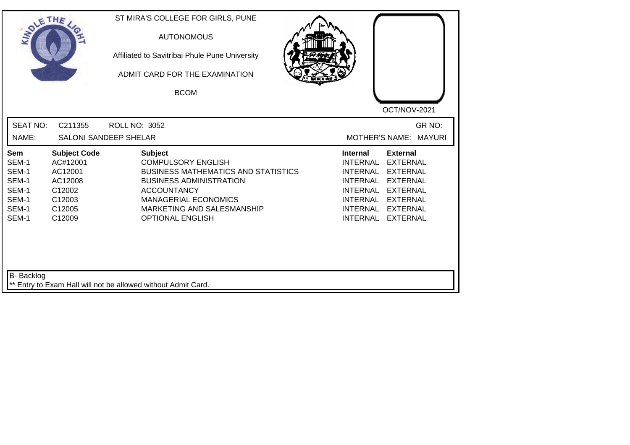|                                                                                                                                                                     | <b>AUTONOMOUS</b><br>Affiliated to Savitribai Phule Pune University<br>ADMIT CARD FOR THE EXAMINATION<br><b>BCOM</b>                                                                                                                      | OCT/NOV-2021                                                                                                                                                                                                                                                                                          |
|---------------------------------------------------------------------------------------------------------------------------------------------------------------------|-------------------------------------------------------------------------------------------------------------------------------------------------------------------------------------------------------------------------------------------|-------------------------------------------------------------------------------------------------------------------------------------------------------------------------------------------------------------------------------------------------------------------------------------------------------|
| <b>SEAT NO:</b><br>C211355<br>NAME:                                                                                                                                 | <b>ROLL NO: 3052</b><br><b>SALONI SANDEEP SHELAR</b>                                                                                                                                                                                      | GR NO:<br><b>MOTHER'S NAME:</b><br><b>MAYURI</b>                                                                                                                                                                                                                                                      |
| <b>Subject Code</b><br>Sem<br>SEM-1<br>AC#12001<br>SEM-1<br>AC12001<br>SEM-1<br>AC12008<br>SEM-1<br>C12002<br>SEM-1<br>C12003<br>SEM-1<br>C12005<br>SEM-1<br>C12009 | <b>Subject</b><br><b>COMPULSORY ENGLISH</b><br><b>BUSINESS MATHEMATICS AND STATISTICS</b><br><b>BUSINESS ADMINISTRATION</b><br><b>ACCOUNTANCY</b><br><b>MANAGERIAL ECONOMICS</b><br>MARKETING AND SALESMANSHIP<br><b>OPTIONAL ENGLISH</b> | <b>Internal</b><br><b>External</b><br><b>INTERNAL</b><br><b>EXTERNAL</b><br><b>INTERNAL</b><br><b>EXTERNAL</b><br><b>INTERNAL</b><br><b>EXTERNAL</b><br><b>INTERNAL</b><br><b>EXTERNAL</b><br>INTERNAL<br><b>EXTERNAL</b><br><b>INTERNAL</b><br><b>EXTERNAL</b><br><b>INTERNAL</b><br><b>EXTERNAL</b> |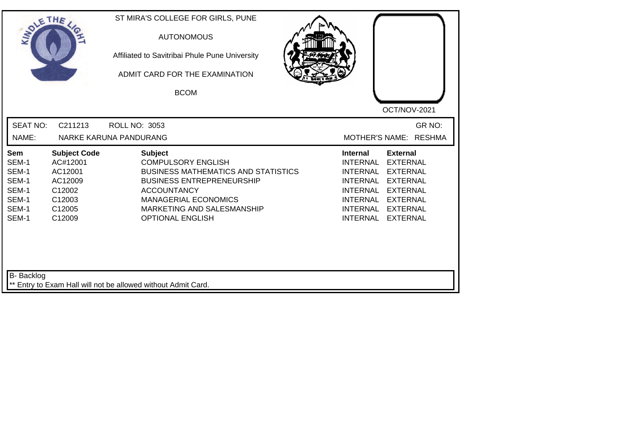| SOLETHE ,                                                          |                                                                                               | ST MIRA'S COLLEGE FOR GIRLS, PUNE<br><b>AUTONOMOUS</b><br>Affiliated to Savitribai Phule Pune University<br>ADMIT CARD FOR THE EXAMINATION<br><b>BCOM</b>                                                                                   | OCT/NOV-2021                                                                                                                                                                                                                                                                                                 |
|--------------------------------------------------------------------|-----------------------------------------------------------------------------------------------|---------------------------------------------------------------------------------------------------------------------------------------------------------------------------------------------------------------------------------------------|--------------------------------------------------------------------------------------------------------------------------------------------------------------------------------------------------------------------------------------------------------------------------------------------------------------|
| <b>SEAT NO:</b><br>NAME:                                           | C211213                                                                                       | ROLL NO: 3053<br>NARKE KARUNA PANDURANG                                                                                                                                                                                                     | GR NO:<br>MOTHER'S NAME: RESHMA                                                                                                                                                                                                                                                                              |
| Sem<br>SEM-1<br>SEM-1<br>SEM-1<br>SEM-1<br>SEM-1<br>SEM-1<br>SEM-1 | <b>Subject Code</b><br>AC#12001<br>AC12001<br>AC12009<br>C12002<br>C12003<br>C12005<br>C12009 | <b>Subject</b><br><b>COMPULSORY ENGLISH</b><br><b>BUSINESS MATHEMATICS AND STATISTICS</b><br><b>BUSINESS ENTREPRENEURSHIP</b><br><b>ACCOUNTANCY</b><br><b>MANAGERIAL ECONOMICS</b><br>MARKETING AND SALESMANSHIP<br><b>OPTIONAL ENGLISH</b> | <b>External</b><br><b>Internal</b><br><b>INTERNAL</b><br><b>EXTERNAL</b><br><b>INTERNAL</b><br><b>EXTERNAL</b><br><b>INTERNAL</b><br><b>EXTERNAL</b><br><b>INTERNAL</b><br><b>EXTERNAL</b><br><b>INTERNAL</b><br><b>EXTERNAL</b><br><b>INTERNAL</b><br><b>EXTERNAL</b><br><b>INTERNAL</b><br><b>EXTERNAL</b> |
| B- Backlog                                                         |                                                                                               | ** Entry to Exam Hall will not be allowed without Admit Card.                                                                                                                                                                               |                                                                                                                                                                                                                                                                                                              |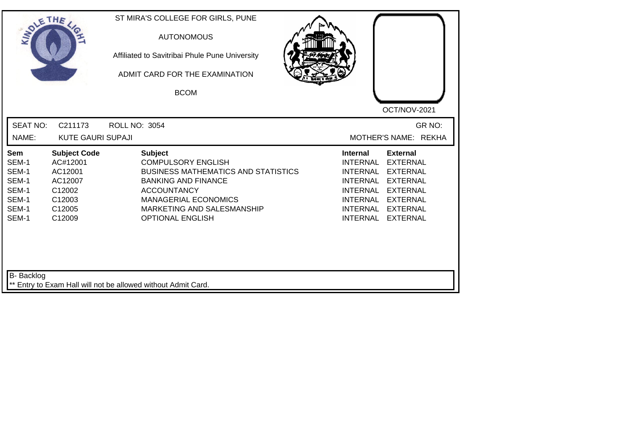| <b>SOLETHE</b>                                                            |                                                                                               | ST MIRA'S COLLEGE FOR GIRLS, PUNE<br><b>AUTONOMOUS</b><br>Affiliated to Savitribai Phule Pune University<br>ADMIT CARD FOR THE EXAMINATION<br><b>BCOM</b>                                                                             |                                                                                                                                                                                                                                                                                                       |
|---------------------------------------------------------------------------|-----------------------------------------------------------------------------------------------|---------------------------------------------------------------------------------------------------------------------------------------------------------------------------------------------------------------------------------------|-------------------------------------------------------------------------------------------------------------------------------------------------------------------------------------------------------------------------------------------------------------------------------------------------------|
| <b>SEAT NO:</b><br>NAME:                                                  | C211173<br><b>KUTE GAURI SUPAJI</b>                                                           | <b>ROLL NO: 3054</b>                                                                                                                                                                                                                  | OCT/NOV-2021<br>GR NO:<br>MOTHER'S NAME: REKHA                                                                                                                                                                                                                                                        |
| <b>Sem</b><br>SEM-1<br>SEM-1<br>SEM-1<br>SEM-1<br>SEM-1<br>SEM-1<br>SEM-1 | <b>Subject Code</b><br>AC#12001<br>AC12001<br>AC12007<br>C12002<br>C12003<br>C12005<br>C12009 | <b>Subject</b><br><b>COMPULSORY ENGLISH</b><br><b>BUSINESS MATHEMATICS AND STATISTICS</b><br><b>BANKING AND FINANCE</b><br><b>ACCOUNTANCY</b><br><b>MANAGERIAL ECONOMICS</b><br>MARKETING AND SALESMANSHIP<br><b>OPTIONAL ENGLISH</b> | <b>External</b><br><b>Internal</b><br><b>INTERNAL</b><br><b>EXTERNAL</b><br><b>INTERNAL</b><br><b>EXTERNAL</b><br><b>INTERNAL</b><br><b>EXTERNAL</b><br><b>INTERNAL</b><br><b>EXTERNAL</b><br><b>INTERNAL</b><br><b>EXTERNAL</b><br>INTERNAL<br><b>EXTERNAL</b><br><b>INTERNAL</b><br><b>EXTERNAL</b> |
| B- Backlog                                                                |                                                                                               | ** Entry to Exam Hall will not be allowed without Admit Card.                                                                                                                                                                         |                                                                                                                                                                                                                                                                                                       |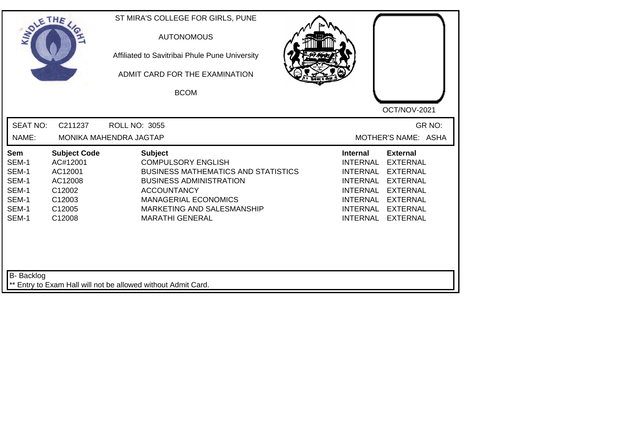| <b>SEAT NO:</b><br>C211237<br><b>ROLL NO: 3055</b><br>NAME:<br>MONIKA MAHENDRA JAGTAP<br><b>Subject</b><br><b>Subject Code</b><br><b>Internal</b><br>Sem<br>SEM-1<br>AC#12001<br><b>COMPULSORY ENGLISH</b><br><b>INTERNAL</b><br>SEM-1<br>AC12001<br><b>BUSINESS MATHEMATICS AND STATISTICS</b><br><b>INTERNAL</b><br>SEM-1<br><b>BUSINESS ADMINISTRATION</b><br><b>INTERNAL</b><br>AC12008<br>SEM-1 | OCT/NOV-2021                                                                                                                                                                        |
|------------------------------------------------------------------------------------------------------------------------------------------------------------------------------------------------------------------------------------------------------------------------------------------------------------------------------------------------------------------------------------------------------|-------------------------------------------------------------------------------------------------------------------------------------------------------------------------------------|
|                                                                                                                                                                                                                                                                                                                                                                                                      | GR NO:<br>MOTHER'S NAME: ASHA                                                                                                                                                       |
| C12002<br><b>ACCOUNTANCY</b><br>SEM-1<br>C12003<br><b>MANAGERIAL ECONOMICS</b><br>SEM-1<br>C12005<br>MARKETING AND SALESMANSHIP<br><b>INTERNAL</b><br>SEM-1<br><b>INTERNAL</b><br>C12008<br><b>MARATHI GENERAL</b>                                                                                                                                                                                   | <b>External</b><br><b>EXTERNAL</b><br><b>EXTERNAL</b><br><b>EXTERNAL</b><br><b>INTERNAL</b><br><b>EXTERNAL</b><br>INTERNAL<br><b>EXTERNAL</b><br><b>EXTERNAL</b><br><b>EXTERNAL</b> |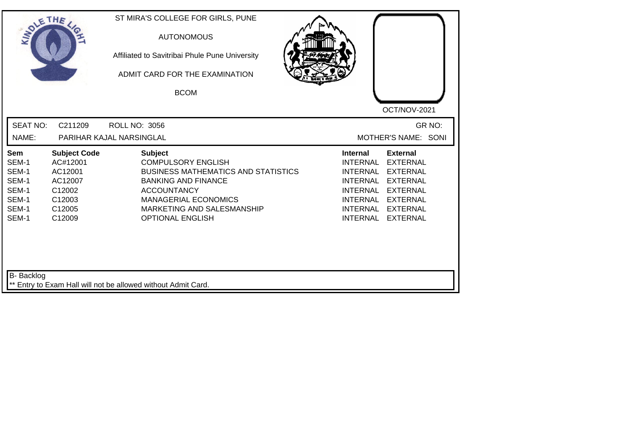| SOLE THE                                                                  |                                                                                               | ST MIRA'S COLLEGE FOR GIRLS, PUNE<br><b>AUTONOMOUS</b><br>Affiliated to Savitribai Phule Pune University<br>ADMIT CARD FOR THE EXAMINATION<br><b>BCOM</b>                                                                             | OCT/NOV-2021                                                                                                                                                                                                                                                                                          |
|---------------------------------------------------------------------------|-----------------------------------------------------------------------------------------------|---------------------------------------------------------------------------------------------------------------------------------------------------------------------------------------------------------------------------------------|-------------------------------------------------------------------------------------------------------------------------------------------------------------------------------------------------------------------------------------------------------------------------------------------------------|
| <b>SEAT NO:</b><br>NAME:                                                  | C211209                                                                                       | <b>ROLL NO: 3056</b><br>PARIHAR KAJAL NARSINGLAL                                                                                                                                                                                      | GR NO:<br>MOTHER'S NAME: SONI                                                                                                                                                                                                                                                                         |
| <b>Sem</b><br>SEM-1<br>SEM-1<br>SEM-1<br>SEM-1<br>SEM-1<br>SEM-1<br>SEM-1 | <b>Subject Code</b><br>AC#12001<br>AC12001<br>AC12007<br>C12002<br>C12003<br>C12005<br>C12009 | <b>Subject</b><br><b>COMPULSORY ENGLISH</b><br><b>BUSINESS MATHEMATICS AND STATISTICS</b><br><b>BANKING AND FINANCE</b><br><b>ACCOUNTANCY</b><br><b>MANAGERIAL ECONOMICS</b><br>MARKETING AND SALESMANSHIP<br><b>OPTIONAL ENGLISH</b> | Internal<br><b>External</b><br><b>INTERNAL</b><br><b>EXTERNAL</b><br><b>INTERNAL</b><br><b>EXTERNAL</b><br><b>INTERNAL</b><br><b>EXTERNAL</b><br><b>INTERNAL</b><br><b>EXTERNAL</b><br><b>INTERNAL</b><br><b>EXTERNAL</b><br><b>INTERNAL</b><br><b>EXTERNAL</b><br><b>INTERNAL</b><br><b>EXTERNAL</b> |
| B- Backlog                                                                |                                                                                               | ** Entry to Exam Hall will not be allowed without Admit Card.                                                                                                                                                                         |                                                                                                                                                                                                                                                                                                       |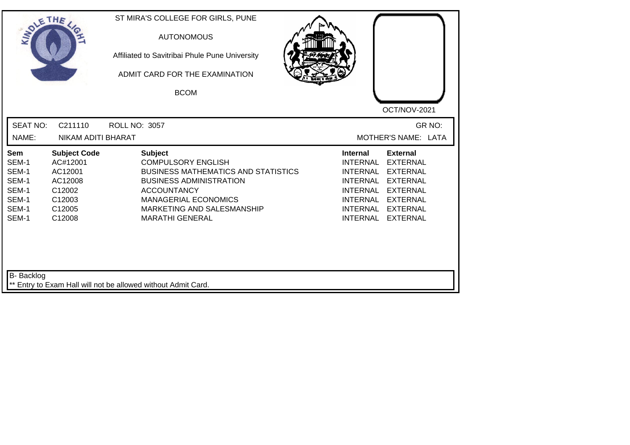| SOLE THE                                                                  |                                                                                               | ST MIRA'S COLLEGE FOR GIRLS, PUNE<br><b>AUTONOMOUS</b><br>Affiliated to Savitribai Phule Pune University<br>ADMIT CARD FOR THE EXAMINATION<br><b>BCOM</b>                                                                                |                                                                                                                                               | OCT/NOV-2021                                                                                                                                         |
|---------------------------------------------------------------------------|-----------------------------------------------------------------------------------------------|------------------------------------------------------------------------------------------------------------------------------------------------------------------------------------------------------------------------------------------|-----------------------------------------------------------------------------------------------------------------------------------------------|------------------------------------------------------------------------------------------------------------------------------------------------------|
| <b>SEAT NO:</b><br>NAME:                                                  | C211110<br>NIKAM ADITI BHARAT                                                                 | <b>ROLL NO: 3057</b>                                                                                                                                                                                                                     |                                                                                                                                               | GR NO:<br>MOTHER'S NAME: LATA                                                                                                                        |
| <b>Sem</b><br>SEM-1<br>SEM-1<br>SEM-1<br>SEM-1<br>SEM-1<br>SEM-1<br>SEM-1 | <b>Subject Code</b><br>AC#12001<br>AC12001<br>AC12008<br>C12002<br>C12003<br>C12005<br>C12008 | <b>Subject</b><br><b>COMPULSORY ENGLISH</b><br><b>BUSINESS MATHEMATICS AND STATISTICS</b><br><b>BUSINESS ADMINISTRATION</b><br><b>ACCOUNTANCY</b><br><b>MANAGERIAL ECONOMICS</b><br>MARKETING AND SALESMANSHIP<br><b>MARATHI GENERAL</b> | <b>Internal</b><br><b>INTERNAL</b><br><b>INTERNAL</b><br>INTERNAL<br><b>INTERNAL</b><br><b>INTERNAL</b><br><b>INTERNAL</b><br><b>INTERNAL</b> | <b>External</b><br><b>EXTERNAL</b><br><b>EXTERNAL</b><br><b>EXTERNAL</b><br><b>EXTERNAL</b><br><b>EXTERNAL</b><br><b>EXTERNAL</b><br><b>EXTERNAL</b> |
| <b>B-</b> Backlog                                                         |                                                                                               | ** Entry to Exam Hall will not be allowed without Admit Card.                                                                                                                                                                            |                                                                                                                                               |                                                                                                                                                      |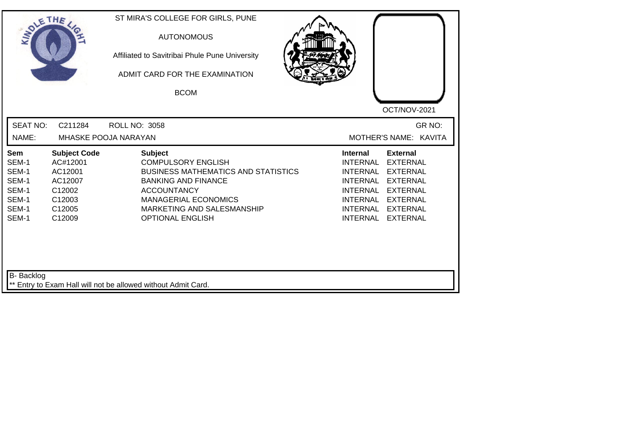| SOLETHE .                                                          |                                                                                               | ST MIRA'S COLLEGE FOR GIRLS, PUNE<br><b>AUTONOMOUS</b><br>Affiliated to Savitribai Phule Pune University<br>ADMIT CARD FOR THE EXAMINATION<br><b>BCOM</b>                                                                             | OCT/NOV-2021                                                                                                                                                                                                                                                                                                 |
|--------------------------------------------------------------------|-----------------------------------------------------------------------------------------------|---------------------------------------------------------------------------------------------------------------------------------------------------------------------------------------------------------------------------------------|--------------------------------------------------------------------------------------------------------------------------------------------------------------------------------------------------------------------------------------------------------------------------------------------------------------|
| <b>SEAT NO:</b><br>NAME:                                           | C211284                                                                                       | <b>ROLL NO: 3058</b><br>MHASKE POOJA NARAYAN                                                                                                                                                                                          | GR NO:<br>MOTHER'S NAME: KAVITA                                                                                                                                                                                                                                                                              |
| Sem<br>SEM-1<br>SEM-1<br>SEM-1<br>SEM-1<br>SEM-1<br>SEM-1<br>SEM-1 | <b>Subject Code</b><br>AC#12001<br>AC12001<br>AC12007<br>C12002<br>C12003<br>C12005<br>C12009 | <b>Subject</b><br><b>COMPULSORY ENGLISH</b><br><b>BUSINESS MATHEMATICS AND STATISTICS</b><br><b>BANKING AND FINANCE</b><br><b>ACCOUNTANCY</b><br><b>MANAGERIAL ECONOMICS</b><br>MARKETING AND SALESMANSHIP<br><b>OPTIONAL ENGLISH</b> | <b>Internal</b><br><b>External</b><br><b>INTERNAL</b><br><b>EXTERNAL</b><br><b>INTERNAL</b><br><b>EXTERNAL</b><br><b>INTERNAL</b><br><b>EXTERNAL</b><br><b>INTERNAL</b><br><b>EXTERNAL</b><br><b>INTERNAL</b><br><b>EXTERNAL</b><br><b>INTERNAL</b><br><b>EXTERNAL</b><br><b>INTERNAL</b><br><b>EXTERNAL</b> |
| B- Backlog                                                         |                                                                                               | ** Entry to Exam Hall will not be allowed without Admit Card.                                                                                                                                                                         |                                                                                                                                                                                                                                                                                                              |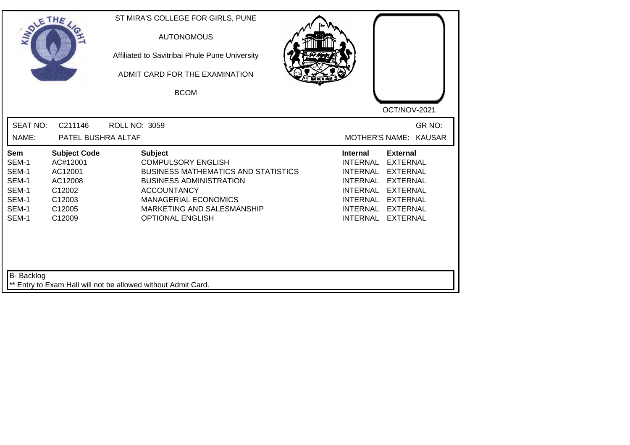| <b>SOLETHE</b>                                                     |                                                                                               | ST MIRA'S COLLEGE FOR GIRLS, PUNE<br><b>AUTONOMOUS</b><br>Affiliated to Savitribai Phule Pune University<br>ADMIT CARD FOR THE EXAMINATION<br><b>BCOM</b>                                                                                 | OCT/NOV-2021                                                                                                                                                                                                                                                                                          |
|--------------------------------------------------------------------|-----------------------------------------------------------------------------------------------|-------------------------------------------------------------------------------------------------------------------------------------------------------------------------------------------------------------------------------------------|-------------------------------------------------------------------------------------------------------------------------------------------------------------------------------------------------------------------------------------------------------------------------------------------------------|
| <b>SEAT NO:</b><br>NAME:                                           | C211146<br>PATEL BUSHRA ALTAF                                                                 | ROLL NO: 3059                                                                                                                                                                                                                             | GR NO:<br>MOTHER'S NAME: KAUSAR                                                                                                                                                                                                                                                                       |
| Sem<br>SEM-1<br>SEM-1<br>SEM-1<br>SEM-1<br>SEM-1<br>SEM-1<br>SEM-1 | <b>Subject Code</b><br>AC#12001<br>AC12001<br>AC12008<br>C12002<br>C12003<br>C12005<br>C12009 | <b>Subject</b><br><b>COMPULSORY ENGLISH</b><br><b>BUSINESS MATHEMATICS AND STATISTICS</b><br><b>BUSINESS ADMINISTRATION</b><br><b>ACCOUNTANCY</b><br><b>MANAGERIAL ECONOMICS</b><br>MARKETING AND SALESMANSHIP<br><b>OPTIONAL ENGLISH</b> | <b>External</b><br>Internal<br><b>INTERNAL</b><br><b>EXTERNAL</b><br><b>INTERNAL</b><br><b>EXTERNAL</b><br><b>INTERNAL</b><br><b>EXTERNAL</b><br><b>INTERNAL</b><br><b>EXTERNAL</b><br><b>INTERNAL</b><br><b>EXTERNAL</b><br><b>EXTERNAL</b><br><b>INTERNAL</b><br><b>INTERNAL</b><br><b>EXTERNAL</b> |
| B- Backlog                                                         |                                                                                               | ** Entry to Exam Hall will not be allowed without Admit Card.                                                                                                                                                                             |                                                                                                                                                                                                                                                                                                       |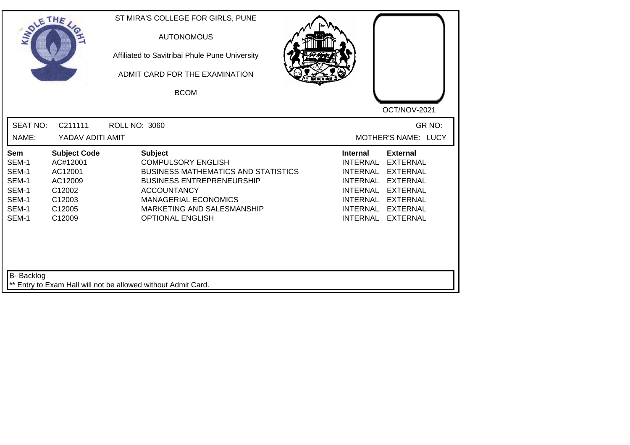| SOLE THE                                                           |                                                                                               | ST MIRA'S COLLEGE FOR GIRLS, PUNE<br><b>AUTONOMOUS</b><br>Affiliated to Savitribai Phule Pune University<br>ADMIT CARD FOR THE EXAMINATION<br><b>BCOM</b>                                                                                   | OCT/NOV-2021                                                                                                                                                                                                                                                                                          |
|--------------------------------------------------------------------|-----------------------------------------------------------------------------------------------|---------------------------------------------------------------------------------------------------------------------------------------------------------------------------------------------------------------------------------------------|-------------------------------------------------------------------------------------------------------------------------------------------------------------------------------------------------------------------------------------------------------------------------------------------------------|
| <b>SEAT NO:</b><br>NAME:                                           | C211111<br>YADAV ADITI AMIT                                                                   | <b>ROLL NO: 3060</b>                                                                                                                                                                                                                        | GR NO:<br>MOTHER'S NAME: LUCY                                                                                                                                                                                                                                                                         |
| Sem<br>SEM-1<br>SEM-1<br>SEM-1<br>SEM-1<br>SEM-1<br>SEM-1<br>SEM-1 | <b>Subject Code</b><br>AC#12001<br>AC12001<br>AC12009<br>C12002<br>C12003<br>C12005<br>C12009 | <b>Subject</b><br><b>COMPULSORY ENGLISH</b><br><b>BUSINESS MATHEMATICS AND STATISTICS</b><br><b>BUSINESS ENTREPRENEURSHIP</b><br><b>ACCOUNTANCY</b><br><b>MANAGERIAL ECONOMICS</b><br>MARKETING AND SALESMANSHIP<br><b>OPTIONAL ENGLISH</b> | <b>External</b><br><b>Internal</b><br><b>INTERNAL</b><br><b>EXTERNAL</b><br><b>INTERNAL</b><br><b>EXTERNAL</b><br><b>INTERNAL</b><br><b>EXTERNAL</b><br><b>INTERNAL</b><br><b>EXTERNAL</b><br><b>INTERNAL</b><br><b>EXTERNAL</b><br>INTERNAL<br><b>EXTERNAL</b><br><b>INTERNAL</b><br><b>EXTERNAL</b> |
| B- Backlog                                                         |                                                                                               | ** Entry to Exam Hall will not be allowed without Admit Card.                                                                                                                                                                               |                                                                                                                                                                                                                                                                                                       |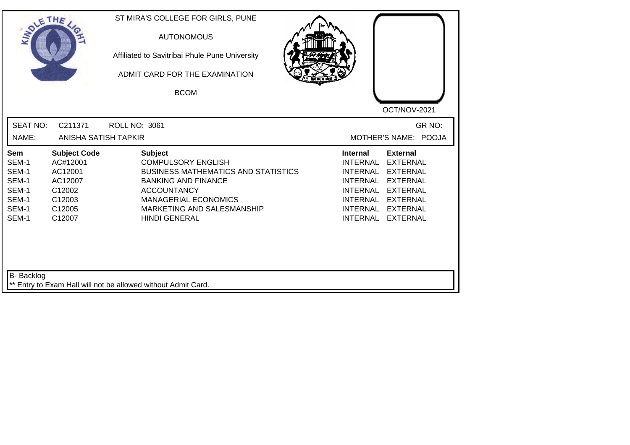| SOLE THE                                                           |                                                                                               | ST MIRA'S COLLEGE FOR GIRLS, PUNE<br><b>AUTONOMOUS</b><br>Affiliated to Savitribai Phule Pune University<br>ADMIT CARD FOR THE EXAMINATION<br><b>BCOM</b>                                                                          | OCT/NOV-2021                                                                                                                                                                                                                                                                                          |
|--------------------------------------------------------------------|-----------------------------------------------------------------------------------------------|------------------------------------------------------------------------------------------------------------------------------------------------------------------------------------------------------------------------------------|-------------------------------------------------------------------------------------------------------------------------------------------------------------------------------------------------------------------------------------------------------------------------------------------------------|
| <b>SEAT NO:</b><br>NAME:                                           | C211371<br>ANISHA SATISH TAPKIR                                                               | ROLL NO: 3061                                                                                                                                                                                                                      | GR NO:<br>MOTHER'S NAME: POOJA                                                                                                                                                                                                                                                                        |
| Sem<br>SEM-1<br>SEM-1<br>SEM-1<br>SEM-1<br>SEM-1<br>SEM-1<br>SEM-1 | <b>Subject Code</b><br>AC#12001<br>AC12001<br>AC12007<br>C12002<br>C12003<br>C12005<br>C12007 | <b>Subject</b><br><b>COMPULSORY ENGLISH</b><br><b>BUSINESS MATHEMATICS AND STATISTICS</b><br><b>BANKING AND FINANCE</b><br><b>ACCOUNTANCY</b><br><b>MANAGERIAL ECONOMICS</b><br>MARKETING AND SALESMANSHIP<br><b>HINDI GENERAL</b> | <b>External</b><br>Internal<br><b>INTERNAL</b><br><b>EXTERNAL</b><br><b>INTERNAL</b><br><b>EXTERNAL</b><br><b>INTERNAL</b><br><b>EXTERNAL</b><br><b>INTERNAL</b><br><b>EXTERNAL</b><br><b>INTERNAL</b><br><b>EXTERNAL</b><br><b>INTERNAL</b><br><b>EXTERNAL</b><br><b>INTERNAL</b><br><b>EXTERNAL</b> |
| B- Backlog                                                         |                                                                                               | ** Entry to Exam Hall will not be allowed without Admit Card.                                                                                                                                                                      |                                                                                                                                                                                                                                                                                                       |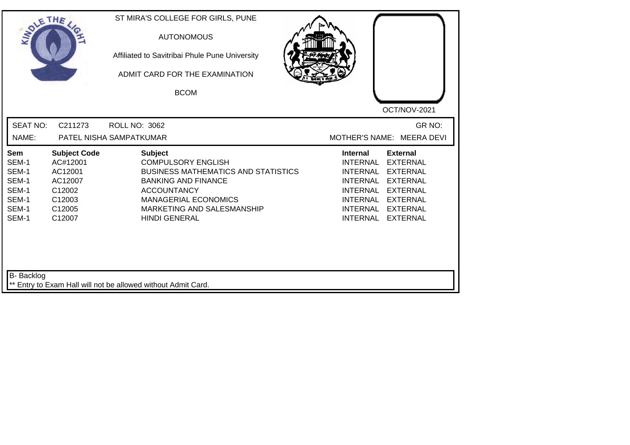| SOLETHE ,                                                                                                                                                           | ST MIRA'S COLLEGE FOR GIRLS, PUNE<br><b>AUTONOMOUS</b><br>Affiliated to Savitribai Phule Pune University<br>ADMIT CARD FOR THE EXAMINATION<br><b>BCOM</b>                                                                          | OCT/NOV-2021                                                                                                                                                                                                                                                                                          |
|---------------------------------------------------------------------------------------------------------------------------------------------------------------------|------------------------------------------------------------------------------------------------------------------------------------------------------------------------------------------------------------------------------------|-------------------------------------------------------------------------------------------------------------------------------------------------------------------------------------------------------------------------------------------------------------------------------------------------------|
| <b>SEAT NO:</b><br>C211273<br>NAME:                                                                                                                                 | <b>ROLL NO: 3062</b><br>PATEL NISHA SAMPATKUMAR                                                                                                                                                                                    | GR NO:<br>MOTHER'S NAME: MEERA DEVI                                                                                                                                                                                                                                                                   |
| <b>Subject Code</b><br>Sem<br>SEM-1<br>AC#12001<br>SEM-1<br>AC12001<br>SEM-1<br>AC12007<br>SEM-1<br>C12002<br>SEM-1<br>C12003<br>SEM-1<br>C12005<br>SEM-1<br>C12007 | <b>Subject</b><br><b>COMPULSORY ENGLISH</b><br><b>BUSINESS MATHEMATICS AND STATISTICS</b><br><b>BANKING AND FINANCE</b><br><b>ACCOUNTANCY</b><br><b>MANAGERIAL ECONOMICS</b><br>MARKETING AND SALESMANSHIP<br><b>HINDI GENERAL</b> | <b>Internal</b><br><b>External</b><br><b>INTERNAL</b><br><b>EXTERNAL</b><br><b>INTERNAL</b><br><b>EXTERNAL</b><br><b>INTERNAL</b><br><b>EXTERNAL</b><br><b>INTERNAL</b><br><b>EXTERNAL</b><br>INTERNAL<br><b>EXTERNAL</b><br><b>INTERNAL</b><br><b>EXTERNAL</b><br><b>INTERNAL</b><br><b>EXTERNAL</b> |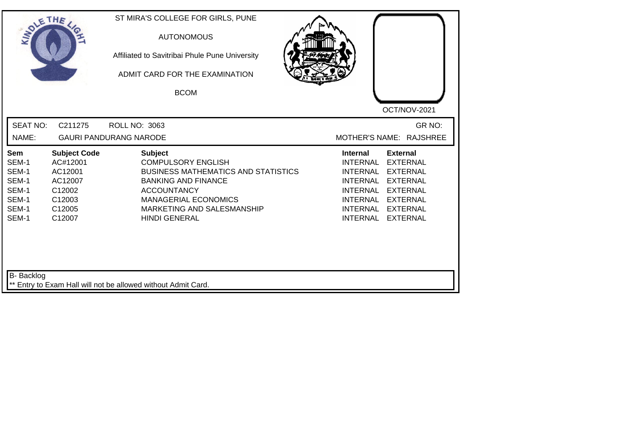| SOLETHE .                                                          |                                                                                               | ST MIRA'S COLLEGE FOR GIRLS, PUNE<br><b>AUTONOMOUS</b><br>Affiliated to Savitribai Phule Pune University<br>ADMIT CARD FOR THE EXAMINATION<br><b>BCOM</b>                                                                          | OCT/NOV-2021                                                                                                                                                                                                                                                                                   |
|--------------------------------------------------------------------|-----------------------------------------------------------------------------------------------|------------------------------------------------------------------------------------------------------------------------------------------------------------------------------------------------------------------------------------|------------------------------------------------------------------------------------------------------------------------------------------------------------------------------------------------------------------------------------------------------------------------------------------------|
| <b>SEAT NO:</b><br>NAME:                                           | C211275                                                                                       | <b>ROLL NO: 3063</b><br><b>GAURI PANDURANG NARODE</b>                                                                                                                                                                              | GR NO:<br>MOTHER'S NAME: RAJSHREE                                                                                                                                                                                                                                                              |
| Sem<br>SEM-1<br>SEM-1<br>SEM-1<br>SEM-1<br>SEM-1<br>SEM-1<br>SEM-1 | <b>Subject Code</b><br>AC#12001<br>AC12001<br>AC12007<br>C12002<br>C12003<br>C12005<br>C12007 | <b>Subject</b><br><b>COMPULSORY ENGLISH</b><br><b>BUSINESS MATHEMATICS AND STATISTICS</b><br><b>BANKING AND FINANCE</b><br><b>ACCOUNTANCY</b><br><b>MANAGERIAL ECONOMICS</b><br>MARKETING AND SALESMANSHIP<br><b>HINDI GENERAL</b> | <b>External</b><br><b>Internal</b><br><b>INTERNAL</b><br><b>EXTERNAL</b><br><b>INTERNAL</b><br><b>EXTERNAL</b><br><b>INTERNAL</b><br><b>EXTERNAL</b><br><b>INTERNAL</b><br><b>EXTERNAL</b><br>INTERNAL<br><b>EXTERNAL</b><br>INTERNAL<br><b>EXTERNAL</b><br><b>INTERNAL</b><br><b>EXTERNAL</b> |
| <b>B-</b> Backlog                                                  |                                                                                               | ** Entry to Exam Hall will not be allowed without Admit Card.                                                                                                                                                                      |                                                                                                                                                                                                                                                                                                |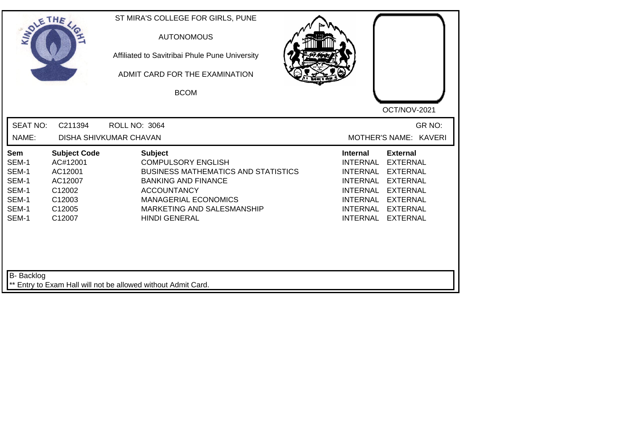| SOLETHE                                                            |                                                                                               | ST MIRA'S COLLEGE FOR GIRLS, PUNE<br><b>AUTONOMOUS</b><br>Affiliated to Savitribai Phule Pune University<br>ADMIT CARD FOR THE EXAMINATION<br><b>BCOM</b>                                                                          |                                                                                                                                                                                                                                                                                                       |
|--------------------------------------------------------------------|-----------------------------------------------------------------------------------------------|------------------------------------------------------------------------------------------------------------------------------------------------------------------------------------------------------------------------------------|-------------------------------------------------------------------------------------------------------------------------------------------------------------------------------------------------------------------------------------------------------------------------------------------------------|
| <b>SEAT NO:</b><br>NAME:                                           | C211394                                                                                       | <b>ROLL NO: 3064</b><br>DISHA SHIVKUMAR CHAVAN                                                                                                                                                                                     | OCT/NOV-2021<br>GR NO:<br>MOTHER'S NAME: KAVERI                                                                                                                                                                                                                                                       |
| Sem<br>SEM-1<br>SEM-1<br>SEM-1<br>SEM-1<br>SEM-1<br>SEM-1<br>SEM-1 | <b>Subject Code</b><br>AC#12001<br>AC12001<br>AC12007<br>C12002<br>C12003<br>C12005<br>C12007 | <b>Subject</b><br><b>COMPULSORY ENGLISH</b><br><b>BUSINESS MATHEMATICS AND STATISTICS</b><br><b>BANKING AND FINANCE</b><br><b>ACCOUNTANCY</b><br><b>MANAGERIAL ECONOMICS</b><br>MARKETING AND SALESMANSHIP<br><b>HINDI GENERAL</b> | <b>External</b><br><b>Internal</b><br><b>EXTERNAL</b><br>INTERNAL<br><b>INTERNAL</b><br><b>EXTERNAL</b><br><b>INTERNAL</b><br><b>EXTERNAL</b><br><b>INTERNAL</b><br><b>EXTERNAL</b><br><b>INTERNAL</b><br><b>EXTERNAL</b><br><b>INTERNAL</b><br><b>EXTERNAL</b><br><b>INTERNAL</b><br><b>EXTERNAL</b> |
| B- Backlog                                                         |                                                                                               | ** Entry to Exam Hall will not be allowed without Admit Card.                                                                                                                                                                      |                                                                                                                                                                                                                                                                                                       |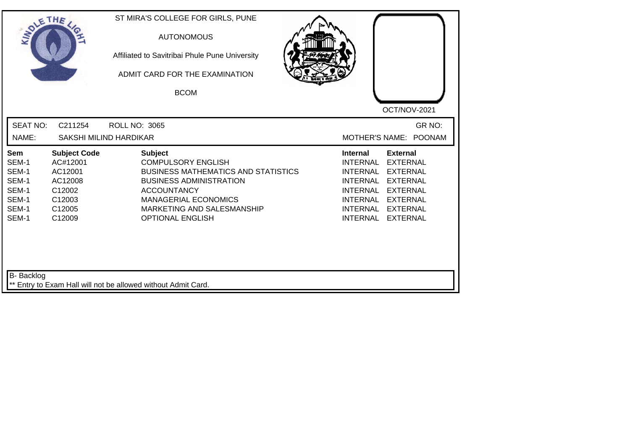| SOLE THE                                                           |                                                                                               | ST MIRA'S COLLEGE FOR GIRLS, PUNE<br><b>AUTONOMOUS</b><br>Affiliated to Savitribai Phule Pune University<br>ADMIT CARD FOR THE EXAMINATION<br><b>BCOM</b>                                                                                 | OCT/NOV-2021                                                                                                                                                                                                                                                                                          |
|--------------------------------------------------------------------|-----------------------------------------------------------------------------------------------|-------------------------------------------------------------------------------------------------------------------------------------------------------------------------------------------------------------------------------------------|-------------------------------------------------------------------------------------------------------------------------------------------------------------------------------------------------------------------------------------------------------------------------------------------------------|
| <b>SEAT NO:</b><br>NAME:                                           | C211254                                                                                       | <b>ROLL NO: 3065</b><br>SAKSHI MILIND HARDIKAR                                                                                                                                                                                            | GR NO:<br>MOTHER'S NAME: POONAM                                                                                                                                                                                                                                                                       |
| Sem<br>SEM-1<br>SEM-1<br>SEM-1<br>SEM-1<br>SEM-1<br>SEM-1<br>SEM-1 | <b>Subject Code</b><br>AC#12001<br>AC12001<br>AC12008<br>C12002<br>C12003<br>C12005<br>C12009 | <b>Subject</b><br><b>COMPULSORY ENGLISH</b><br><b>BUSINESS MATHEMATICS AND STATISTICS</b><br><b>BUSINESS ADMINISTRATION</b><br><b>ACCOUNTANCY</b><br><b>MANAGERIAL ECONOMICS</b><br>MARKETING AND SALESMANSHIP<br><b>OPTIONAL ENGLISH</b> | <b>External</b><br><b>Internal</b><br><b>INTERNAL</b><br><b>EXTERNAL</b><br><b>INTERNAL</b><br><b>EXTERNAL</b><br><b>INTERNAL</b><br><b>EXTERNAL</b><br><b>INTERNAL</b><br><b>EXTERNAL</b><br><b>INTERNAL</b><br><b>EXTERNAL</b><br>INTERNAL<br><b>EXTERNAL</b><br><b>INTERNAL</b><br><b>EXTERNAL</b> |
| B- Backlog                                                         |                                                                                               | ** Entry to Exam Hall will not be allowed without Admit Card.                                                                                                                                                                             |                                                                                                                                                                                                                                                                                                       |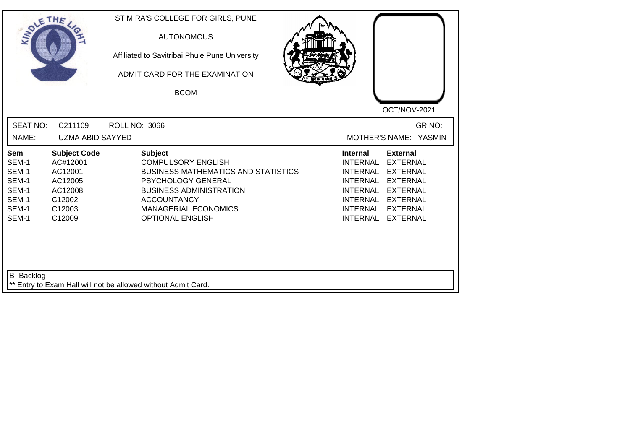| SOLE THE                                                           |                                                                                                |                                                            | ST MIRA'S COLLEGE FOR GIRLS, PUNE<br><b>AUTONOMOUS</b><br>Affiliated to Savitribai Phule Pune University<br>ADMIT CARD FOR THE EXAMINATION<br><b>BCOM</b>                                        |                                                                                                                                          | OCT/NOV-2021                                                                                                                      |        |
|--------------------------------------------------------------------|------------------------------------------------------------------------------------------------|------------------------------------------------------------|--------------------------------------------------------------------------------------------------------------------------------------------------------------------------------------------------|------------------------------------------------------------------------------------------------------------------------------------------|-----------------------------------------------------------------------------------------------------------------------------------|--------|
| <b>SEAT NO:</b><br>NAME:                                           | C211109<br><b>UZMA ABID SAYYED</b>                                                             | <b>ROLL NO: 3066</b>                                       |                                                                                                                                                                                                  | MOTHER'S NAME: YASMIN                                                                                                                    |                                                                                                                                   | GR NO: |
| Sem<br>SEM-1<br>SEM-1<br>SEM-1<br>SEM-1<br>SEM-1<br>SEM-1<br>SEM-1 | <b>Subject Code</b><br>AC#12001<br>AC12001<br>AC12005<br>AC12008<br>C12002<br>C12003<br>C12009 | <b>Subject</b><br><b>ACCOUNTANCY</b>                       | <b>COMPULSORY ENGLISH</b><br><b>BUSINESS MATHEMATICS AND STATISTICS</b><br><b>PSYCHOLOGY GENERAL</b><br><b>BUSINESS ADMINISTRATION</b><br><b>MANAGERIAL ECONOMICS</b><br><b>OPTIONAL ENGLISH</b> | <b>Internal</b><br><b>INTERNAL</b><br><b>INTERNAL</b><br>INTERNAL<br><b>INTERNAL</b><br>INTERNAL EXTERNAL<br><b>INTERNAL</b><br>INTERNAL | <b>External</b><br><b>EXTERNAL</b><br><b>EXTERNAL</b><br><b>EXTERNAL</b><br><b>EXTERNAL</b><br><b>EXTERNAL</b><br><b>EXTERNAL</b> |        |
| <b>B-</b> Backlog                                                  |                                                                                                | Entry to Exam Hall will not be allowed without Admit Card. |                                                                                                                                                                                                  |                                                                                                                                          |                                                                                                                                   |        |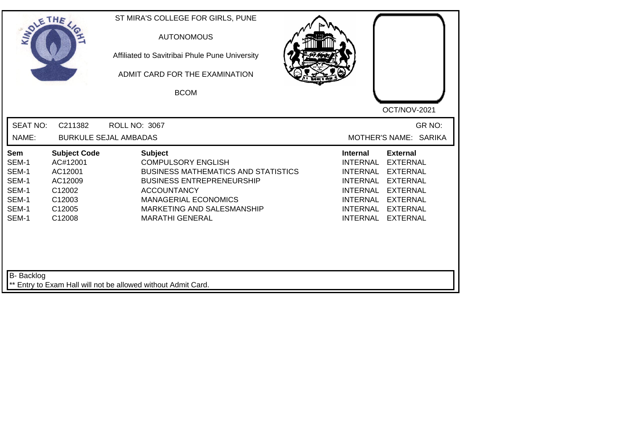|                                                                                                                                                                            | ADMIT CARD FOR THE EXAMINATION<br><b>BCOM</b>                                                                                                                                                                                              | OCT/NOV-2021                                                                                                                                                                                                                                                                                          |
|----------------------------------------------------------------------------------------------------------------------------------------------------------------------------|--------------------------------------------------------------------------------------------------------------------------------------------------------------------------------------------------------------------------------------------|-------------------------------------------------------------------------------------------------------------------------------------------------------------------------------------------------------------------------------------------------------------------------------------------------------|
| <b>SEAT NO:</b><br>C211382<br>NAME:                                                                                                                                        | ROLL NO: 3067<br><b>BURKULE SEJAL AMBADAS</b>                                                                                                                                                                                              | GR NO:<br>MOTHER'S NAME: SARIKA                                                                                                                                                                                                                                                                       |
| <b>Subject Code</b><br><b>Sem</b><br>AC#12001<br>SEM-1<br>SEM-1<br>AC12001<br>SEM-1<br>AC12009<br>SEM-1<br>C12002<br>SEM-1<br>C12003<br>SEM-1<br>C12005<br>SEM-1<br>C12008 | <b>Subject</b><br><b>COMPULSORY ENGLISH</b><br><b>BUSINESS MATHEMATICS AND STATISTICS</b><br><b>BUSINESS ENTREPRENEURSHIP</b><br><b>ACCOUNTANCY</b><br><b>MANAGERIAL ECONOMICS</b><br>MARKETING AND SALESMANSHIP<br><b>MARATHI GENERAL</b> | <b>Internal</b><br><b>External</b><br><b>INTERNAL</b><br><b>EXTERNAL</b><br><b>INTERNAL</b><br><b>EXTERNAL</b><br><b>INTERNAL</b><br><b>EXTERNAL</b><br><b>INTERNAL</b><br><b>EXTERNAL</b><br>INTERNAL<br><b>EXTERNAL</b><br><b>INTERNAL</b><br><b>EXTERNAL</b><br><b>INTERNAL</b><br><b>EXTERNAL</b> |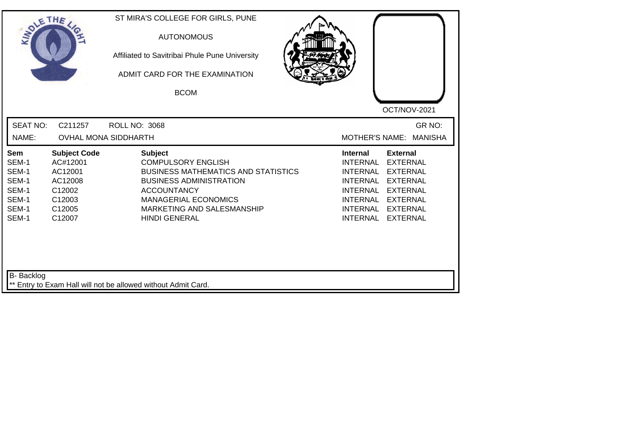| <b>SOLETHE</b>                                                     |                                                                                               | ST MIRA'S COLLEGE FOR GIRLS, PUNE<br><b>AUTONOMOUS</b><br>Affiliated to Savitribai Phule Pune University<br>ADMIT CARD FOR THE EXAMINATION<br><b>BCOM</b>                                                                              |                                                                                                                                                                                                                                                                                         |
|--------------------------------------------------------------------|-----------------------------------------------------------------------------------------------|----------------------------------------------------------------------------------------------------------------------------------------------------------------------------------------------------------------------------------------|-----------------------------------------------------------------------------------------------------------------------------------------------------------------------------------------------------------------------------------------------------------------------------------------|
| <b>SEAT NO:</b><br>NAME:                                           | C211257<br><b>OVHAL MONA SIDDHARTH</b>                                                        | <b>ROLL NO: 3068</b>                                                                                                                                                                                                                   | OCT/NOV-2021<br>GR NO:<br><b>MOTHER'S NAME:</b><br><b>MANISHA</b>                                                                                                                                                                                                                       |
| Sem<br>SEM-1<br>SEM-1<br>SEM-1<br>SEM-1<br>SEM-1<br>SEM-1<br>SEM-1 | <b>Subject Code</b><br>AC#12001<br>AC12001<br>AC12008<br>C12002<br>C12003<br>C12005<br>C12007 | <b>Subject</b><br><b>COMPULSORY ENGLISH</b><br><b>BUSINESS MATHEMATICS AND STATISTICS</b><br><b>BUSINESS ADMINISTRATION</b><br><b>ACCOUNTANCY</b><br><b>MANAGERIAL ECONOMICS</b><br>MARKETING AND SALESMANSHIP<br><b>HINDI GENERAL</b> | <b>External</b><br><b>Internal</b><br>INTERNAL<br><b>EXTERNAL</b><br>INTERNAL<br><b>EXTERNAL</b><br>INTERNAL<br><b>EXTERNAL</b><br><b>INTERNAL</b><br><b>EXTERNAL</b><br><b>INTERNAL</b><br><b>EXTERNAL</b><br><b>INTERNAL</b><br><b>EXTERNAL</b><br><b>INTERNAL</b><br><b>EXTERNAL</b> |
| <b>B-</b> Backlog                                                  |                                                                                               | ** Entry to Exam Hall will not be allowed without Admit Card.                                                                                                                                                                          |                                                                                                                                                                                                                                                                                         |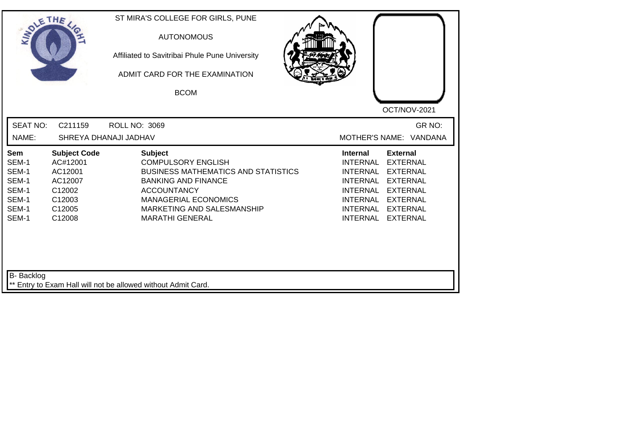| SOLE THE                                                                  |                                                                                               | ST MIRA'S COLLEGE FOR GIRLS, PUNE<br><b>AUTONOMOUS</b><br>Affiliated to Savitribai Phule Pune University<br>ADMIT CARD FOR THE EXAMINATION<br><b>BCOM</b>                                                                            | OCT/NOV-2021                                                                                                                                                                                                                                                                                                 |
|---------------------------------------------------------------------------|-----------------------------------------------------------------------------------------------|--------------------------------------------------------------------------------------------------------------------------------------------------------------------------------------------------------------------------------------|--------------------------------------------------------------------------------------------------------------------------------------------------------------------------------------------------------------------------------------------------------------------------------------------------------------|
| <b>SEAT NO:</b><br>NAME:                                                  | C211159                                                                                       | <b>ROLL NO: 3069</b><br>SHREYA DHANAJI JADHAV                                                                                                                                                                                        | GR NO:<br>MOTHER'S NAME: VANDANA                                                                                                                                                                                                                                                                             |
| <b>Sem</b><br>SEM-1<br>SEM-1<br>SEM-1<br>SEM-1<br>SEM-1<br>SEM-1<br>SEM-1 | <b>Subject Code</b><br>AC#12001<br>AC12001<br>AC12007<br>C12002<br>C12003<br>C12005<br>C12008 | <b>Subject</b><br><b>COMPULSORY ENGLISH</b><br><b>BUSINESS MATHEMATICS AND STATISTICS</b><br><b>BANKING AND FINANCE</b><br><b>ACCOUNTANCY</b><br><b>MANAGERIAL ECONOMICS</b><br>MARKETING AND SALESMANSHIP<br><b>MARATHI GENERAL</b> | <b>External</b><br><b>Internal</b><br><b>INTERNAL</b><br><b>EXTERNAL</b><br><b>INTERNAL</b><br><b>EXTERNAL</b><br><b>INTERNAL</b><br><b>EXTERNAL</b><br><b>INTERNAL</b><br><b>EXTERNAL</b><br><b>INTERNAL</b><br><b>EXTERNAL</b><br><b>INTERNAL</b><br><b>EXTERNAL</b><br><b>INTERNAL</b><br><b>EXTERNAL</b> |
| B- Backlog                                                                |                                                                                               | ** Entry to Exam Hall will not be allowed without Admit Card.                                                                                                                                                                        |                                                                                                                                                                                                                                                                                                              |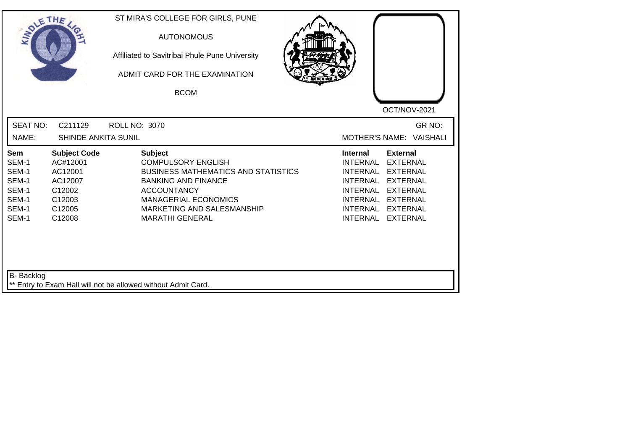| <b>SOLETHE</b>                                                     |                                                                                               | ST MIRA'S COLLEGE FOR GIRLS, PUNE<br><b>AUTONOMOUS</b><br>Affiliated to Savitribai Phule Pune University<br>ADMIT CARD FOR THE EXAMINATION<br><b>BCOM</b>                                                                            |                                                                                                                                                                                                                                                                                                |
|--------------------------------------------------------------------|-----------------------------------------------------------------------------------------------|--------------------------------------------------------------------------------------------------------------------------------------------------------------------------------------------------------------------------------------|------------------------------------------------------------------------------------------------------------------------------------------------------------------------------------------------------------------------------------------------------------------------------------------------|
| <b>SEAT NO:</b><br>NAME:                                           | C211129<br><b>SHINDE ANKITA SUNIL</b>                                                         | <b>ROLL NO: 3070</b>                                                                                                                                                                                                                 | OCT/NOV-2021<br>GR NO:<br><b>MOTHER'S NAME:</b><br><b>VAISHALI</b>                                                                                                                                                                                                                             |
| Sem<br>SEM-1<br>SEM-1<br>SEM-1<br>SEM-1<br>SEM-1<br>SEM-1<br>SEM-1 | <b>Subject Code</b><br>AC#12001<br>AC12001<br>AC12007<br>C12002<br>C12003<br>C12005<br>C12008 | <b>Subject</b><br><b>COMPULSORY ENGLISH</b><br><b>BUSINESS MATHEMATICS AND STATISTICS</b><br><b>BANKING AND FINANCE</b><br><b>ACCOUNTANCY</b><br><b>MANAGERIAL ECONOMICS</b><br>MARKETING AND SALESMANSHIP<br><b>MARATHI GENERAL</b> | <b>External</b><br><b>Internal</b><br>INTERNAL<br><b>EXTERNAL</b><br><b>INTERNAL</b><br><b>EXTERNAL</b><br>INTERNAL<br><b>EXTERNAL</b><br><b>INTERNAL</b><br><b>EXTERNAL</b><br><b>INTERNAL</b><br><b>EXTERNAL</b><br><b>INTERNAL</b><br><b>EXTERNAL</b><br><b>INTERNAL</b><br><b>EXTERNAL</b> |
| <b>B-</b> Backlog                                                  |                                                                                               | ** Entry to Exam Hall will not be allowed without Admit Card.                                                                                                                                                                        |                                                                                                                                                                                                                                                                                                |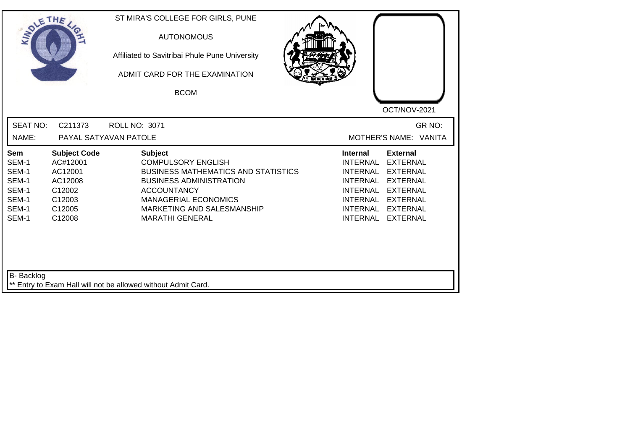| SOLE THE                                                                  |                                                                                               | ST MIRA'S COLLEGE FOR GIRLS, PUNE<br><b>AUTONOMOUS</b><br>Affiliated to Savitribai Phule Pune University<br>ADMIT CARD FOR THE EXAMINATION<br><b>BCOM</b>                                                                                | OCT/NOV-2021                                                                                                                                                                                                                                                                                                 |
|---------------------------------------------------------------------------|-----------------------------------------------------------------------------------------------|------------------------------------------------------------------------------------------------------------------------------------------------------------------------------------------------------------------------------------------|--------------------------------------------------------------------------------------------------------------------------------------------------------------------------------------------------------------------------------------------------------------------------------------------------------------|
| <b>SEAT NO:</b><br>NAME:                                                  | C211373                                                                                       | <b>ROLL NO: 3071</b><br>PAYAL SATYAVAN PATOLE                                                                                                                                                                                            | GR NO:<br>MOTHER'S NAME: VANITA                                                                                                                                                                                                                                                                              |
| <b>Sem</b><br>SEM-1<br>SEM-1<br>SEM-1<br>SEM-1<br>SEM-1<br>SEM-1<br>SEM-1 | <b>Subject Code</b><br>AC#12001<br>AC12001<br>AC12008<br>C12002<br>C12003<br>C12005<br>C12008 | <b>Subject</b><br><b>COMPULSORY ENGLISH</b><br><b>BUSINESS MATHEMATICS AND STATISTICS</b><br><b>BUSINESS ADMINISTRATION</b><br><b>ACCOUNTANCY</b><br><b>MANAGERIAL ECONOMICS</b><br>MARKETING AND SALESMANSHIP<br><b>MARATHI GENERAL</b> | <b>Internal</b><br><b>External</b><br><b>INTERNAL</b><br><b>EXTERNAL</b><br><b>INTERNAL</b><br><b>EXTERNAL</b><br><b>INTERNAL</b><br><b>EXTERNAL</b><br><b>INTERNAL</b><br><b>EXTERNAL</b><br><b>INTERNAL</b><br><b>EXTERNAL</b><br><b>INTERNAL</b><br><b>EXTERNAL</b><br><b>INTERNAL</b><br><b>EXTERNAL</b> |
| B- Backlog                                                                |                                                                                               | ** Entry to Exam Hall will not be allowed without Admit Card.                                                                                                                                                                            |                                                                                                                                                                                                                                                                                                              |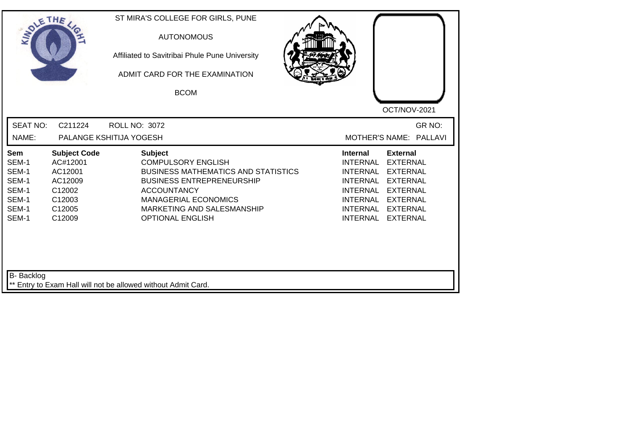| <b>SEAT NO:</b><br>GR NO:<br>C211224<br><b>ROLL NO: 3072</b><br>NAME:<br>PALANGE KSHITIJA YOGESH<br>MOTHER'S NAME: PALLAVI<br><b>External</b><br><b>Subject Code</b><br><b>Subject</b><br><b>Internal</b><br><b>Sem</b><br>SEM-1<br>AC#12001<br><b>COMPULSORY ENGLISH</b><br><b>INTERNAL</b><br><b>EXTERNAL</b><br>SEM-1<br>AC12001<br><b>BUSINESS MATHEMATICS AND STATISTICS</b><br><b>INTERNAL</b><br><b>EXTERNAL</b><br>SEM-1<br>AC12009<br><b>BUSINESS ENTREPRENEURSHIP</b><br><b>INTERNAL</b><br><b>EXTERNAL</b><br>SEM-1<br><b>ACCOUNTANCY</b><br><b>INTERNAL</b><br><b>EXTERNAL</b><br>C12002<br>SEM-1<br>C12003<br><b>MANAGERIAL ECONOMICS</b><br><b>INTERNAL</b><br><b>EXTERNAL</b><br>SEM-1<br>MARKETING AND SALESMANSHIP<br>INTERNAL EXTERNAL<br>C12005<br>SEM-1<br>C12009<br><b>OPTIONAL ENGLISH</b><br><b>INTERNAL</b><br><b>EXTERNAL</b> | SOLETHE , | ST MIRA'S COLLEGE FOR GIRLS, PUNE<br><b>AUTONOMOUS</b><br>Affiliated to Savitribai Phule Pune University<br>ADMIT CARD FOR THE EXAMINATION<br><b>BCOM</b> | OCT/NOV-2021 |
|--------------------------------------------------------------------------------------------------------------------------------------------------------------------------------------------------------------------------------------------------------------------------------------------------------------------------------------------------------------------------------------------------------------------------------------------------------------------------------------------------------------------------------------------------------------------------------------------------------------------------------------------------------------------------------------------------------------------------------------------------------------------------------------------------------------------------------------------------------|-----------|-----------------------------------------------------------------------------------------------------------------------------------------------------------|--------------|
|                                                                                                                                                                                                                                                                                                                                                                                                                                                                                                                                                                                                                                                                                                                                                                                                                                                        |           |                                                                                                                                                           |              |
|                                                                                                                                                                                                                                                                                                                                                                                                                                                                                                                                                                                                                                                                                                                                                                                                                                                        |           |                                                                                                                                                           |              |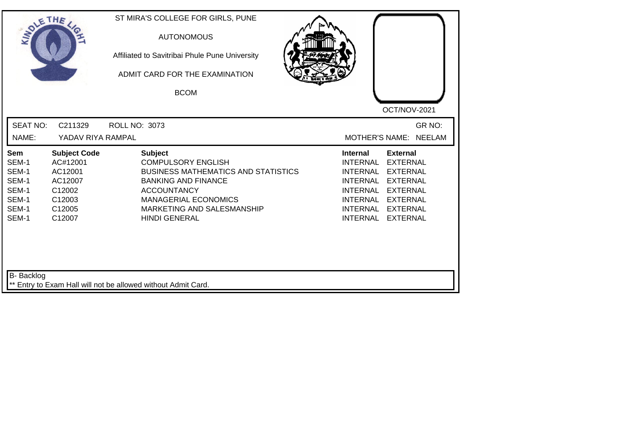| SOLE THE                                                                  |                                                                                               | ST MIRA'S COLLEGE FOR GIRLS, PUNE<br><b>AUTONOMOUS</b><br>Affiliated to Savitribai Phule Pune University<br>ADMIT CARD FOR THE EXAMINATION<br><b>BCOM</b>                                                                          | OCT/NOV-2021                                                                                                                                                                                                                                                                                          |
|---------------------------------------------------------------------------|-----------------------------------------------------------------------------------------------|------------------------------------------------------------------------------------------------------------------------------------------------------------------------------------------------------------------------------------|-------------------------------------------------------------------------------------------------------------------------------------------------------------------------------------------------------------------------------------------------------------------------------------------------------|
| <b>SEAT NO:</b><br>NAME:                                                  | C211329<br>YADAV RIYA RAMPAL                                                                  | <b>ROLL NO: 3073</b>                                                                                                                                                                                                               | GR NO:<br><b>MOTHER'S NAME:</b><br><b>NEELAM</b>                                                                                                                                                                                                                                                      |
| <b>Sem</b><br>SEM-1<br>SEM-1<br>SEM-1<br>SEM-1<br>SEM-1<br>SEM-1<br>SEM-1 | <b>Subject Code</b><br>AC#12001<br>AC12001<br>AC12007<br>C12002<br>C12003<br>C12005<br>C12007 | <b>Subject</b><br><b>COMPULSORY ENGLISH</b><br><b>BUSINESS MATHEMATICS AND STATISTICS</b><br><b>BANKING AND FINANCE</b><br><b>ACCOUNTANCY</b><br><b>MANAGERIAL ECONOMICS</b><br>MARKETING AND SALESMANSHIP<br><b>HINDI GENERAL</b> | <b>Internal</b><br><b>External</b><br><b>EXTERNAL</b><br><b>INTERNAL</b><br><b>INTERNAL</b><br><b>EXTERNAL</b><br>INTERNAL<br><b>EXTERNAL</b><br><b>INTERNAL</b><br><b>EXTERNAL</b><br><b>INTERNAL</b><br><b>EXTERNAL</b><br><b>INTERNAL</b><br><b>EXTERNAL</b><br><b>INTERNAL</b><br><b>EXTERNAL</b> |
| <b>B-</b> Backlog                                                         |                                                                                               | ** Entry to Exam Hall will not be allowed without Admit Card.                                                                                                                                                                      |                                                                                                                                                                                                                                                                                                       |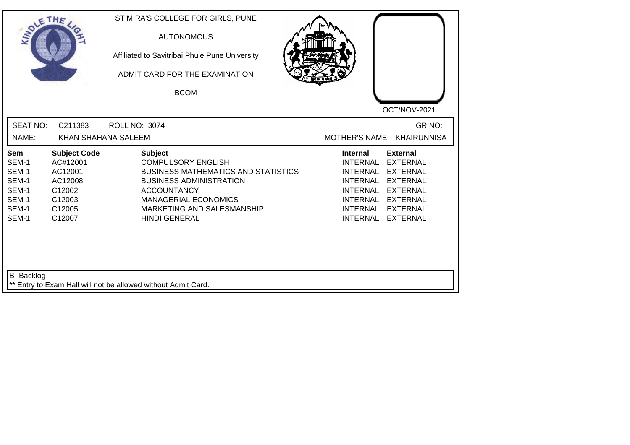| SOLETHE                                                            |                                                                                               | ST MIRA'S COLLEGE FOR GIRLS, PUNE<br><b>AUTONOMOUS</b><br>Affiliated to Savitribai Phule Pune University<br>ADMIT CARD FOR THE EXAMINATION<br><b>BCOM</b>                                                                              | OCT/NOV-2021                                                                                                                                                                                                                                                                                   |
|--------------------------------------------------------------------|-----------------------------------------------------------------------------------------------|----------------------------------------------------------------------------------------------------------------------------------------------------------------------------------------------------------------------------------------|------------------------------------------------------------------------------------------------------------------------------------------------------------------------------------------------------------------------------------------------------------------------------------------------|
| <b>SEAT NO:</b><br>NAME:                                           | C211383<br>KHAN SHAHANA SALEEM                                                                | <b>ROLL NO: 3074</b>                                                                                                                                                                                                                   | GR NO:<br>MOTHER'S NAME: KHAIRUNNISA                                                                                                                                                                                                                                                           |
| Sem<br>SEM-1<br>SEM-1<br>SEM-1<br>SEM-1<br>SEM-1<br>SEM-1<br>SEM-1 | <b>Subject Code</b><br>AC#12001<br>AC12001<br>AC12008<br>C12002<br>C12003<br>C12005<br>C12007 | <b>Subject</b><br><b>COMPULSORY ENGLISH</b><br><b>BUSINESS MATHEMATICS AND STATISTICS</b><br><b>BUSINESS ADMINISTRATION</b><br><b>ACCOUNTANCY</b><br><b>MANAGERIAL ECONOMICS</b><br>MARKETING AND SALESMANSHIP<br><b>HINDI GENERAL</b> | <b>Internal</b><br><b>External</b><br><b>EXTERNAL</b><br>INTERNAL<br><b>INTERNAL</b><br><b>EXTERNAL</b><br><b>INTERNAL</b><br><b>EXTERNAL</b><br><b>INTERNAL</b><br><b>EXTERNAL</b><br><b>INTERNAL</b><br><b>EXTERNAL</b><br><b>INTERNAL</b><br><b>EXTERNAL</b><br>INTERNAL<br><b>EXTERNAL</b> |
| <b>B-</b> Backlog                                                  |                                                                                               | ** Entry to Exam Hall will not be allowed without Admit Card.                                                                                                                                                                          |                                                                                                                                                                                                                                                                                                |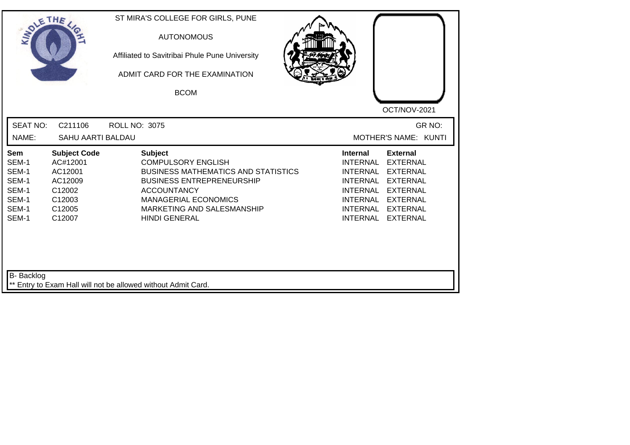| SOLE THE                                                                  |                                                                                               | ST MIRA'S COLLEGE FOR GIRLS, PUNE<br><b>AUTONOMOUS</b><br>Affiliated to Savitribai Phule Pune University<br>ADMIT CARD FOR THE EXAMINATION<br><b>BCOM</b>                                                                                | OCT/NOV-2021                                                                                                                                                                                                                                                                                |
|---------------------------------------------------------------------------|-----------------------------------------------------------------------------------------------|------------------------------------------------------------------------------------------------------------------------------------------------------------------------------------------------------------------------------------------|---------------------------------------------------------------------------------------------------------------------------------------------------------------------------------------------------------------------------------------------------------------------------------------------|
| <b>SEAT NO:</b><br>NAME:                                                  | C211106<br>SAHU AARTI BALDAU                                                                  | <b>ROLL NO: 3075</b>                                                                                                                                                                                                                     | GR NO:<br>MOTHER'S NAME: KUNTI                                                                                                                                                                                                                                                              |
| <b>Sem</b><br>SEM-1<br>SEM-1<br>SEM-1<br>SEM-1<br>SEM-1<br>SEM-1<br>SEM-1 | <b>Subject Code</b><br>AC#12001<br>AC12001<br>AC12009<br>C12002<br>C12003<br>C12005<br>C12007 | <b>Subject</b><br><b>COMPULSORY ENGLISH</b><br><b>BUSINESS MATHEMATICS AND STATISTICS</b><br><b>BUSINESS ENTREPRENEURSHIP</b><br><b>ACCOUNTANCY</b><br><b>MANAGERIAL ECONOMICS</b><br>MARKETING AND SALESMANSHIP<br><b>HINDI GENERAL</b> | <b>Internal</b><br><b>External</b><br><b>EXTERNAL</b><br><b>INTERNAL</b><br><b>INTERNAL</b><br><b>EXTERNAL</b><br><b>INTERNAL</b><br><b>EXTERNAL</b><br><b>INTERNAL</b><br><b>EXTERNAL</b><br>INTERNAL EXTERNAL<br><b>INTERNAL</b><br><b>EXTERNAL</b><br><b>INTERNAL</b><br><b>EXTERNAL</b> |
| <b>B-</b> Backlog                                                         |                                                                                               | ** Entry to Exam Hall will not be allowed without Admit Card.                                                                                                                                                                            |                                                                                                                                                                                                                                                                                             |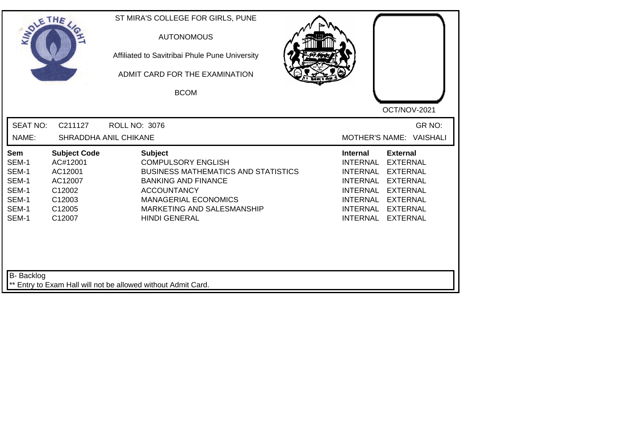| <b>SOLETHE</b>                                                     |                                                                                               | ST MIRA'S COLLEGE FOR GIRLS, PUNE<br><b>AUTONOMOUS</b><br>Affiliated to Savitribai Phule Pune University<br>ADMIT CARD FOR THE EXAMINATION<br><b>BCOM</b>                                                                          |                                                                                                                                                                                                                                                                                                |
|--------------------------------------------------------------------|-----------------------------------------------------------------------------------------------|------------------------------------------------------------------------------------------------------------------------------------------------------------------------------------------------------------------------------------|------------------------------------------------------------------------------------------------------------------------------------------------------------------------------------------------------------------------------------------------------------------------------------------------|
| <b>SEAT NO:</b><br>NAME:                                           | C211127                                                                                       | <b>ROLL NO: 3076</b><br><b>SHRADDHA ANIL CHIKANE</b>                                                                                                                                                                               | OCT/NOV-2021<br>GR NO:<br><b>MOTHER'S NAME:</b><br><b>VAISHALI</b>                                                                                                                                                                                                                             |
| Sem<br>SEM-1<br>SEM-1<br>SEM-1<br>SEM-1<br>SEM-1<br>SEM-1<br>SEM-1 | <b>Subject Code</b><br>AC#12001<br>AC12001<br>AC12007<br>C12002<br>C12003<br>C12005<br>C12007 | <b>Subject</b><br><b>COMPULSORY ENGLISH</b><br><b>BUSINESS MATHEMATICS AND STATISTICS</b><br><b>BANKING AND FINANCE</b><br><b>ACCOUNTANCY</b><br><b>MANAGERIAL ECONOMICS</b><br>MARKETING AND SALESMANSHIP<br><b>HINDI GENERAL</b> | <b>External</b><br><b>Internal</b><br>INTERNAL<br><b>EXTERNAL</b><br><b>INTERNAL</b><br><b>EXTERNAL</b><br>INTERNAL<br><b>EXTERNAL</b><br><b>INTERNAL</b><br><b>EXTERNAL</b><br><b>INTERNAL</b><br><b>EXTERNAL</b><br><b>INTERNAL</b><br><b>EXTERNAL</b><br><b>INTERNAL</b><br><b>EXTERNAL</b> |
| <b>B-</b> Backlog                                                  |                                                                                               | ** Entry to Exam Hall will not be allowed without Admit Card.                                                                                                                                                                      |                                                                                                                                                                                                                                                                                                |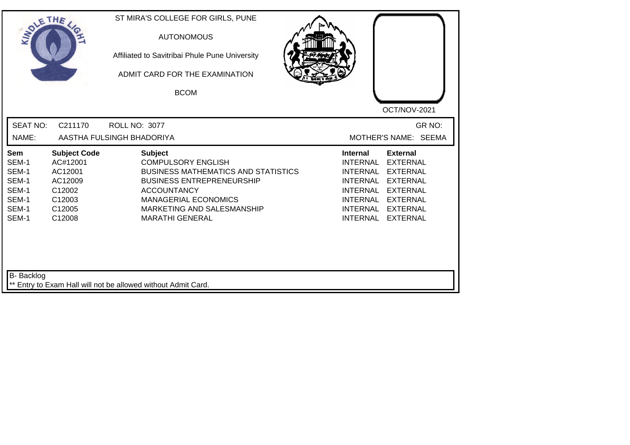| SOLETHE .                                                                 |                                                                                               | ST MIRA'S COLLEGE FOR GIRLS, PUNE<br><b>AUTONOMOUS</b><br>Affiliated to Savitribai Phule Pune University<br>ADMIT CARD FOR THE EXAMINATION<br><b>BCOM</b>                                                                                  | OCT/NOV-2021                                                                                                                                                                                                                                                                                   |
|---------------------------------------------------------------------------|-----------------------------------------------------------------------------------------------|--------------------------------------------------------------------------------------------------------------------------------------------------------------------------------------------------------------------------------------------|------------------------------------------------------------------------------------------------------------------------------------------------------------------------------------------------------------------------------------------------------------------------------------------------|
| <b>SEAT NO:</b><br>NAME:                                                  | C211170                                                                                       | ROLL NO: 3077<br>AASTHA FULSINGH BHADORIYA                                                                                                                                                                                                 | GR NO:<br>MOTHER'S NAME: SEEMA                                                                                                                                                                                                                                                                 |
| <b>Sem</b><br>SEM-1<br>SEM-1<br>SEM-1<br>SEM-1<br>SEM-1<br>SEM-1<br>SEM-1 | <b>Subject Code</b><br>AC#12001<br>AC12001<br>AC12009<br>C12002<br>C12003<br>C12005<br>C12008 | <b>Subject</b><br><b>COMPULSORY ENGLISH</b><br><b>BUSINESS MATHEMATICS AND STATISTICS</b><br><b>BUSINESS ENTREPRENEURSHIP</b><br><b>ACCOUNTANCY</b><br><b>MANAGERIAL ECONOMICS</b><br>MARKETING AND SALESMANSHIP<br><b>MARATHI GENERAL</b> | <b>External</b><br>Internal<br><b>INTERNAL</b><br><b>EXTERNAL</b><br><b>EXTERNAL</b><br>INTERNAL<br><b>INTERNAL</b><br><b>EXTERNAL</b><br><b>INTERNAL</b><br><b>EXTERNAL</b><br><b>INTERNAL</b><br><b>EXTERNAL</b><br><b>INTERNAL</b><br><b>EXTERNAL</b><br><b>INTERNAL</b><br><b>EXTERNAL</b> |
| B- Backlog                                                                |                                                                                               | ** Entry to Exam Hall will not be allowed without Admit Card.                                                                                                                                                                              |                                                                                                                                                                                                                                                                                                |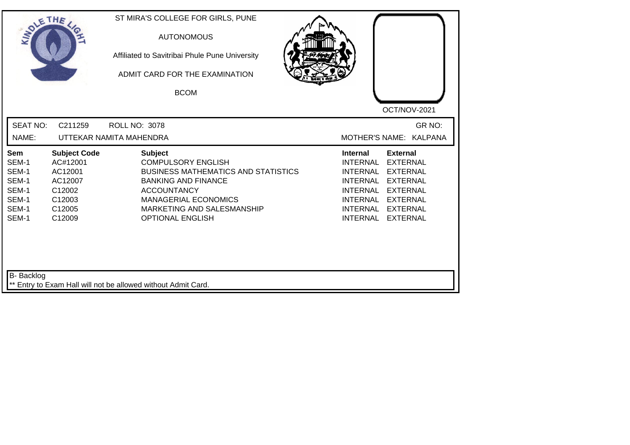| <b>SEAT NO:</b><br>GR NO:<br>C211259<br><b>ROLL NO: 3078</b><br>NAME:<br>UTTEKAR NAMITA MAHENDRA<br>MOTHER'S NAME: KALPANA<br><b>Subject</b><br><b>Subject Code</b><br><b>Internal</b><br><b>External</b><br>Sem<br>SEM-1<br>AC#12001<br><b>COMPULSORY ENGLISH</b><br><b>INTERNAL</b><br><b>EXTERNAL</b><br>SEM-1<br>AC12001<br><b>BUSINESS MATHEMATICS AND STATISTICS</b><br><b>INTERNAL</b><br><b>EXTERNAL</b><br>SEM-1<br><b>BANKING AND FINANCE</b><br><b>INTERNAL</b><br><b>EXTERNAL</b><br>AC12007<br>SEM-1<br>C12002<br><b>ACCOUNTANCY</b><br><b>INTERNAL</b><br><b>EXTERNAL</b><br>SEM-1<br>C12003<br><b>MANAGERIAL ECONOMICS</b><br>INTERNAL<br><b>EXTERNAL</b><br>SEM-1<br>C12005<br>MARKETING AND SALESMANSHIP<br><b>INTERNAL</b><br><b>EXTERNAL</b><br>SEM-1<br><b>INTERNAL</b><br>C12009<br><b>OPTIONAL ENGLISH</b><br><b>EXTERNAL</b> | SOLETHE , | ST MIRA'S COLLEGE FOR GIRLS, PUNE<br><b>AUTONOMOUS</b><br>Affiliated to Savitribai Phule Pune University<br>ADMIT CARD FOR THE EXAMINATION<br><b>BCOM</b> | OCT/NOV-2021 |
|-----------------------------------------------------------------------------------------------------------------------------------------------------------------------------------------------------------------------------------------------------------------------------------------------------------------------------------------------------------------------------------------------------------------------------------------------------------------------------------------------------------------------------------------------------------------------------------------------------------------------------------------------------------------------------------------------------------------------------------------------------------------------------------------------------------------------------------------------------|-----------|-----------------------------------------------------------------------------------------------------------------------------------------------------------|--------------|
|                                                                                                                                                                                                                                                                                                                                                                                                                                                                                                                                                                                                                                                                                                                                                                                                                                                     |           |                                                                                                                                                           |              |
|                                                                                                                                                                                                                                                                                                                                                                                                                                                                                                                                                                                                                                                                                                                                                                                                                                                     |           |                                                                                                                                                           |              |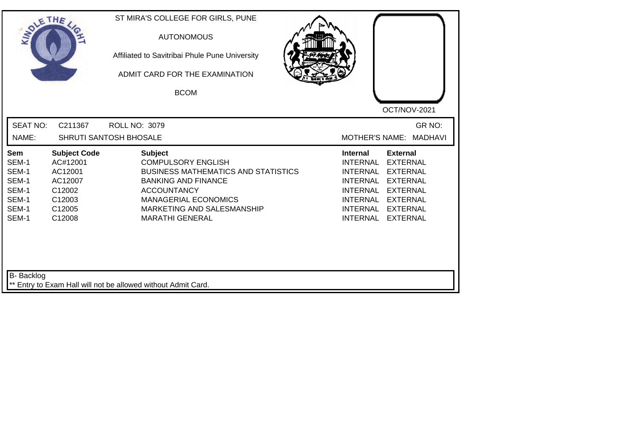|                                                                                                                                                                     | <b>AUTONOMOUS</b><br>Affiliated to Savitribai Phule Pune University<br>ADMIT CARD FOR THE EXAMINATION<br><b>BCOM</b>                                                                                                                 | OCT/NOV-2021                                                                                                                                                                                                                                                                                          |
|---------------------------------------------------------------------------------------------------------------------------------------------------------------------|--------------------------------------------------------------------------------------------------------------------------------------------------------------------------------------------------------------------------------------|-------------------------------------------------------------------------------------------------------------------------------------------------------------------------------------------------------------------------------------------------------------------------------------------------------|
| <b>SEAT NO:</b><br>C211367<br>NAME:                                                                                                                                 | <b>ROLL NO: 3079</b><br>SHRUTI SANTOSH BHOSALE                                                                                                                                                                                       | GR NO:<br>MOTHER'S NAME: MADHAVI                                                                                                                                                                                                                                                                      |
| <b>Subject Code</b><br>Sem<br>SEM-1<br>AC#12001<br>SEM-1<br>AC12001<br>SEM-1<br>AC12007<br>SEM-1<br>C12002<br>SEM-1<br>C12003<br>SEM-1<br>C12005<br>SEM-1<br>C12008 | <b>Subject</b><br><b>COMPULSORY ENGLISH</b><br><b>BUSINESS MATHEMATICS AND STATISTICS</b><br><b>BANKING AND FINANCE</b><br><b>ACCOUNTANCY</b><br><b>MANAGERIAL ECONOMICS</b><br>MARKETING AND SALESMANSHIP<br><b>MARATHI GENERAL</b> | <b>Internal</b><br><b>External</b><br><b>INTERNAL</b><br><b>EXTERNAL</b><br><b>INTERNAL</b><br><b>EXTERNAL</b><br><b>INTERNAL</b><br><b>EXTERNAL</b><br><b>INTERNAL</b><br><b>EXTERNAL</b><br>INTERNAL<br><b>EXTERNAL</b><br><b>INTERNAL</b><br><b>EXTERNAL</b><br><b>INTERNAL</b><br><b>EXTERNAL</b> |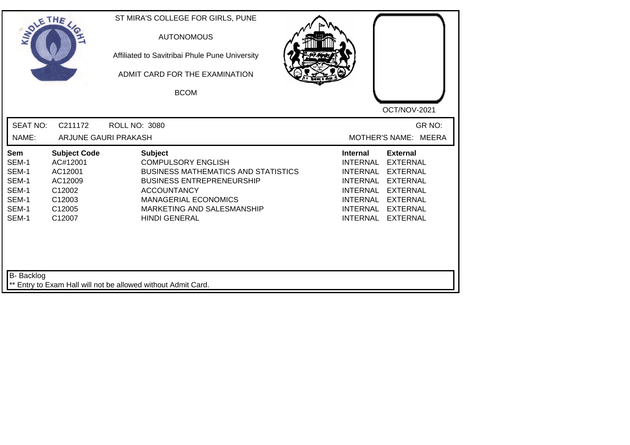| <b>SOLETHE</b>                                                     |                                                                                               | ST MIRA'S COLLEGE FOR GIRLS, PUNE<br><b>AUTONOMOUS</b><br>Affiliated to Savitribai Phule Pune University<br>ADMIT CARD FOR THE EXAMINATION<br><b>BCOM</b>                                                                                | OCT/NOV-2021                                                                                                                                                                                                                                |
|--------------------------------------------------------------------|-----------------------------------------------------------------------------------------------|------------------------------------------------------------------------------------------------------------------------------------------------------------------------------------------------------------------------------------------|---------------------------------------------------------------------------------------------------------------------------------------------------------------------------------------------------------------------------------------------|
| <b>SEAT NO:</b><br>NAME:                                           | C211172                                                                                       | <b>ROLL NO: 3080</b><br>ARJUNE GAURI PRAKASH                                                                                                                                                                                             | GR NO:<br>MOTHER'S NAME: MEERA                                                                                                                                                                                                              |
| Sem<br>SEM-1<br>SEM-1<br>SEM-1<br>SEM-1<br>SEM-1<br>SEM-1<br>SEM-1 | <b>Subject Code</b><br>AC#12001<br>AC12001<br>AC12009<br>C12002<br>C12003<br>C12005<br>C12007 | <b>Subject</b><br><b>COMPULSORY ENGLISH</b><br><b>BUSINESS MATHEMATICS AND STATISTICS</b><br><b>BUSINESS ENTREPRENEURSHIP</b><br><b>ACCOUNTANCY</b><br><b>MANAGERIAL ECONOMICS</b><br>MARKETING AND SALESMANSHIP<br><b>HINDI GENERAL</b> | <b>External</b><br><b>Internal</b><br>INTERNAL<br><b>EXTERNAL</b><br>INTERNAL<br><b>EXTERNAL</b><br>INTERNAL EXTERNAL<br><b>INTERNAL</b><br><b>EXTERNAL</b><br>INTERNAL EXTERNAL<br><b>INTERNAL</b><br><b>EXTERNAL</b><br>INTERNAL EXTERNAL |
| B- Backlog                                                         |                                                                                               | ** Entry to Exam Hall will not be allowed without Admit Card.                                                                                                                                                                            |                                                                                                                                                                                                                                             |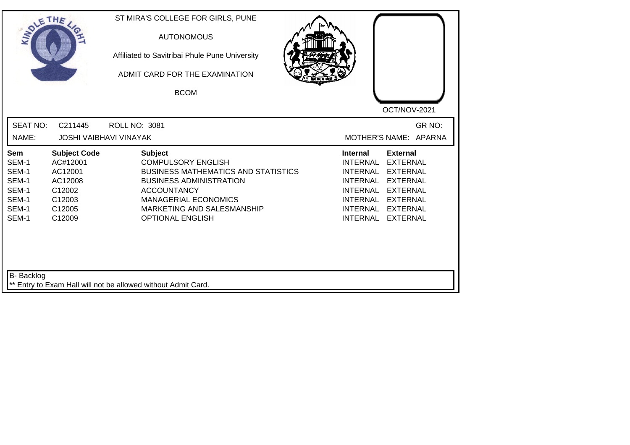| SOLETHE .                                                          |                                                                                               | ST MIRA'S COLLEGE FOR GIRLS, PUNE<br><b>AUTONOMOUS</b><br>Affiliated to Savitribai Phule Pune University<br>ADMIT CARD FOR THE EXAMINATION<br><b>BCOM</b>                                                                                 | OCT/NOV-2021                                                                                                                                                                                                                                                                                          |
|--------------------------------------------------------------------|-----------------------------------------------------------------------------------------------|-------------------------------------------------------------------------------------------------------------------------------------------------------------------------------------------------------------------------------------------|-------------------------------------------------------------------------------------------------------------------------------------------------------------------------------------------------------------------------------------------------------------------------------------------------------|
| <b>SEAT NO:</b><br>NAME:                                           | C211445                                                                                       | ROLL NO: 3081<br><b>JOSHI VAIBHAVI VINAYAK</b>                                                                                                                                                                                            | GR NO:<br>MOTHER'S NAME: APARNA                                                                                                                                                                                                                                                                       |
| Sem<br>SEM-1<br>SEM-1<br>SEM-1<br>SEM-1<br>SEM-1<br>SEM-1<br>SEM-1 | <b>Subject Code</b><br>AC#12001<br>AC12001<br>AC12008<br>C12002<br>C12003<br>C12005<br>C12009 | <b>Subject</b><br><b>COMPULSORY ENGLISH</b><br><b>BUSINESS MATHEMATICS AND STATISTICS</b><br><b>BUSINESS ADMINISTRATION</b><br><b>ACCOUNTANCY</b><br><b>MANAGERIAL ECONOMICS</b><br>MARKETING AND SALESMANSHIP<br><b>OPTIONAL ENGLISH</b> | <b>External</b><br><b>Internal</b><br><b>INTERNAL</b><br><b>EXTERNAL</b><br><b>INTERNAL</b><br><b>EXTERNAL</b><br><b>INTERNAL</b><br><b>EXTERNAL</b><br><b>INTERNAL</b><br><b>EXTERNAL</b><br><b>INTERNAL</b><br><b>EXTERNAL</b><br>INTERNAL<br><b>EXTERNAL</b><br><b>INTERNAL</b><br><b>EXTERNAL</b> |
| <b>B-</b> Backlog                                                  |                                                                                               | ** Entry to Exam Hall will not be allowed without Admit Card.                                                                                                                                                                             |                                                                                                                                                                                                                                                                                                       |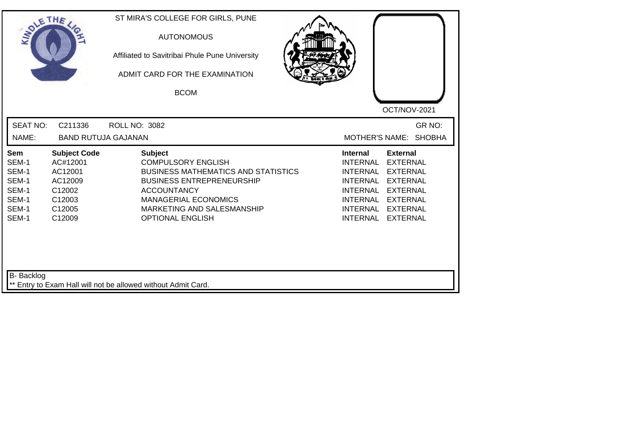| SOLETHE ,                                                          |                                                                                               | ST MIRA'S COLLEGE FOR GIRLS, PUNE<br><b>AUTONOMOUS</b><br>Affiliated to Savitribai Phule Pune University<br>ADMIT CARD FOR THE EXAMINATION<br><b>BCOM</b>                                                                                   | OCT/NOV-2021                                                                                                                                                                                                                                                                                                 |
|--------------------------------------------------------------------|-----------------------------------------------------------------------------------------------|---------------------------------------------------------------------------------------------------------------------------------------------------------------------------------------------------------------------------------------------|--------------------------------------------------------------------------------------------------------------------------------------------------------------------------------------------------------------------------------------------------------------------------------------------------------------|
| <b>SEAT NO:</b><br>NAME:                                           | C211336<br><b>BAND RUTUJA GAJANAN</b>                                                         | <b>ROLL NO: 3082</b>                                                                                                                                                                                                                        | GR NO:<br>MOTHER'S NAME: SHOBHA                                                                                                                                                                                                                                                                              |
| Sem<br>SEM-1<br>SEM-1<br>SEM-1<br>SEM-1<br>SEM-1<br>SEM-1<br>SEM-1 | <b>Subject Code</b><br>AC#12001<br>AC12001<br>AC12009<br>C12002<br>C12003<br>C12005<br>C12009 | <b>Subject</b><br><b>COMPULSORY ENGLISH</b><br><b>BUSINESS MATHEMATICS AND STATISTICS</b><br><b>BUSINESS ENTREPRENEURSHIP</b><br><b>ACCOUNTANCY</b><br><b>MANAGERIAL ECONOMICS</b><br>MARKETING AND SALESMANSHIP<br><b>OPTIONAL ENGLISH</b> | <b>External</b><br><b>Internal</b><br><b>INTERNAL</b><br><b>EXTERNAL</b><br><b>INTERNAL</b><br><b>EXTERNAL</b><br><b>INTERNAL</b><br><b>EXTERNAL</b><br><b>INTERNAL</b><br><b>EXTERNAL</b><br><b>INTERNAL</b><br><b>EXTERNAL</b><br><b>INTERNAL</b><br><b>EXTERNAL</b><br><b>INTERNAL</b><br><b>EXTERNAL</b> |
| <b>B-</b> Backlog                                                  |                                                                                               | ** Entry to Exam Hall will not be allowed without Admit Card.                                                                                                                                                                               |                                                                                                                                                                                                                                                                                                              |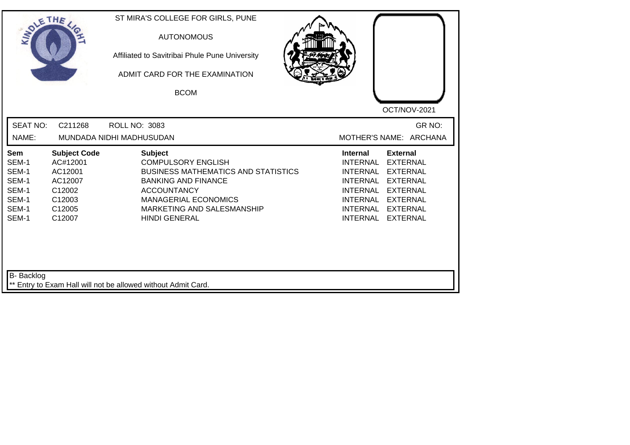| <b>SEAT NO:</b><br>GR NO:<br>C211268<br><b>ROLL NO: 3083</b><br>MOTHER'S NAME: ARCHANA<br>NAME:<br>MUNDADA NIDHI MADHUSUDAN<br><b>Subject Code</b><br><b>Subject</b><br><b>Internal</b><br><b>External</b><br>Sem<br>SEM-1<br><b>COMPULSORY ENGLISH</b><br><b>INTERNAL</b><br><b>EXTERNAL</b><br>AC#12001<br>SEM-1<br><b>BUSINESS MATHEMATICS AND STATISTICS</b><br>AC12001<br><b>INTERNAL</b><br><b>EXTERNAL</b><br>SEM-1<br><b>BANKING AND FINANCE</b><br><b>INTERNAL</b><br><b>EXTERNAL</b><br>AC12007<br>SEM-1<br>C12002<br><b>ACCOUNTANCY</b><br><b>INTERNAL</b><br><b>EXTERNAL</b><br>SEM-1<br>C12003<br><b>MANAGERIAL ECONOMICS</b><br>INTERNAL<br><b>EXTERNAL</b><br>SEM-1<br>C12005<br>MARKETING AND SALESMANSHIP<br><b>INTERNAL</b><br><b>EXTERNAL</b><br>SEM-1<br>C12007<br><b>HINDI GENERAL</b><br>INTERNAL<br><b>EXTERNAL</b> | SOLETHE . | ST MIRA'S COLLEGE FOR GIRLS, PUNE<br><b>AUTONOMOUS</b><br>Affiliated to Savitribai Phule Pune University<br>ADMIT CARD FOR THE EXAMINATION<br><b>BCOM</b> | OCT/NOV-2021 |
|--------------------------------------------------------------------------------------------------------------------------------------------------------------------------------------------------------------------------------------------------------------------------------------------------------------------------------------------------------------------------------------------------------------------------------------------------------------------------------------------------------------------------------------------------------------------------------------------------------------------------------------------------------------------------------------------------------------------------------------------------------------------------------------------------------------------------------------------|-----------|-----------------------------------------------------------------------------------------------------------------------------------------------------------|--------------|
|                                                                                                                                                                                                                                                                                                                                                                                                                                                                                                                                                                                                                                                                                                                                                                                                                                            |           |                                                                                                                                                           |              |
|                                                                                                                                                                                                                                                                                                                                                                                                                                                                                                                                                                                                                                                                                                                                                                                                                                            |           |                                                                                                                                                           |              |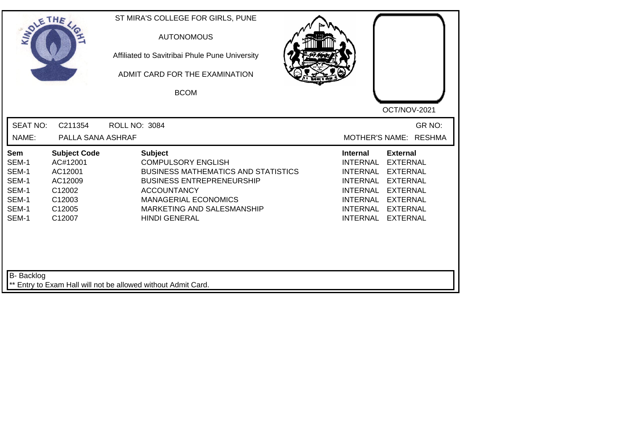| SOLE THE                                                           |                                                                                               | ST MIRA'S COLLEGE FOR GIRLS, PUNE<br><b>AUTONOMOUS</b><br>Affiliated to Savitribai Phule Pune University<br>ADMIT CARD FOR THE EXAMINATION<br><b>BCOM</b>                                                                                | OCT/NOV-2021                                                                                                                                                                                                                                                                                                 |
|--------------------------------------------------------------------|-----------------------------------------------------------------------------------------------|------------------------------------------------------------------------------------------------------------------------------------------------------------------------------------------------------------------------------------------|--------------------------------------------------------------------------------------------------------------------------------------------------------------------------------------------------------------------------------------------------------------------------------------------------------------|
| <b>SEAT NO:</b><br>NAME:                                           | C211354<br>PALLA SANA ASHRAF                                                                  | <b>ROLL NO: 3084</b>                                                                                                                                                                                                                     | GR NO:<br><b>RESHMA</b><br><b>MOTHER'S NAME:</b>                                                                                                                                                                                                                                                             |
| Sem<br>SEM-1<br>SEM-1<br>SEM-1<br>SEM-1<br>SEM-1<br>SEM-1<br>SEM-1 | <b>Subject Code</b><br>AC#12001<br>AC12001<br>AC12009<br>C12002<br>C12003<br>C12005<br>C12007 | <b>Subject</b><br><b>COMPULSORY ENGLISH</b><br><b>BUSINESS MATHEMATICS AND STATISTICS</b><br><b>BUSINESS ENTREPRENEURSHIP</b><br><b>ACCOUNTANCY</b><br><b>MANAGERIAL ECONOMICS</b><br>MARKETING AND SALESMANSHIP<br><b>HINDI GENERAL</b> | <b>External</b><br><b>Internal</b><br><b>INTERNAL</b><br><b>EXTERNAL</b><br><b>INTERNAL</b><br><b>EXTERNAL</b><br><b>EXTERNAL</b><br><b>INTERNAL</b><br><b>INTERNAL</b><br><b>EXTERNAL</b><br><b>INTERNAL</b><br><b>EXTERNAL</b><br><b>INTERNAL</b><br><b>EXTERNAL</b><br><b>INTERNAL</b><br><b>EXTERNAL</b> |
| <b>B-</b> Backlog                                                  |                                                                                               | ** Entry to Exam Hall will not be allowed without Admit Card.                                                                                                                                                                            |                                                                                                                                                                                                                                                                                                              |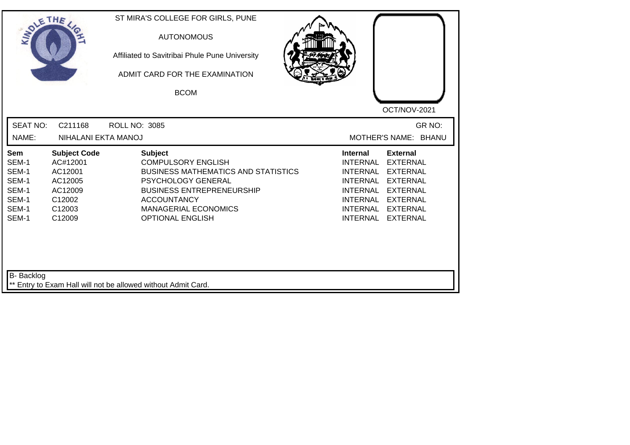| SOLE THE                                                                  |                                                                                                | ST MIRA'S COLLEGE FOR GIRLS, PUNE<br><b>AUTONOMOUS</b><br>Affiliated to Savitribai Phule Pune University<br>ADMIT CARD FOR THE EXAMINATION<br><b>BCOM</b>                                                                                  | OCT/NOV-2021                                                                                                                                                                                                                                                                                          |
|---------------------------------------------------------------------------|------------------------------------------------------------------------------------------------|--------------------------------------------------------------------------------------------------------------------------------------------------------------------------------------------------------------------------------------------|-------------------------------------------------------------------------------------------------------------------------------------------------------------------------------------------------------------------------------------------------------------------------------------------------------|
| <b>SEAT NO:</b><br>NAME:                                                  | C211168<br>NIHALANI EKTA MANOJ                                                                 | <b>ROLL NO: 3085</b>                                                                                                                                                                                                                       | GR NO:<br><b>MOTHER'S NAME:</b><br><b>BHANU</b>                                                                                                                                                                                                                                                       |
| <b>Sem</b><br>SEM-1<br>SEM-1<br>SEM-1<br>SEM-1<br>SEM-1<br>SEM-1<br>SEM-1 | <b>Subject Code</b><br>AC#12001<br>AC12001<br>AC12005<br>AC12009<br>C12002<br>C12003<br>C12009 | <b>Subject</b><br><b>COMPULSORY ENGLISH</b><br><b>BUSINESS MATHEMATICS AND STATISTICS</b><br><b>PSYCHOLOGY GENERAL</b><br><b>BUSINESS ENTREPRENEURSHIP</b><br><b>ACCOUNTANCY</b><br><b>MANAGERIAL ECONOMICS</b><br><b>OPTIONAL ENGLISH</b> | <b>External</b><br><b>Internal</b><br><b>EXTERNAL</b><br><b>INTERNAL</b><br><b>INTERNAL</b><br><b>EXTERNAL</b><br>INTERNAL<br><b>EXTERNAL</b><br><b>INTERNAL</b><br><b>EXTERNAL</b><br><b>INTERNAL</b><br><b>EXTERNAL</b><br><b>INTERNAL</b><br><b>EXTERNAL</b><br><b>INTERNAL</b><br><b>EXTERNAL</b> |
| <b>B-</b> Backlog                                                         |                                                                                                | Entry to Exam Hall will not be allowed without Admit Card.                                                                                                                                                                                 |                                                                                                                                                                                                                                                                                                       |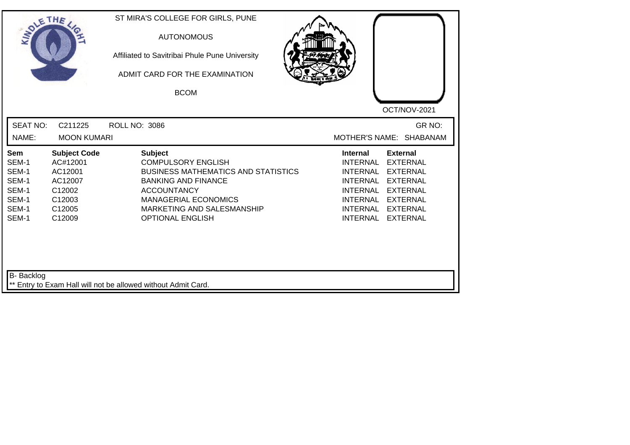| SOLE THE                                                           |                                                                                               | ST MIRA'S COLLEGE FOR GIRLS, PUNE<br><b>AUTONOMOUS</b><br>Affiliated to Savitribai Phule Pune University<br>ADMIT CARD FOR THE EXAMINATION<br><b>BCOM</b>                                                                             | OCT/NOV-2021                                                                                                                                                                                                                                                                                                 |
|--------------------------------------------------------------------|-----------------------------------------------------------------------------------------------|---------------------------------------------------------------------------------------------------------------------------------------------------------------------------------------------------------------------------------------|--------------------------------------------------------------------------------------------------------------------------------------------------------------------------------------------------------------------------------------------------------------------------------------------------------------|
| <b>SEAT NO:</b><br>NAME:                                           | C211225<br><b>MOON KUMARI</b>                                                                 | <b>ROLL NO: 3086</b>                                                                                                                                                                                                                  | GR NO:<br>MOTHER'S NAME: SHABANAM                                                                                                                                                                                                                                                                            |
| Sem<br>SEM-1<br>SEM-1<br>SEM-1<br>SEM-1<br>SEM-1<br>SEM-1<br>SEM-1 | <b>Subject Code</b><br>AC#12001<br>AC12001<br>AC12007<br>C12002<br>C12003<br>C12005<br>C12009 | <b>Subject</b><br><b>COMPULSORY ENGLISH</b><br><b>BUSINESS MATHEMATICS AND STATISTICS</b><br><b>BANKING AND FINANCE</b><br><b>ACCOUNTANCY</b><br><b>MANAGERIAL ECONOMICS</b><br>MARKETING AND SALESMANSHIP<br><b>OPTIONAL ENGLISH</b> | <b>External</b><br><b>Internal</b><br><b>INTERNAL</b><br><b>EXTERNAL</b><br><b>INTERNAL</b><br><b>EXTERNAL</b><br><b>INTERNAL</b><br><b>EXTERNAL</b><br><b>INTERNAL</b><br><b>EXTERNAL</b><br><b>INTERNAL</b><br><b>EXTERNAL</b><br><b>INTERNAL</b><br><b>EXTERNAL</b><br><b>INTERNAL</b><br><b>EXTERNAL</b> |
| <b>B-</b> Backlog                                                  |                                                                                               | ** Entry to Exam Hall will not be allowed without Admit Card.                                                                                                                                                                         |                                                                                                                                                                                                                                                                                                              |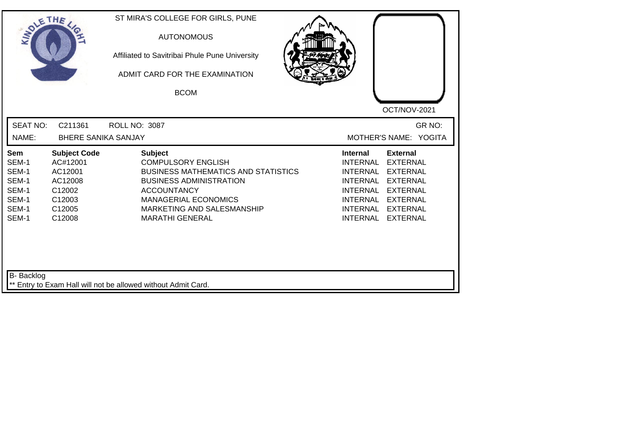| SOLETHE .                                                          |                                                                                               | ST MIRA'S COLLEGE FOR GIRLS, PUNE<br><b>AUTONOMOUS</b><br>Affiliated to Savitribai Phule Pune University<br>ADMIT CARD FOR THE EXAMINATION<br><b>BCOM</b>                                                                                | OCT/NOV-2021                                                                                                                                                                                                                                                                                                 |
|--------------------------------------------------------------------|-----------------------------------------------------------------------------------------------|------------------------------------------------------------------------------------------------------------------------------------------------------------------------------------------------------------------------------------------|--------------------------------------------------------------------------------------------------------------------------------------------------------------------------------------------------------------------------------------------------------------------------------------------------------------|
| <b>SEAT NO:</b><br>NAME:                                           | C211361<br><b>BHERE SANIKA SANJAY</b>                                                         | <b>ROLL NO: 3087</b>                                                                                                                                                                                                                     | GR NO:<br>MOTHER'S NAME: YOGITA                                                                                                                                                                                                                                                                              |
| Sem<br>SEM-1<br>SEM-1<br>SEM-1<br>SEM-1<br>SEM-1<br>SEM-1<br>SEM-1 | <b>Subject Code</b><br>AC#12001<br>AC12001<br>AC12008<br>C12002<br>C12003<br>C12005<br>C12008 | <b>Subject</b><br><b>COMPULSORY ENGLISH</b><br><b>BUSINESS MATHEMATICS AND STATISTICS</b><br><b>BUSINESS ADMINISTRATION</b><br><b>ACCOUNTANCY</b><br><b>MANAGERIAL ECONOMICS</b><br>MARKETING AND SALESMANSHIP<br><b>MARATHI GENERAL</b> | <b>Internal</b><br><b>External</b><br><b>INTERNAL</b><br><b>EXTERNAL</b><br><b>INTERNAL</b><br><b>EXTERNAL</b><br><b>INTERNAL</b><br><b>EXTERNAL</b><br><b>INTERNAL</b><br><b>EXTERNAL</b><br><b>INTERNAL</b><br><b>EXTERNAL</b><br><b>INTERNAL</b><br><b>EXTERNAL</b><br><b>INTERNAL</b><br><b>EXTERNAL</b> |
| <b>B-</b> Backlog                                                  |                                                                                               | ** Entry to Exam Hall will not be allowed without Admit Card.                                                                                                                                                                            |                                                                                                                                                                                                                                                                                                              |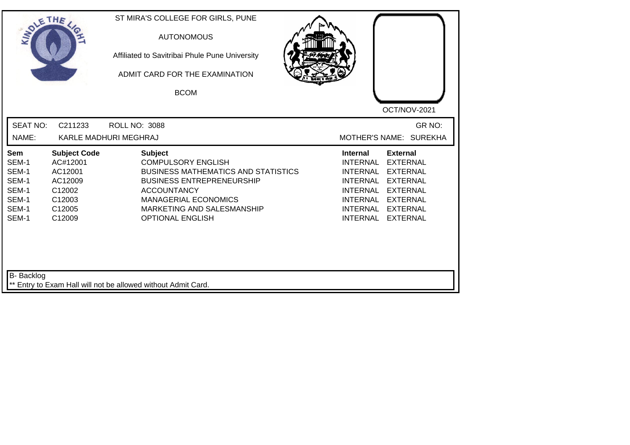| SOLE THE                                                                  |                                                                                               | ST MIRA'S COLLEGE FOR GIRLS, PUNE<br><b>AUTONOMOUS</b><br>Affiliated to Savitribai Phule Pune University<br>ADMIT CARD FOR THE EXAMINATION<br><b>BCOM</b>                                                                                   | OCT/NOV-2021                                                                                                                                                                                                                                                                                                 |
|---------------------------------------------------------------------------|-----------------------------------------------------------------------------------------------|---------------------------------------------------------------------------------------------------------------------------------------------------------------------------------------------------------------------------------------------|--------------------------------------------------------------------------------------------------------------------------------------------------------------------------------------------------------------------------------------------------------------------------------------------------------------|
| <b>SEAT NO:</b><br>NAME:                                                  | C211233                                                                                       | <b>ROLL NO: 3088</b><br>KARLE MADHURI MEGHRAJ                                                                                                                                                                                               | GR NO:<br>MOTHER'S NAME: SUREKHA                                                                                                                                                                                                                                                                             |
| <b>Sem</b><br>SEM-1<br>SEM-1<br>SEM-1<br>SEM-1<br>SEM-1<br>SEM-1<br>SEM-1 | <b>Subject Code</b><br>AC#12001<br>AC12001<br>AC12009<br>C12002<br>C12003<br>C12005<br>C12009 | <b>Subject</b><br><b>COMPULSORY ENGLISH</b><br><b>BUSINESS MATHEMATICS AND STATISTICS</b><br><b>BUSINESS ENTREPRENEURSHIP</b><br><b>ACCOUNTANCY</b><br><b>MANAGERIAL ECONOMICS</b><br>MARKETING AND SALESMANSHIP<br><b>OPTIONAL ENGLISH</b> | <b>External</b><br><b>Internal</b><br><b>INTERNAL</b><br><b>EXTERNAL</b><br><b>INTERNAL</b><br><b>EXTERNAL</b><br><b>INTERNAL</b><br><b>EXTERNAL</b><br><b>INTERNAL</b><br><b>EXTERNAL</b><br><b>INTERNAL</b><br><b>EXTERNAL</b><br><b>INTERNAL</b><br><b>EXTERNAL</b><br><b>INTERNAL</b><br><b>EXTERNAL</b> |
| B- Backlog                                                                |                                                                                               | ** Entry to Exam Hall will not be allowed without Admit Card.                                                                                                                                                                               |                                                                                                                                                                                                                                                                                                              |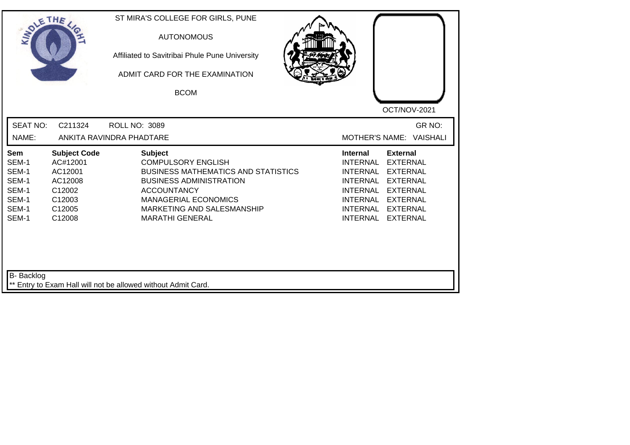| SOLE THE                                                                  |                                                                                               | ST MIRA'S COLLEGE FOR GIRLS, PUNE<br><b>AUTONOMOUS</b><br>Affiliated to Savitribai Phule Pune University<br>ADMIT CARD FOR THE EXAMINATION<br><b>BCOM</b>                                                                                | OCT/NOV-2021                                                                                                                                                                                                                                                                                                 |
|---------------------------------------------------------------------------|-----------------------------------------------------------------------------------------------|------------------------------------------------------------------------------------------------------------------------------------------------------------------------------------------------------------------------------------------|--------------------------------------------------------------------------------------------------------------------------------------------------------------------------------------------------------------------------------------------------------------------------------------------------------------|
| <b>SEAT NO:</b><br>NAME:                                                  | C211324                                                                                       | <b>ROLL NO: 3089</b><br>ANKITA RAVINDRA PHADTARE                                                                                                                                                                                         | GR NO:<br>MOTHER'S NAME: VAISHALI                                                                                                                                                                                                                                                                            |
| <b>Sem</b><br>SEM-1<br>SEM-1<br>SEM-1<br>SEM-1<br>SEM-1<br>SEM-1<br>SEM-1 | <b>Subject Code</b><br>AC#12001<br>AC12001<br>AC12008<br>C12002<br>C12003<br>C12005<br>C12008 | <b>Subject</b><br><b>COMPULSORY ENGLISH</b><br><b>BUSINESS MATHEMATICS AND STATISTICS</b><br><b>BUSINESS ADMINISTRATION</b><br><b>ACCOUNTANCY</b><br><b>MANAGERIAL ECONOMICS</b><br>MARKETING AND SALESMANSHIP<br><b>MARATHI GENERAL</b> | <b>External</b><br><b>Internal</b><br><b>INTERNAL</b><br><b>EXTERNAL</b><br><b>INTERNAL</b><br><b>EXTERNAL</b><br><b>INTERNAL</b><br><b>EXTERNAL</b><br><b>INTERNAL</b><br><b>EXTERNAL</b><br><b>INTERNAL</b><br><b>EXTERNAL</b><br><b>INTERNAL</b><br><b>EXTERNAL</b><br><b>INTERNAL</b><br><b>EXTERNAL</b> |
| B- Backlog                                                                |                                                                                               | ** Entry to Exam Hall will not be allowed without Admit Card.                                                                                                                                                                            |                                                                                                                                                                                                                                                                                                              |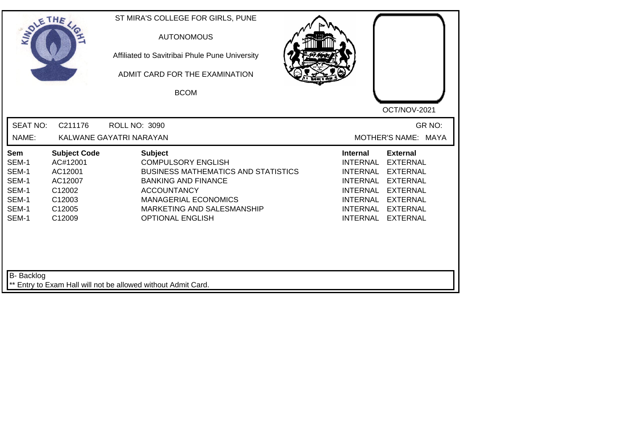| SOLETHE .                                                          |                                                                                               | ST MIRA'S COLLEGE FOR GIRLS, PUNE<br><b>AUTONOMOUS</b><br>Affiliated to Savitribai Phule Pune University<br>ADMIT CARD FOR THE EXAMINATION<br><b>BCOM</b>                                                                             | OCT/NOV-2021                                                                                                                                                                                                                                                                                                 |
|--------------------------------------------------------------------|-----------------------------------------------------------------------------------------------|---------------------------------------------------------------------------------------------------------------------------------------------------------------------------------------------------------------------------------------|--------------------------------------------------------------------------------------------------------------------------------------------------------------------------------------------------------------------------------------------------------------------------------------------------------------|
| <b>SEAT NO:</b><br>NAME:                                           | C211176                                                                                       | <b>ROLL NO: 3090</b><br>KALWANE GAYATRI NARAYAN                                                                                                                                                                                       | GR NO:<br>MOTHER'S NAME: MAYA                                                                                                                                                                                                                                                                                |
| Sem<br>SEM-1<br>SEM-1<br>SEM-1<br>SEM-1<br>SEM-1<br>SEM-1<br>SEM-1 | <b>Subject Code</b><br>AC#12001<br>AC12001<br>AC12007<br>C12002<br>C12003<br>C12005<br>C12009 | <b>Subject</b><br><b>COMPULSORY ENGLISH</b><br><b>BUSINESS MATHEMATICS AND STATISTICS</b><br><b>BANKING AND FINANCE</b><br><b>ACCOUNTANCY</b><br><b>MANAGERIAL ECONOMICS</b><br>MARKETING AND SALESMANSHIP<br><b>OPTIONAL ENGLISH</b> | <b>Internal</b><br><b>External</b><br><b>INTERNAL</b><br><b>EXTERNAL</b><br><b>INTERNAL</b><br><b>EXTERNAL</b><br><b>INTERNAL</b><br><b>EXTERNAL</b><br><b>INTERNAL</b><br><b>EXTERNAL</b><br><b>INTERNAL</b><br><b>EXTERNAL</b><br><b>INTERNAL</b><br><b>EXTERNAL</b><br><b>INTERNAL</b><br><b>EXTERNAL</b> |
| <b>B-</b> Backlog                                                  |                                                                                               | ** Entry to Exam Hall will not be allowed without Admit Card.                                                                                                                                                                         |                                                                                                                                                                                                                                                                                                              |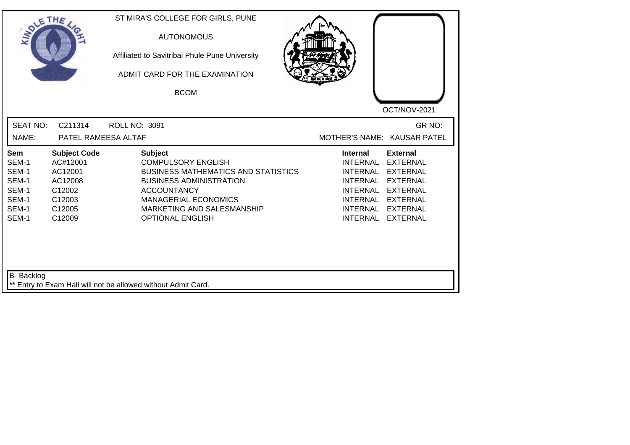| <b>SOLETHE</b>                                                     |                                                                                               | ST MIRA'S COLLEGE FOR GIRLS, PUNE<br><b>AUTONOMOUS</b><br>Affiliated to Savitribai Phule Pune University<br>ADMIT CARD FOR THE EXAMINATION<br><b>BCOM</b>                                                                                 | OCT/NOV-2021                                                                                                                                                                                                                                                                                                 |
|--------------------------------------------------------------------|-----------------------------------------------------------------------------------------------|-------------------------------------------------------------------------------------------------------------------------------------------------------------------------------------------------------------------------------------------|--------------------------------------------------------------------------------------------------------------------------------------------------------------------------------------------------------------------------------------------------------------------------------------------------------------|
| <b>SEAT NO:</b><br>NAME:                                           | C211314<br>PATEL RAMEESA ALTAF                                                                | <b>ROLL NO: 3091</b>                                                                                                                                                                                                                      | GR NO:<br>MOTHER'S NAME: KAUSAR PATEL                                                                                                                                                                                                                                                                        |
| Sem<br>SEM-1<br>SEM-1<br>SEM-1<br>SEM-1<br>SEM-1<br>SEM-1<br>SEM-1 | <b>Subject Code</b><br>AC#12001<br>AC12001<br>AC12008<br>C12002<br>C12003<br>C12005<br>C12009 | <b>Subject</b><br><b>COMPULSORY ENGLISH</b><br><b>BUSINESS MATHEMATICS AND STATISTICS</b><br><b>BUSINESS ADMINISTRATION</b><br><b>ACCOUNTANCY</b><br><b>MANAGERIAL ECONOMICS</b><br>MARKETING AND SALESMANSHIP<br><b>OPTIONAL ENGLISH</b> | <b>External</b><br><b>Internal</b><br><b>INTERNAL</b><br><b>EXTERNAL</b><br><b>INTERNAL</b><br><b>EXTERNAL</b><br><b>INTERNAL</b><br><b>EXTERNAL</b><br><b>EXTERNAL</b><br><b>INTERNAL</b><br><b>INTERNAL</b><br><b>EXTERNAL</b><br><b>INTERNAL</b><br><b>EXTERNAL</b><br><b>INTERNAL</b><br><b>EXTERNAL</b> |
| <b>B-</b> Backlog                                                  |                                                                                               | ** Entry to Exam Hall will not be allowed without Admit Card.                                                                                                                                                                             |                                                                                                                                                                                                                                                                                                              |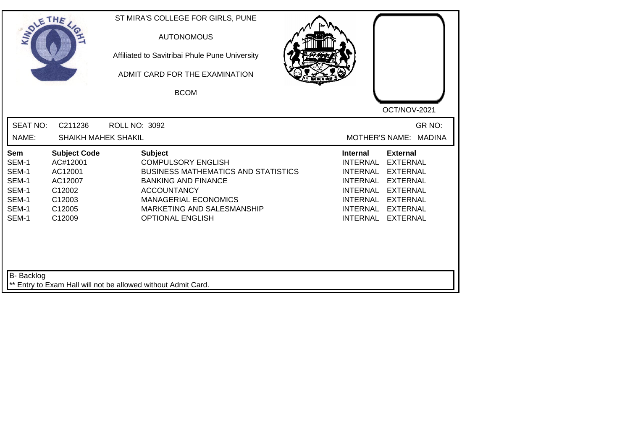| SOLETHE .                                                          |                                                                                               | ST MIRA'S COLLEGE FOR GIRLS, PUNE<br><b>AUTONOMOUS</b><br>Affiliated to Savitribai Phule Pune University<br>ADMIT CARD FOR THE EXAMINATION<br><b>BCOM</b>                                                                             | OCT/NOV-2021                                                                                                                                                                                                                                                                            |
|--------------------------------------------------------------------|-----------------------------------------------------------------------------------------------|---------------------------------------------------------------------------------------------------------------------------------------------------------------------------------------------------------------------------------------|-----------------------------------------------------------------------------------------------------------------------------------------------------------------------------------------------------------------------------------------------------------------------------------------|
| <b>SEAT NO:</b><br>NAME:                                           | C211236<br><b>SHAIKH MAHEK SHAKIL</b>                                                         | <b>ROLL NO: 3092</b>                                                                                                                                                                                                                  | GR NO:<br><b>MOTHER'S NAME:</b><br><b>MADINA</b>                                                                                                                                                                                                                                        |
| Sem<br>SEM-1<br>SEM-1<br>SEM-1<br>SEM-1<br>SEM-1<br>SEM-1<br>SEM-1 | <b>Subject Code</b><br>AC#12001<br>AC12001<br>AC12007<br>C12002<br>C12003<br>C12005<br>C12009 | <b>Subject</b><br><b>COMPULSORY ENGLISH</b><br><b>BUSINESS MATHEMATICS AND STATISTICS</b><br><b>BANKING AND FINANCE</b><br><b>ACCOUNTANCY</b><br><b>MANAGERIAL ECONOMICS</b><br>MARKETING AND SALESMANSHIP<br><b>OPTIONAL ENGLISH</b> | <b>External</b><br><b>Internal</b><br><b>INTERNAL</b><br><b>EXTERNAL</b><br><b>INTERNAL</b><br><b>EXTERNAL</b><br><b>INTERNAL</b><br><b>EXTERNAL</b><br><b>INTERNAL</b><br><b>EXTERNAL</b><br>INTERNAL<br><b>EXTERNAL</b><br>INTERNAL<br><b>EXTERNAL</b><br>INTERNAL<br><b>EXTERNAL</b> |
| <b>B-</b> Backlog                                                  |                                                                                               | ** Entry to Exam Hall will not be allowed without Admit Card.                                                                                                                                                                         |                                                                                                                                                                                                                                                                                         |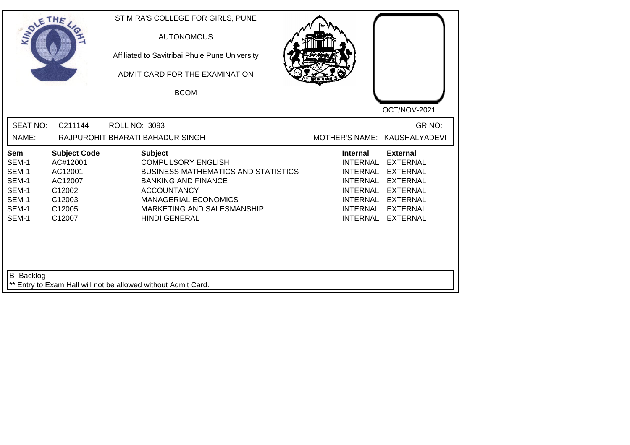| SOLETHE ,                                                                        |                                                                                               | ST MIRA'S COLLEGE FOR GIRLS, PUNE<br><b>AUTONOMOUS</b><br>Affiliated to Savitribai Phule Pune University<br>ADMIT CARD FOR THE EXAMINATION<br><b>BCOM</b>                                                                          |                                                                                                                                        | OCT/NOV-2021                                                                                                                                         |
|----------------------------------------------------------------------------------|-----------------------------------------------------------------------------------------------|------------------------------------------------------------------------------------------------------------------------------------------------------------------------------------------------------------------------------------|----------------------------------------------------------------------------------------------------------------------------------------|------------------------------------------------------------------------------------------------------------------------------------------------------|
| <b>SEAT NO:</b><br>NAME:                                                         | C211144                                                                                       | <b>ROLL NO: 3093</b><br>RAJPUROHIT BHARATI BAHADUR SINGH                                                                                                                                                                           | MOTHER'S NAME: KAUSHALYADEVI                                                                                                           | GR NO:                                                                                                                                               |
| Sem<br>SEM-1<br>SEM-1<br>SEM-1<br>SEM-1<br>SEM-1<br>SEM-1<br>SEM-1<br>B- Backlog | <b>Subject Code</b><br>AC#12001<br>AC12001<br>AC12007<br>C12002<br>C12003<br>C12005<br>C12007 | <b>Subject</b><br><b>COMPULSORY ENGLISH</b><br><b>BUSINESS MATHEMATICS AND STATISTICS</b><br><b>BANKING AND FINANCE</b><br><b>ACCOUNTANCY</b><br><b>MANAGERIAL ECONOMICS</b><br>MARKETING AND SALESMANSHIP<br><b>HINDI GENERAL</b> | <b>Internal</b><br><b>INTERNAL</b><br>INTERNAL<br><b>INTERNAL</b><br>INTERNAL<br><b>INTERNAL</b><br><b>INTERNAL</b><br><b>INTERNAL</b> | <b>External</b><br><b>EXTERNAL</b><br><b>EXTERNAL</b><br><b>EXTERNAL</b><br><b>EXTERNAL</b><br><b>EXTERNAL</b><br><b>EXTERNAL</b><br><b>EXTERNAL</b> |
|                                                                                  |                                                                                               | ** Entry to Exam Hall will not be allowed without Admit Card.                                                                                                                                                                      |                                                                                                                                        |                                                                                                                                                      |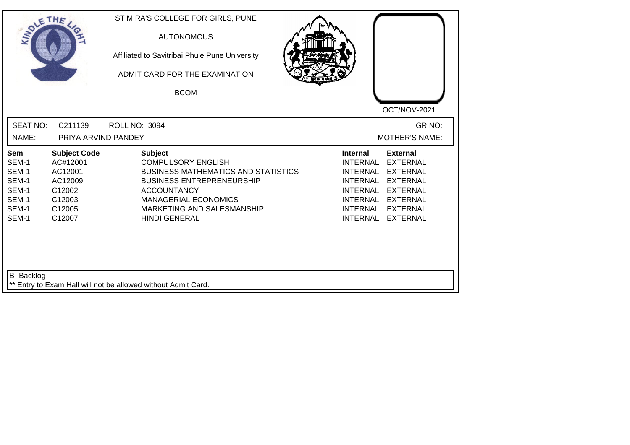| SOLETHE ,                                                          |                                                                                               | ST MIRA'S COLLEGE FOR GIRLS, PUNE<br><b>AUTONOMOUS</b><br>Affiliated to Savitribai Phule Pune University<br>ADMIT CARD FOR THE EXAMINATION<br><b>BCOM</b>                                                                                |                                                                                                                            | OCT/NOV-2021                                                                                                                                           |
|--------------------------------------------------------------------|-----------------------------------------------------------------------------------------------|------------------------------------------------------------------------------------------------------------------------------------------------------------------------------------------------------------------------------------------|----------------------------------------------------------------------------------------------------------------------------|--------------------------------------------------------------------------------------------------------------------------------------------------------|
| <b>SEAT NO:</b><br>NAME:                                           | C211139<br>PRIYA ARVIND PANDEY                                                                | <b>ROLL NO: 3094</b>                                                                                                                                                                                                                     |                                                                                                                            | GR NO:<br><b>MOTHER'S NAME:</b>                                                                                                                        |
| Sem<br>SEM-1<br>SEM-1<br>SEM-1<br>SEM-1<br>SEM-1<br>SEM-1<br>SEM-1 | <b>Subject Code</b><br>AC#12001<br>AC12001<br>AC12009<br>C12002<br>C12003<br>C12005<br>C12007 | <b>Subject</b><br><b>COMPULSORY ENGLISH</b><br><b>BUSINESS MATHEMATICS AND STATISTICS</b><br><b>BUSINESS ENTREPRENEURSHIP</b><br><b>ACCOUNTANCY</b><br><b>MANAGERIAL ECONOMICS</b><br>MARKETING AND SALESMANSHIP<br><b>HINDI GENERAL</b> | <b>Internal</b><br><b>INTERNAL</b><br><b>INTERNAL</b><br>INTERNAL<br><b>INTERNAL</b><br><b>INTERNAL</b><br><b>INTERNAL</b> | <b>External</b><br><b>EXTERNAL</b><br><b>EXTERNAL</b><br><b>EXTERNAL</b><br><b>EXTERNAL</b><br>INTERNAL EXTERNAL<br><b>EXTERNAL</b><br><b>EXTERNAL</b> |
| <b>B-</b> Backlog                                                  |                                                                                               | ** Entry to Exam Hall will not be allowed without Admit Card.                                                                                                                                                                            |                                                                                                                            |                                                                                                                                                        |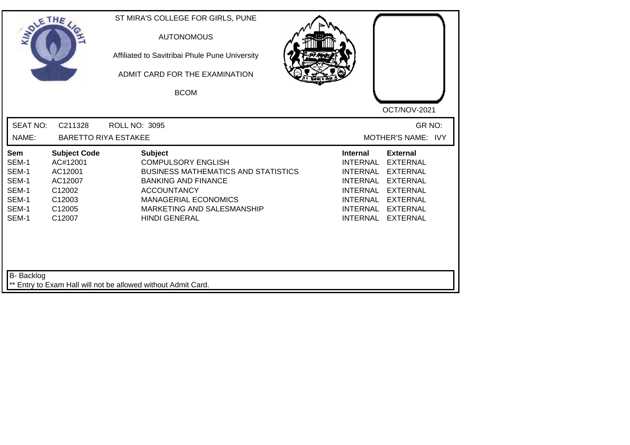| SOLETHE                                                            |                                                                                               | ST MIRA'S COLLEGE FOR GIRLS, PUNE<br><b>AUTONOMOUS</b><br>Affiliated to Savitribai Phule Pune University<br>ADMIT CARD FOR THE EXAMINATION<br><b>BCOM</b>                                                                          | OCT/NOV-2021                                                                                                                                                                                                                                                                            |
|--------------------------------------------------------------------|-----------------------------------------------------------------------------------------------|------------------------------------------------------------------------------------------------------------------------------------------------------------------------------------------------------------------------------------|-----------------------------------------------------------------------------------------------------------------------------------------------------------------------------------------------------------------------------------------------------------------------------------------|
| <b>SEAT NO:</b><br>NAME:                                           | C211328<br><b>BARETTO RIYA ESTAKEE</b>                                                        | <b>ROLL NO: 3095</b>                                                                                                                                                                                                               | GR NO:<br>MOTHER'S NAME: IVY                                                                                                                                                                                                                                                            |
| Sem<br>SEM-1<br>SEM-1<br>SEM-1<br>SEM-1<br>SEM-1<br>SEM-1<br>SEM-1 | <b>Subject Code</b><br>AC#12001<br>AC12001<br>AC12007<br>C12002<br>C12003<br>C12005<br>C12007 | <b>Subject</b><br><b>COMPULSORY ENGLISH</b><br><b>BUSINESS MATHEMATICS AND STATISTICS</b><br><b>BANKING AND FINANCE</b><br><b>ACCOUNTANCY</b><br><b>MANAGERIAL ECONOMICS</b><br>MARKETING AND SALESMANSHIP<br><b>HINDI GENERAL</b> | <b>External</b><br><b>Internal</b><br><b>INTERNAL</b><br><b>EXTERNAL</b><br><b>INTERNAL</b><br><b>EXTERNAL</b><br><b>INTERNAL</b><br><b>EXTERNAL</b><br><b>INTERNAL</b><br><b>EXTERNAL</b><br>INTERNAL<br><b>EXTERNAL</b><br>INTERNAL<br><b>EXTERNAL</b><br>INTERNAL<br><b>EXTERNAL</b> |
| <b>B-</b> Backlog                                                  |                                                                                               | ** Entry to Exam Hall will not be allowed without Admit Card.                                                                                                                                                                      |                                                                                                                                                                                                                                                                                         |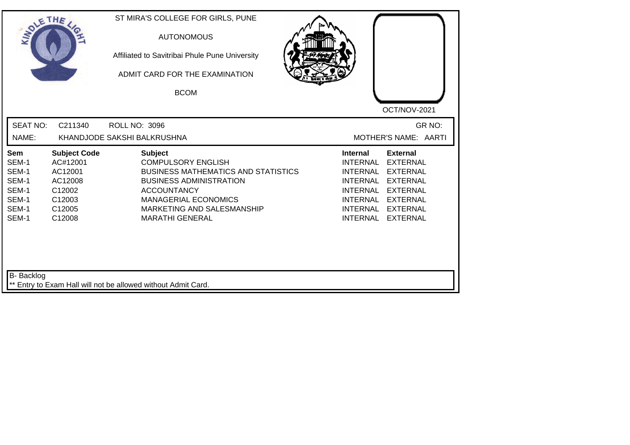| <b>SEAT NO:</b><br>C211340<br><b>ROLL NO: 3096</b><br>KHANDJODE SAKSHI BALKRUSHNA<br>NAME:<br><b>Subject Code</b><br><b>Subject</b><br><b>Sem</b><br>SEM-1<br>AC#12001<br><b>COMPULSORY ENGLISH</b>                                                                                                           | GR NO:                                                                                                                                                                                                                                                                                                |
|---------------------------------------------------------------------------------------------------------------------------------------------------------------------------------------------------------------------------------------------------------------------------------------------------------------|-------------------------------------------------------------------------------------------------------------------------------------------------------------------------------------------------------------------------------------------------------------------------------------------------------|
|                                                                                                                                                                                                                                                                                                               | MOTHER'S NAME: AARTI                                                                                                                                                                                                                                                                                  |
| SEM-1<br>AC12001<br><b>BUSINESS MATHEMATICS AND STATISTICS</b><br>SEM-1<br>AC12008<br><b>BUSINESS ADMINISTRATION</b><br>SEM-1<br>C12002<br><b>ACCOUNTANCY</b><br>SEM-1<br>C12003<br><b>MANAGERIAL ECONOMICS</b><br>SEM-1<br>C12005<br>MARKETING AND SALESMANSHIP<br>SEM-1<br>C12008<br><b>MARATHI GENERAL</b> | <b>Internal</b><br><b>External</b><br><b>INTERNAL</b><br><b>EXTERNAL</b><br><b>INTERNAL</b><br><b>EXTERNAL</b><br><b>INTERNAL</b><br><b>EXTERNAL</b><br><b>INTERNAL</b><br><b>EXTERNAL</b><br>INTERNAL<br><b>EXTERNAL</b><br><b>INTERNAL</b><br><b>EXTERNAL</b><br><b>INTERNAL</b><br><b>EXTERNAL</b> |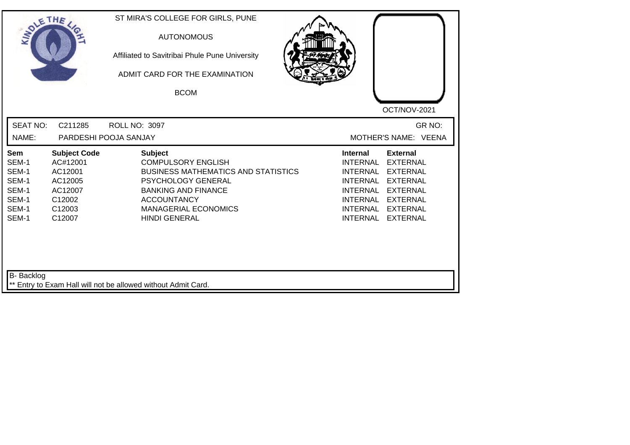| SOLETHE                                                            |                                                                                                | ST MIRA'S COLLEGE FOR GIRLS, PUNE<br><b>AUTONOMOUS</b><br>Affiliated to Savitribai Phule Pune University<br>ADMIT CARD FOR THE EXAMINATION<br><b>BCOM</b>                                                                         | OCT/NOV-2021                                                                                                                                                                                                                                                 |
|--------------------------------------------------------------------|------------------------------------------------------------------------------------------------|-----------------------------------------------------------------------------------------------------------------------------------------------------------------------------------------------------------------------------------|--------------------------------------------------------------------------------------------------------------------------------------------------------------------------------------------------------------------------------------------------------------|
| <b>SEAT NO:</b><br>NAME:                                           | C211285                                                                                        | <b>ROLL NO: 3097</b><br>PARDESHI POOJA SANJAY                                                                                                                                                                                     | GR NO:<br>MOTHER'S NAME: VEENA                                                                                                                                                                                                                               |
| Sem<br>SEM-1<br>SEM-1<br>SEM-1<br>SEM-1<br>SEM-1<br>SEM-1<br>SEM-1 | <b>Subject Code</b><br>AC#12001<br>AC12001<br>AC12005<br>AC12007<br>C12002<br>C12003<br>C12007 | <b>Subject</b><br><b>COMPULSORY ENGLISH</b><br><b>BUSINESS MATHEMATICS AND STATISTICS</b><br><b>PSYCHOLOGY GENERAL</b><br><b>BANKING AND FINANCE</b><br><b>ACCOUNTANCY</b><br><b>MANAGERIAL ECONOMICS</b><br><b>HINDI GENERAL</b> | <b>External</b><br><b>Internal</b><br><b>EXTERNAL</b><br>INTERNAL<br><b>INTERNAL</b><br><b>EXTERNAL</b><br>INTERNAL<br><b>EXTERNAL</b><br><b>INTERNAL</b><br><b>EXTERNAL</b><br>INTERNAL EXTERNAL<br><b>INTERNAL</b><br><b>EXTERNAL</b><br>INTERNAL EXTERNAL |
| <b>B-</b> Backlog                                                  |                                                                                                | ** Entry to Exam Hall will not be allowed without Admit Card.                                                                                                                                                                     |                                                                                                                                                                                                                                                              |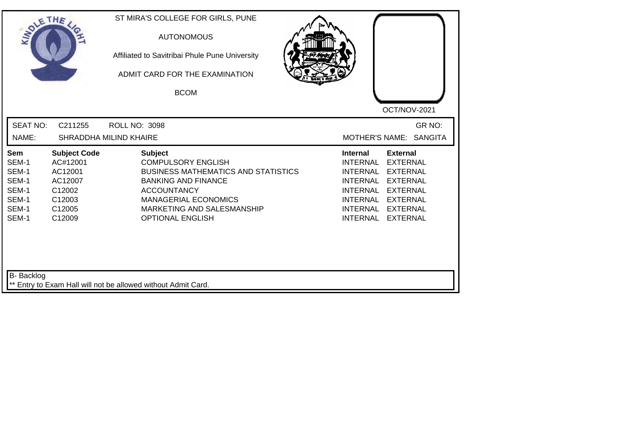| <b>SEAT NO:</b><br>C211255<br>GR NO:<br><b>ROLL NO: 3098</b><br>MOTHER'S NAME: SANGITA<br>NAME:<br>SHRADDHA MILIND KHAIRE<br><b>Subject Code</b><br><b>Subject</b><br><b>Internal</b><br><b>External</b><br>Sem<br>SEM-1<br><b>COMPULSORY ENGLISH</b><br><b>INTERNAL</b><br><b>EXTERNAL</b><br>AC#12001<br>SEM-1<br>AC12001<br><b>BUSINESS MATHEMATICS AND STATISTICS</b><br><b>INTERNAL</b><br><b>EXTERNAL</b><br>SEM-1<br>AC12007<br><b>BANKING AND FINANCE</b><br><b>INTERNAL</b><br><b>EXTERNAL</b><br>SEM-1<br>C12002<br><b>ACCOUNTANCY</b><br><b>INTERNAL</b><br><b>EXTERNAL</b><br>SEM-1<br>C12003<br><b>MANAGERIAL ECONOMICS</b><br><b>INTERNAL</b><br><b>EXTERNAL</b><br>SEM-1<br>C12005<br>MARKETING AND SALESMANSHIP<br><b>INTERNAL</b><br><b>EXTERNAL</b><br>SEM-1<br>C12009<br><b>OPTIONAL ENGLISH</b><br><b>INTERNAL</b><br><b>EXTERNAL</b> | SOLETHE . | ST MIRA'S COLLEGE FOR GIRLS, PUNE<br><b>AUTONOMOUS</b><br>Affiliated to Savitribai Phule Pune University<br>ADMIT CARD FOR THE EXAMINATION<br><b>BCOM</b> | OCT/NOV-2021 |
|-----------------------------------------------------------------------------------------------------------------------------------------------------------------------------------------------------------------------------------------------------------------------------------------------------------------------------------------------------------------------------------------------------------------------------------------------------------------------------------------------------------------------------------------------------------------------------------------------------------------------------------------------------------------------------------------------------------------------------------------------------------------------------------------------------------------------------------------------------------|-----------|-----------------------------------------------------------------------------------------------------------------------------------------------------------|--------------|
|                                                                                                                                                                                                                                                                                                                                                                                                                                                                                                                                                                                                                                                                                                                                                                                                                                                           |           |                                                                                                                                                           |              |
|                                                                                                                                                                                                                                                                                                                                                                                                                                                                                                                                                                                                                                                                                                                                                                                                                                                           |           |                                                                                                                                                           |              |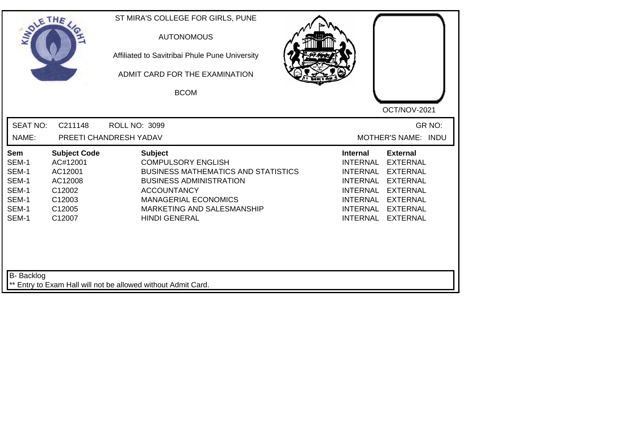| SOLE THE                                                                  |                                                                                               | ST MIRA'S COLLEGE FOR GIRLS, PUNE<br><b>AUTONOMOUS</b><br>Affiliated to Savitribai Phule Pune University<br>ADMIT CARD FOR THE EXAMINATION<br><b>BCOM</b>                                                                              | OCT/NOV-2021                                                                                                                                                                                                                                                                                          |
|---------------------------------------------------------------------------|-----------------------------------------------------------------------------------------------|----------------------------------------------------------------------------------------------------------------------------------------------------------------------------------------------------------------------------------------|-------------------------------------------------------------------------------------------------------------------------------------------------------------------------------------------------------------------------------------------------------------------------------------------------------|
| <b>SEAT NO:</b><br>NAME:                                                  | C211148                                                                                       | ROLL NO: 3099<br>PREETI CHANDRESH YADAV                                                                                                                                                                                                | GR NO:<br>MOTHER'S NAME: INDU                                                                                                                                                                                                                                                                         |
| <b>Sem</b><br>SEM-1<br>SEM-1<br>SEM-1<br>SEM-1<br>SEM-1<br>SEM-1<br>SEM-1 | <b>Subject Code</b><br>AC#12001<br>AC12001<br>AC12008<br>C12002<br>C12003<br>C12005<br>C12007 | <b>Subject</b><br><b>COMPULSORY ENGLISH</b><br><b>BUSINESS MATHEMATICS AND STATISTICS</b><br><b>BUSINESS ADMINISTRATION</b><br><b>ACCOUNTANCY</b><br><b>MANAGERIAL ECONOMICS</b><br>MARKETING AND SALESMANSHIP<br><b>HINDI GENERAL</b> | <b>External</b><br>Internal<br><b>INTERNAL</b><br><b>EXTERNAL</b><br><b>INTERNAL</b><br><b>EXTERNAL</b><br><b>INTERNAL</b><br><b>EXTERNAL</b><br><b>INTERNAL</b><br><b>EXTERNAL</b><br><b>INTERNAL</b><br><b>EXTERNAL</b><br><b>INTERNAL</b><br><b>EXTERNAL</b><br><b>INTERNAL</b><br><b>EXTERNAL</b> |
| B- Backlog                                                                |                                                                                               | ** Entry to Exam Hall will not be allowed without Admit Card.                                                                                                                                                                          |                                                                                                                                                                                                                                                                                                       |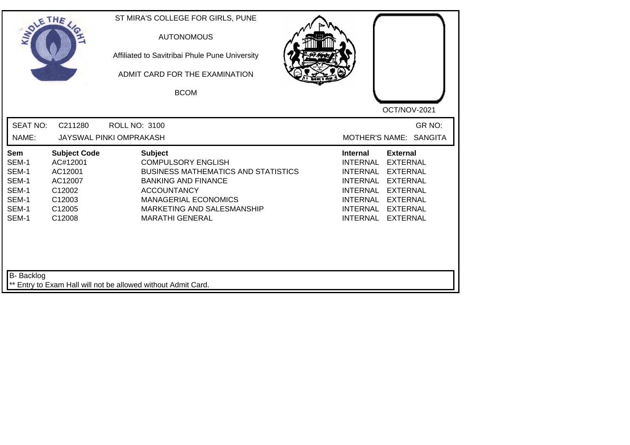| <b>SEAT NO:</b><br>C211280<br><b>ROLL NO: 3100</b><br>MOTHER'S NAME: SANGITA<br>NAME:<br>JAYSWAL PINKI OMPRAKASH<br><b>Subject Code</b><br><b>Subject</b><br><b>Internal</b><br><b>External</b><br>Sem<br>SEM-1<br><b>COMPULSORY ENGLISH</b><br><b>INTERNAL</b><br><b>EXTERNAL</b><br>AC#12001<br>SEM-1<br>AC12001<br><b>BUSINESS MATHEMATICS AND STATISTICS</b><br><b>INTERNAL</b><br><b>EXTERNAL</b>                                | OCT/NOV-2021 |
|---------------------------------------------------------------------------------------------------------------------------------------------------------------------------------------------------------------------------------------------------------------------------------------------------------------------------------------------------------------------------------------------------------------------------------------|--------------|
|                                                                                                                                                                                                                                                                                                                                                                                                                                       | GR NO:       |
| SEM-1<br>AC12007<br><b>BANKING AND FINANCE</b><br><b>INTERNAL</b><br><b>EXTERNAL</b><br>SEM-1<br>C12002<br><b>ACCOUNTANCY</b><br><b>INTERNAL</b><br><b>EXTERNAL</b><br>SEM-1<br>C12003<br><b>MANAGERIAL ECONOMICS</b><br><b>INTERNAL</b><br><b>EXTERNAL</b><br>SEM-1<br>C12005<br>MARKETING AND SALESMANSHIP<br><b>INTERNAL</b><br><b>EXTERNAL</b><br>SEM-1<br>C12008<br><b>MARATHI GENERAL</b><br><b>INTERNAL</b><br><b>EXTERNAL</b> |              |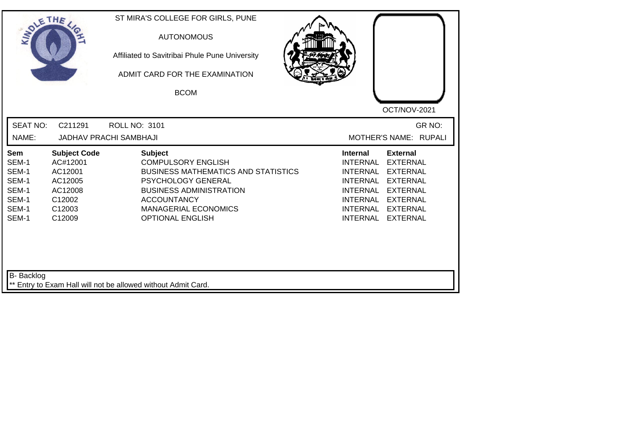| <b>SOLETHE</b>                                                     |                                                                                                | ST MIRA'S COLLEGE FOR GIRLS, PUNE<br><b>AUTONOMOUS</b><br>Affiliated to Savitribai Phule Pune University<br>ADMIT CARD FOR THE EXAMINATION<br><b>BCOM</b>                                                                         | OCT/NOV-2021                                                                                                                                                                                                                                                                                                 |
|--------------------------------------------------------------------|------------------------------------------------------------------------------------------------|-----------------------------------------------------------------------------------------------------------------------------------------------------------------------------------------------------------------------------------|--------------------------------------------------------------------------------------------------------------------------------------------------------------------------------------------------------------------------------------------------------------------------------------------------------------|
| <b>SEAT NO:</b><br>NAME:                                           | C211291                                                                                        | <b>ROLL NO: 3101</b><br><b>JADHAV PRACHI SAMBHAJI</b>                                                                                                                                                                             | GR NO:<br>MOTHER'S NAME: RUPALI                                                                                                                                                                                                                                                                              |
| Sem<br>SEM-1<br>SEM-1<br>SEM-1<br>SEM-1<br>SEM-1<br>SEM-1<br>SEM-1 | <b>Subject Code</b><br>AC#12001<br>AC12001<br>AC12005<br>AC12008<br>C12002<br>C12003<br>C12009 | <b>Subject</b><br><b>COMPULSORY ENGLISH</b><br><b>BUSINESS MATHEMATICS AND STATISTICS</b><br>PSYCHOLOGY GENERAL<br><b>BUSINESS ADMINISTRATION</b><br><b>ACCOUNTANCY</b><br><b>MANAGERIAL ECONOMICS</b><br><b>OPTIONAL ENGLISH</b> | <b>Internal</b><br><b>External</b><br><b>EXTERNAL</b><br><b>INTERNAL</b><br><b>INTERNAL</b><br><b>EXTERNAL</b><br><b>INTERNAL</b><br><b>EXTERNAL</b><br><b>INTERNAL</b><br><b>EXTERNAL</b><br><b>INTERNAL</b><br><b>EXTERNAL</b><br><b>INTERNAL</b><br><b>EXTERNAL</b><br><b>INTERNAL</b><br><b>EXTERNAL</b> |
| <b>B-</b> Backlog                                                  |                                                                                                | ** Entry to Exam Hall will not be allowed without Admit Card.                                                                                                                                                                     |                                                                                                                                                                                                                                                                                                              |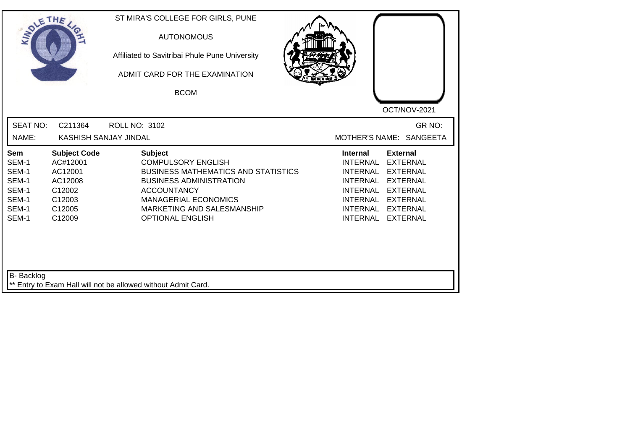| <b>SOLETHE</b>                                                     |                                                                                               | ST MIRA'S COLLEGE FOR GIRLS, PUNE<br><b>AUTONOMOUS</b><br>Affiliated to Savitribai Phule Pune University<br>ADMIT CARD FOR THE EXAMINATION<br><b>BCOM</b>                                                                                 | OCT/NOV-2021                                                                                                                                                                                                                                |
|--------------------------------------------------------------------|-----------------------------------------------------------------------------------------------|-------------------------------------------------------------------------------------------------------------------------------------------------------------------------------------------------------------------------------------------|---------------------------------------------------------------------------------------------------------------------------------------------------------------------------------------------------------------------------------------------|
| <b>SEAT NO:</b><br>NAME:                                           | C211364<br>KASHISH SANJAY JINDAL                                                              | <b>ROLL NO: 3102</b>                                                                                                                                                                                                                      | GR NO:<br>MOTHER'S NAME: SANGEETA                                                                                                                                                                                                           |
| Sem<br>SEM-1<br>SEM-1<br>SEM-1<br>SEM-1<br>SEM-1<br>SEM-1<br>SEM-1 | <b>Subject Code</b><br>AC#12001<br>AC12001<br>AC12008<br>C12002<br>C12003<br>C12005<br>C12009 | <b>Subject</b><br><b>COMPULSORY ENGLISH</b><br><b>BUSINESS MATHEMATICS AND STATISTICS</b><br><b>BUSINESS ADMINISTRATION</b><br><b>ACCOUNTANCY</b><br><b>MANAGERIAL ECONOMICS</b><br>MARKETING AND SALESMANSHIP<br><b>OPTIONAL ENGLISH</b> | <b>External</b><br><b>Internal</b><br>INTERNAL<br><b>EXTERNAL</b><br>INTERNAL<br><b>EXTERNAL</b><br>INTERNAL EXTERNAL<br><b>INTERNAL</b><br><b>EXTERNAL</b><br>INTERNAL EXTERNAL<br><b>INTERNAL</b><br><b>EXTERNAL</b><br>INTERNAL EXTERNAL |
| B- Backlog                                                         |                                                                                               | ** Entry to Exam Hall will not be allowed without Admit Card.                                                                                                                                                                             |                                                                                                                                                                                                                                             |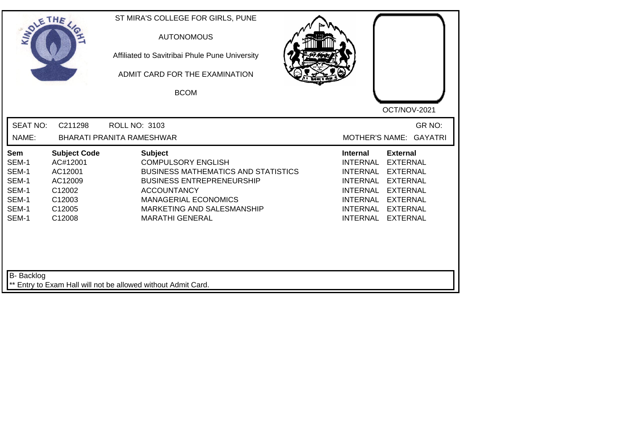| <b>SEAT NO:</b><br>GR NO:<br>C211298<br><b>ROLL NO: 3103</b><br>NAME:<br><b>BHARATI PRANITA RAMESHWAR</b><br>MOTHER'S NAME: GAYATRI<br><b>Subject</b><br><b>Subject Code</b><br><b>Internal</b><br><b>External</b><br>Sem<br>AC#12001<br><b>COMPULSORY ENGLISH</b><br><b>INTERNAL</b><br><b>EXTERNAL</b><br>SEM-1<br>SEM-1<br>AC12001<br><b>BUSINESS MATHEMATICS AND STATISTICS</b><br><b>INTERNAL</b><br><b>EXTERNAL</b><br>SEM-1<br>AC12009<br><b>BUSINESS ENTREPRENEURSHIP</b><br><b>INTERNAL</b><br><b>EXTERNAL</b><br>SEM-1<br>C12002<br><b>ACCOUNTANCY</b><br><b>INTERNAL</b><br><b>EXTERNAL</b><br>SEM-1<br>C12003<br><b>MANAGERIAL ECONOMICS</b><br>INTERNAL<br><b>EXTERNAL</b><br>SEM-1<br>C12005<br>MARKETING AND SALESMANSHIP<br><b>INTERNAL</b><br><b>EXTERNAL</b><br>SEM-1<br><b>INTERNAL</b><br>C12008<br><b>MARATHI GENERAL</b><br><b>EXTERNAL</b> | SOLETHE . | ST MIRA'S COLLEGE FOR GIRLS, PUNE<br><b>AUTONOMOUS</b><br>Affiliated to Savitribai Phule Pune University<br>ADMIT CARD FOR THE EXAMINATION<br><b>BCOM</b> | OCT/NOV-2021 |
|-------------------------------------------------------------------------------------------------------------------------------------------------------------------------------------------------------------------------------------------------------------------------------------------------------------------------------------------------------------------------------------------------------------------------------------------------------------------------------------------------------------------------------------------------------------------------------------------------------------------------------------------------------------------------------------------------------------------------------------------------------------------------------------------------------------------------------------------------------------------|-----------|-----------------------------------------------------------------------------------------------------------------------------------------------------------|--------------|
|                                                                                                                                                                                                                                                                                                                                                                                                                                                                                                                                                                                                                                                                                                                                                                                                                                                                   |           |                                                                                                                                                           |              |
|                                                                                                                                                                                                                                                                                                                                                                                                                                                                                                                                                                                                                                                                                                                                                                                                                                                                   |           |                                                                                                                                                           |              |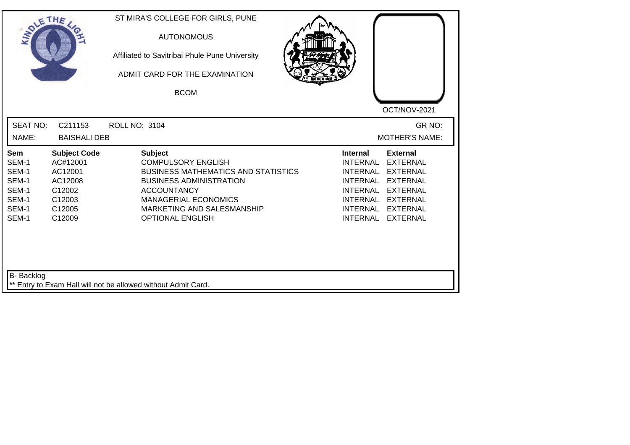| SOLETHE                                                            |                                                                                                           | ST MIRA'S COLLEGE FOR GIRLS, PUNE<br><b>AUTONOMOUS</b><br>Affiliated to Savitribai Phule Pune University<br>ADMIT CARD FOR THE EXAMINATION<br><b>BCOM</b>                                                                                 |                                                                                                                                               | OCT/NOV-2021                                                                                                                                         |
|--------------------------------------------------------------------|-----------------------------------------------------------------------------------------------------------|-------------------------------------------------------------------------------------------------------------------------------------------------------------------------------------------------------------------------------------------|-----------------------------------------------------------------------------------------------------------------------------------------------|------------------------------------------------------------------------------------------------------------------------------------------------------|
| <b>SEAT NO:</b><br>NAME:                                           | C211153<br><b>BAISHALI DEB</b>                                                                            | <b>ROLL NO: 3104</b>                                                                                                                                                                                                                      |                                                                                                                                               | GR NO:<br><b>MOTHER'S NAME:</b>                                                                                                                      |
| Sem<br>SEM-1<br>SEM-1<br>SEM-1<br>SEM-1<br>SEM-1<br>SEM-1<br>SEM-1 | <b>Subject Code</b><br>AC#12001<br>AC12001<br>AC12008<br>C12002<br>C12003<br>C <sub>12005</sub><br>C12009 | <b>Subject</b><br><b>COMPULSORY ENGLISH</b><br><b>BUSINESS MATHEMATICS AND STATISTICS</b><br><b>BUSINESS ADMINISTRATION</b><br><b>ACCOUNTANCY</b><br><b>MANAGERIAL ECONOMICS</b><br>MARKETING AND SALESMANSHIP<br><b>OPTIONAL ENGLISH</b> | <b>Internal</b><br><b>INTERNAL</b><br><b>INTERNAL</b><br><b>INTERNAL</b><br><b>INTERNAL</b><br>INTERNAL<br><b>INTERNAL</b><br><b>INTERNAL</b> | <b>External</b><br><b>EXTERNAL</b><br><b>EXTERNAL</b><br><b>EXTERNAL</b><br><b>EXTERNAL</b><br><b>EXTERNAL</b><br><b>EXTERNAL</b><br><b>EXTERNAL</b> |
| B- Backlog                                                         |                                                                                                           | ** Entry to Exam Hall will not be allowed without Admit Card.                                                                                                                                                                             |                                                                                                                                               |                                                                                                                                                      |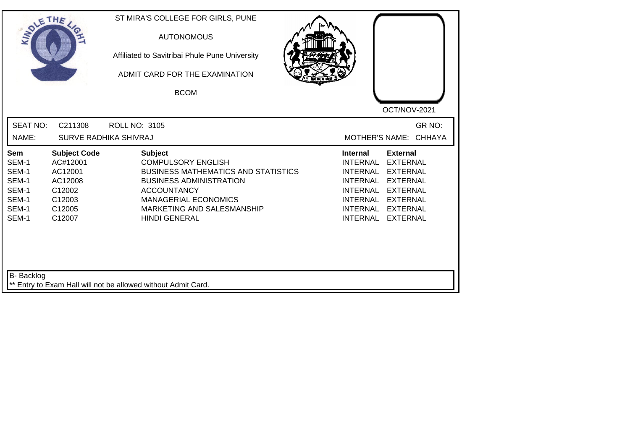|                                                                                                                                                                     | ADMIT CARD FOR THE EXAMINATION<br><b>BCOM</b>                                                                                                                                                                                          | OCT/NOV-2021                                                                                                                                                                                                                                                                                          |
|---------------------------------------------------------------------------------------------------------------------------------------------------------------------|----------------------------------------------------------------------------------------------------------------------------------------------------------------------------------------------------------------------------------------|-------------------------------------------------------------------------------------------------------------------------------------------------------------------------------------------------------------------------------------------------------------------------------------------------------|
| <b>SEAT NO:</b><br>C211308<br>NAME:                                                                                                                                 | <b>ROLL NO: 3105</b><br><b>SURVE RADHIKA SHIVRAJ</b>                                                                                                                                                                                   | GR NO:<br>MOTHER'S NAME: CHHAYA                                                                                                                                                                                                                                                                       |
| <b>Subject Code</b><br>Sem<br>AC#12001<br>SEM-1<br>SEM-1<br>AC12001<br>SEM-1<br>AC12008<br>SEM-1<br>C12002<br>SEM-1<br>C12003<br>SEM-1<br>C12005<br>SEM-1<br>C12007 | <b>Subject</b><br><b>COMPULSORY ENGLISH</b><br><b>BUSINESS MATHEMATICS AND STATISTICS</b><br><b>BUSINESS ADMINISTRATION</b><br><b>ACCOUNTANCY</b><br><b>MANAGERIAL ECONOMICS</b><br>MARKETING AND SALESMANSHIP<br><b>HINDI GENERAL</b> | <b>Internal</b><br><b>External</b><br><b>INTERNAL</b><br><b>EXTERNAL</b><br><b>INTERNAL</b><br><b>EXTERNAL</b><br><b>INTERNAL</b><br><b>EXTERNAL</b><br><b>INTERNAL</b><br><b>EXTERNAL</b><br>INTERNAL<br><b>EXTERNAL</b><br><b>INTERNAL</b><br><b>EXTERNAL</b><br><b>INTERNAL</b><br><b>EXTERNAL</b> |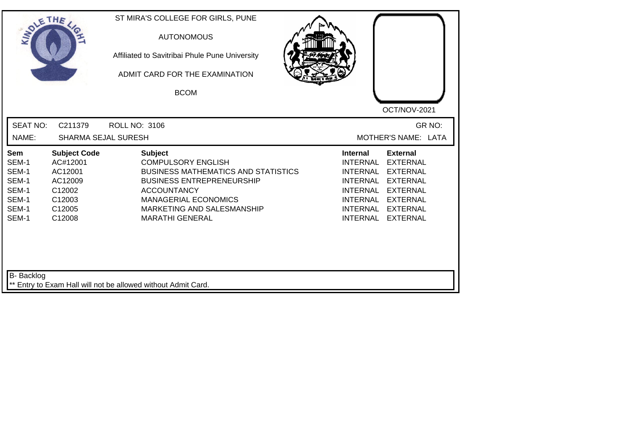| <b>SOLETHE</b>                                                     |                                                                                               | ST MIRA'S COLLEGE FOR GIRLS, PUNE<br><b>AUTONOMOUS</b><br>Affiliated to Savitribai Phule Pune University<br>ADMIT CARD FOR THE EXAMINATION<br><b>BCOM</b>                                                                                  |                                                                                                                     | OCT/NOV-2021                                                                                                                                    |
|--------------------------------------------------------------------|-----------------------------------------------------------------------------------------------|--------------------------------------------------------------------------------------------------------------------------------------------------------------------------------------------------------------------------------------------|---------------------------------------------------------------------------------------------------------------------|-------------------------------------------------------------------------------------------------------------------------------------------------|
| <b>SEAT NO:</b><br>NAME:                                           | C211379<br><b>SHARMA SEJAL SURESH</b>                                                         | <b>ROLL NO: 3106</b>                                                                                                                                                                                                                       |                                                                                                                     | GR NO:<br>MOTHER'S NAME: LATA                                                                                                                   |
| Sem<br>SEM-1<br>SEM-1<br>SEM-1<br>SEM-1<br>SEM-1<br>SEM-1<br>SEM-1 | <b>Subject Code</b><br>AC#12001<br>AC12001<br>AC12009<br>C12002<br>C12003<br>C12005<br>C12008 | <b>Subject</b><br><b>COMPULSORY ENGLISH</b><br><b>BUSINESS MATHEMATICS AND STATISTICS</b><br><b>BUSINESS ENTREPRENEURSHIP</b><br><b>ACCOUNTANCY</b><br><b>MANAGERIAL ECONOMICS</b><br>MARKETING AND SALESMANSHIP<br><b>MARATHI GENERAL</b> | <b>Internal</b><br><b>INTERNAL</b><br><b>INTERNAL</b><br><b>INTERNAL</b><br>INTERNAL<br>INTERNAL<br><b>INTERNAL</b> | <b>External</b><br><b>EXTERNAL</b><br><b>EXTERNAL</b><br>INTERNAL EXTERNAL<br>EXTERNAL<br><b>EXTERNAL</b><br><b>EXTERNAL</b><br><b>EXTERNAL</b> |
| B- Backlog                                                         |                                                                                               | Entry to Exam Hall will not be allowed without Admit Card.                                                                                                                                                                                 |                                                                                                                     |                                                                                                                                                 |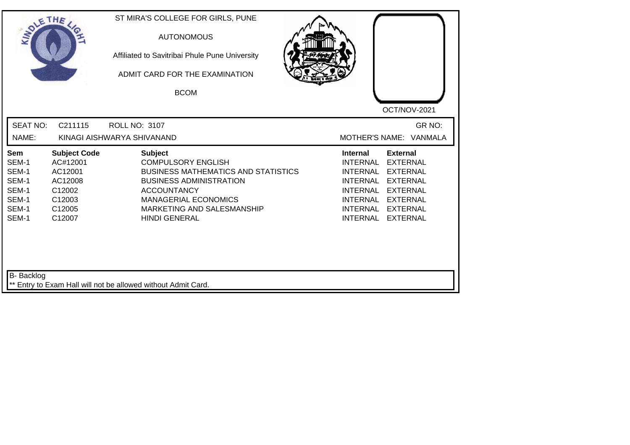| SOLETHE .                                                          |                                                                                               | ST MIRA'S COLLEGE FOR GIRLS, PUNE<br><b>AUTONOMOUS</b><br>Affiliated to Savitribai Phule Pune University<br>ADMIT CARD FOR THE EXAMINATION<br><b>BCOM</b>                                                                              |                                                                                                                                                                                                                                                                                                       |
|--------------------------------------------------------------------|-----------------------------------------------------------------------------------------------|----------------------------------------------------------------------------------------------------------------------------------------------------------------------------------------------------------------------------------------|-------------------------------------------------------------------------------------------------------------------------------------------------------------------------------------------------------------------------------------------------------------------------------------------------------|
| <b>SEAT NO:</b><br>NAME:                                           | C211115                                                                                       | <b>ROLL NO: 3107</b><br>KINAGI AISHWARYA SHIVANAND                                                                                                                                                                                     | OCT/NOV-2021<br>GR NO:<br>MOTHER'S NAME: VANMALA                                                                                                                                                                                                                                                      |
| Sem<br>SEM-1<br>SEM-1<br>SEM-1<br>SEM-1<br>SEM-1<br>SEM-1<br>SEM-1 | <b>Subject Code</b><br>AC#12001<br>AC12001<br>AC12008<br>C12002<br>C12003<br>C12005<br>C12007 | <b>Subject</b><br><b>COMPULSORY ENGLISH</b><br><b>BUSINESS MATHEMATICS AND STATISTICS</b><br><b>BUSINESS ADMINISTRATION</b><br><b>ACCOUNTANCY</b><br><b>MANAGERIAL ECONOMICS</b><br>MARKETING AND SALESMANSHIP<br><b>HINDI GENERAL</b> | <b>External</b><br><b>Internal</b><br><b>EXTERNAL</b><br>INTERNAL<br><b>INTERNAL</b><br><b>EXTERNAL</b><br><b>INTERNAL</b><br><b>EXTERNAL</b><br><b>INTERNAL</b><br><b>EXTERNAL</b><br><b>INTERNAL</b><br><b>EXTERNAL</b><br><b>INTERNAL</b><br><b>EXTERNAL</b><br><b>INTERNAL</b><br><b>EXTERNAL</b> |
| B- Backlog                                                         |                                                                                               | ** Entry to Exam Hall will not be allowed without Admit Card.                                                                                                                                                                          |                                                                                                                                                                                                                                                                                                       |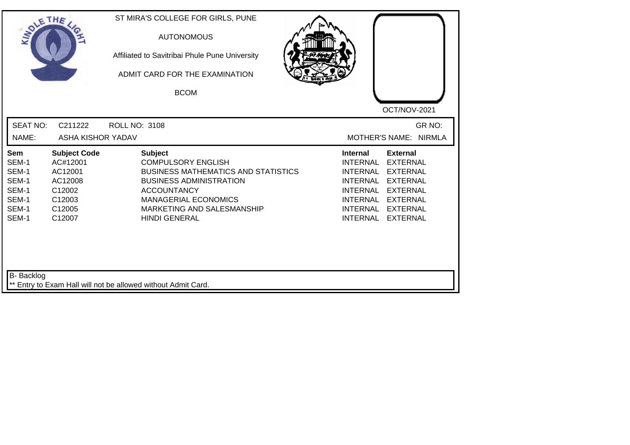| SOLETHE ,                                                          |                                                                                               | ST MIRA'S COLLEGE FOR GIRLS, PUNE<br><b>AUTONOMOUS</b><br>Affiliated to Savitribai Phule Pune University<br>ADMIT CARD FOR THE EXAMINATION<br><b>BCOM</b>                                                                              |                                                                                                                                                        | OCT/NOV-2021                                                                                                                      |
|--------------------------------------------------------------------|-----------------------------------------------------------------------------------------------|----------------------------------------------------------------------------------------------------------------------------------------------------------------------------------------------------------------------------------------|--------------------------------------------------------------------------------------------------------------------------------------------------------|-----------------------------------------------------------------------------------------------------------------------------------|
| <b>SEAT NO:</b><br>NAME:                                           | C211222<br>ASHA KISHOR YADAV                                                                  | <b>ROLL NO: 3108</b>                                                                                                                                                                                                                   | <b>MOTHER'S NAME:</b>                                                                                                                                  | GR NO:<br><b>NIRMLA</b>                                                                                                           |
| Sem<br>SEM-1<br>SEM-1<br>SEM-1<br>SEM-1<br>SEM-1<br>SEM-1<br>SEM-1 | <b>Subject Code</b><br>AC#12001<br>AC12001<br>AC12008<br>C12002<br>C12003<br>C12005<br>C12007 | <b>Subject</b><br><b>COMPULSORY ENGLISH</b><br><b>BUSINESS MATHEMATICS AND STATISTICS</b><br><b>BUSINESS ADMINISTRATION</b><br><b>ACCOUNTANCY</b><br><b>MANAGERIAL ECONOMICS</b><br>MARKETING AND SALESMANSHIP<br><b>HINDI GENERAL</b> | <b>Internal</b><br><b>INTERNAL</b><br><b>INTERNAL</b><br><b>INTERNAL</b><br><b>INTERNAL</b><br>INTERNAL EXTERNAL<br><b>INTERNAL</b><br><b>INTERNAL</b> | <b>External</b><br><b>EXTERNAL</b><br><b>EXTERNAL</b><br><b>EXTERNAL</b><br><b>EXTERNAL</b><br><b>EXTERNAL</b><br><b>EXTERNAL</b> |
| <b>B-</b> Backlog                                                  |                                                                                               | ** Entry to Exam Hall will not be allowed without Admit Card.                                                                                                                                                                          |                                                                                                                                                        |                                                                                                                                   |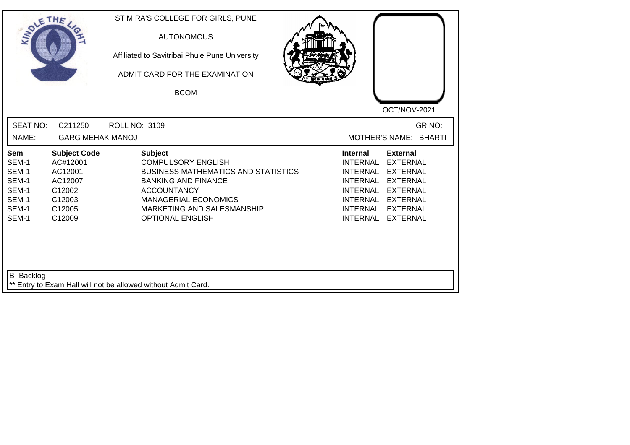| SOLETHE.                                                           |                                                                                               | ST MIRA'S COLLEGE FOR GIRLS, PUNE<br><b>AUTONOMOUS</b><br>Affiliated to Savitribai Phule Pune University<br>ADMIT CARD FOR THE EXAMINATION<br><b>BCOM</b>                                                                             |                                                                                                                                                      | OCT/NOV-2021                                                                                                                                         |
|--------------------------------------------------------------------|-----------------------------------------------------------------------------------------------|---------------------------------------------------------------------------------------------------------------------------------------------------------------------------------------------------------------------------------------|------------------------------------------------------------------------------------------------------------------------------------------------------|------------------------------------------------------------------------------------------------------------------------------------------------------|
| <b>SEAT NO:</b><br>NAME:                                           | C211250<br><b>GARG MEHAK MANOJ</b>                                                            | <b>ROLL NO: 3109</b>                                                                                                                                                                                                                  |                                                                                                                                                      | GR NO:<br><b>MOTHER'S NAME:</b><br><b>BHARTI</b>                                                                                                     |
| Sem<br>SEM-1<br>SEM-1<br>SEM-1<br>SEM-1<br>SEM-1<br>SEM-1<br>SEM-1 | <b>Subject Code</b><br>AC#12001<br>AC12001<br>AC12007<br>C12002<br>C12003<br>C12005<br>C12009 | <b>Subject</b><br><b>COMPULSORY ENGLISH</b><br><b>BUSINESS MATHEMATICS AND STATISTICS</b><br><b>BANKING AND FINANCE</b><br><b>ACCOUNTANCY</b><br><b>MANAGERIAL ECONOMICS</b><br>MARKETING AND SALESMANSHIP<br><b>OPTIONAL ENGLISH</b> | <b>Internal</b><br><b>INTERNAL</b><br><b>INTERNAL</b><br><b>INTERNAL</b><br><b>INTERNAL</b><br><b>INTERNAL</b><br><b>INTERNAL</b><br><b>INTERNAL</b> | <b>External</b><br><b>EXTERNAL</b><br><b>EXTERNAL</b><br><b>EXTERNAL</b><br><b>EXTERNAL</b><br><b>EXTERNAL</b><br><b>EXTERNAL</b><br><b>EXTERNAL</b> |
| <b>B-</b> Backlog                                                  |                                                                                               | ** Entry to Exam Hall will not be allowed without Admit Card.                                                                                                                                                                         |                                                                                                                                                      |                                                                                                                                                      |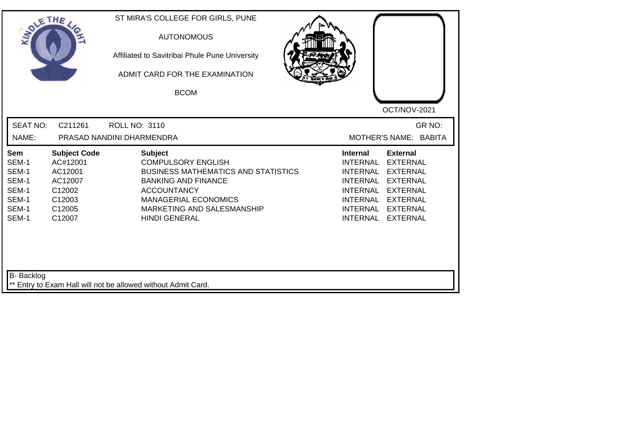| SOLETHE,                                                           |                                                                                               | ST MIRA'S COLLEGE FOR GIRLS, PUNE<br><b>AUTONOMOUS</b><br>Affiliated to Savitribai Phule Pune University<br>ADMIT CARD FOR THE EXAMINATION<br><b>BCOM</b>                                                                          | OCT/NOV-2021                                                                                                                                                                                                                                                                                |
|--------------------------------------------------------------------|-----------------------------------------------------------------------------------------------|------------------------------------------------------------------------------------------------------------------------------------------------------------------------------------------------------------------------------------|---------------------------------------------------------------------------------------------------------------------------------------------------------------------------------------------------------------------------------------------------------------------------------------------|
| <b>SEAT NO:</b>                                                    | C211261                                                                                       | <b>ROLL NO: 3110</b>                                                                                                                                                                                                               | GR NO:                                                                                                                                                                                                                                                                                      |
| NAME:                                                              |                                                                                               | PRASAD NANDINI DHARMENDRA                                                                                                                                                                                                          | MOTHER'S NAME: BABITA                                                                                                                                                                                                                                                                       |
| Sem<br>SEM-1<br>SEM-1<br>SEM-1<br>SEM-1<br>SEM-1<br>SEM-1<br>SEM-1 | <b>Subject Code</b><br>AC#12001<br>AC12001<br>AC12007<br>C12002<br>C12003<br>C12005<br>C12007 | <b>Subject</b><br><b>COMPULSORY ENGLISH</b><br><b>BUSINESS MATHEMATICS AND STATISTICS</b><br><b>BANKING AND FINANCE</b><br><b>ACCOUNTANCY</b><br><b>MANAGERIAL ECONOMICS</b><br>MARKETING AND SALESMANSHIP<br><b>HINDI GENERAL</b> | <b>External</b><br><b>Internal</b><br><b>INTERNAL</b><br><b>EXTERNAL</b><br><b>EXTERNAL</b><br><b>INTERNAL</b><br><b>EXTERNAL</b><br><b>INTERNAL</b><br><b>EXTERNAL</b><br><b>INTERNAL</b><br>INTERNAL EXTERNAL<br><b>INTERNAL</b><br><b>EXTERNAL</b><br><b>INTERNAL</b><br><b>EXTERNAL</b> |
| <b>B-</b> Backlog                                                  |                                                                                               | Entry to Exam Hall will not be allowed without Admit Card.                                                                                                                                                                         |                                                                                                                                                                                                                                                                                             |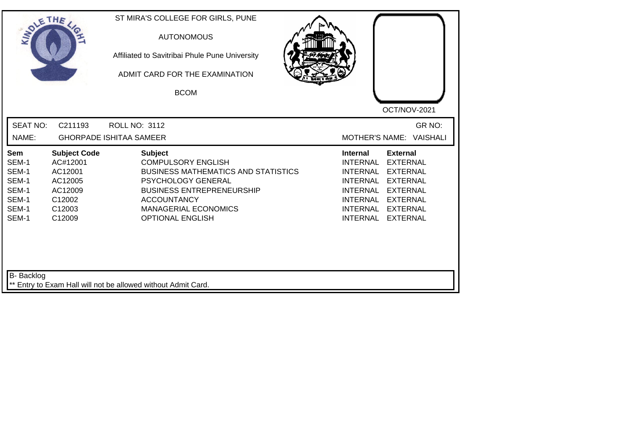| <b>SOLETHE</b>                                                     |                                                                                                | ST MIRA'S COLLEGE FOR GIRLS, PUNE<br><b>AUTONOMOUS</b><br>Affiliated to Savitribai Phule Pune University<br>ADMIT CARD FOR THE EXAMINATION<br><b>BCOM</b>                                                                                  | OCT/NOV-2021                                                                                                                                                                                                                                                                                   |
|--------------------------------------------------------------------|------------------------------------------------------------------------------------------------|--------------------------------------------------------------------------------------------------------------------------------------------------------------------------------------------------------------------------------------------|------------------------------------------------------------------------------------------------------------------------------------------------------------------------------------------------------------------------------------------------------------------------------------------------|
| <b>SEAT NO:</b>                                                    | C211193                                                                                        | <b>ROLL NO: 3112</b>                                                                                                                                                                                                                       | GR NO:                                                                                                                                                                                                                                                                                         |
| NAME:                                                              |                                                                                                | <b>GHORPADE ISHITAA SAMEER</b>                                                                                                                                                                                                             | <b>VAISHALI</b><br>MOTHER'S NAME:                                                                                                                                                                                                                                                              |
| Sem<br>SEM-1<br>SEM-1<br>SEM-1<br>SEM-1<br>SEM-1<br>SEM-1<br>SEM-1 | <b>Subject Code</b><br>AC#12001<br>AC12001<br>AC12005<br>AC12009<br>C12002<br>C12003<br>C12009 | <b>Subject</b><br><b>COMPULSORY ENGLISH</b><br><b>BUSINESS MATHEMATICS AND STATISTICS</b><br><b>PSYCHOLOGY GENERAL</b><br><b>BUSINESS ENTREPRENEURSHIP</b><br><b>ACCOUNTANCY</b><br><b>MANAGERIAL ECONOMICS</b><br><b>OPTIONAL ENGLISH</b> | <b>External</b><br><b>Internal</b><br><b>INTERNAL</b><br><b>EXTERNAL</b><br><b>INTERNAL</b><br><b>EXTERNAL</b><br><b>EXTERNAL</b><br>INTERNAL<br><b>INTERNAL</b><br><b>EXTERNAL</b><br>INTERNAL<br><b>EXTERNAL</b><br><b>INTERNAL</b><br><b>EXTERNAL</b><br><b>INTERNAL</b><br><b>EXTERNAL</b> |
| <b>B-</b> Backlog                                                  |                                                                                                | ** Entry to Exam Hall will not be allowed without Admit Card.                                                                                                                                                                              |                                                                                                                                                                                                                                                                                                |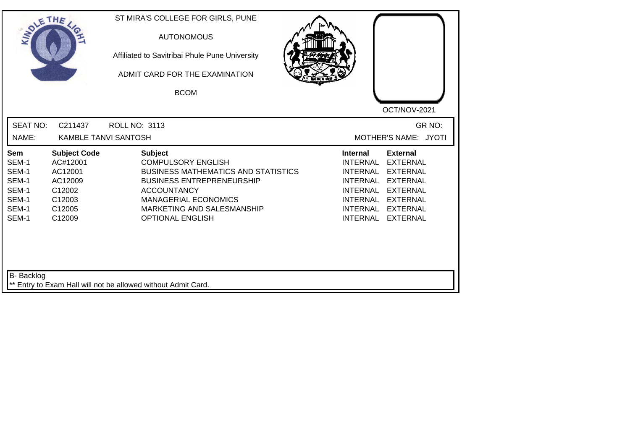| SOLE THE                                                                  |                                                                                               | ST MIRA'S COLLEGE FOR GIRLS, PUNE<br><b>AUTONOMOUS</b><br>Affiliated to Savitribai Phule Pune University<br>ADMIT CARD FOR THE EXAMINATION<br><b>BCOM</b>                                                                                   | OCT/NOV-2021                                                                                                                                                                                                                                                                                                 |
|---------------------------------------------------------------------------|-----------------------------------------------------------------------------------------------|---------------------------------------------------------------------------------------------------------------------------------------------------------------------------------------------------------------------------------------------|--------------------------------------------------------------------------------------------------------------------------------------------------------------------------------------------------------------------------------------------------------------------------------------------------------------|
| <b>SEAT NO:</b><br>NAME:                                                  | C211437<br><b>KAMBLE TANVI SANTOSH</b>                                                        | <b>ROLL NO: 3113</b>                                                                                                                                                                                                                        | GR NO:<br>MOTHER'S NAME: JYOTI                                                                                                                                                                                                                                                                               |
| <b>Sem</b><br>SEM-1<br>SEM-1<br>SEM-1<br>SEM-1<br>SEM-1<br>SEM-1<br>SEM-1 | <b>Subject Code</b><br>AC#12001<br>AC12001<br>AC12009<br>C12002<br>C12003<br>C12005<br>C12009 | <b>Subject</b><br><b>COMPULSORY ENGLISH</b><br><b>BUSINESS MATHEMATICS AND STATISTICS</b><br><b>BUSINESS ENTREPRENEURSHIP</b><br><b>ACCOUNTANCY</b><br><b>MANAGERIAL ECONOMICS</b><br>MARKETING AND SALESMANSHIP<br><b>OPTIONAL ENGLISH</b> | <b>Internal</b><br><b>External</b><br><b>INTERNAL</b><br><b>EXTERNAL</b><br><b>INTERNAL</b><br><b>EXTERNAL</b><br><b>INTERNAL</b><br><b>EXTERNAL</b><br><b>INTERNAL</b><br><b>EXTERNAL</b><br><b>INTERNAL</b><br><b>EXTERNAL</b><br><b>INTERNAL</b><br><b>EXTERNAL</b><br><b>INTERNAL</b><br><b>EXTERNAL</b> |
| <b>B-</b> Backlog                                                         |                                                                                               | ** Entry to Exam Hall will not be allowed without Admit Card.                                                                                                                                                                               |                                                                                                                                                                                                                                                                                                              |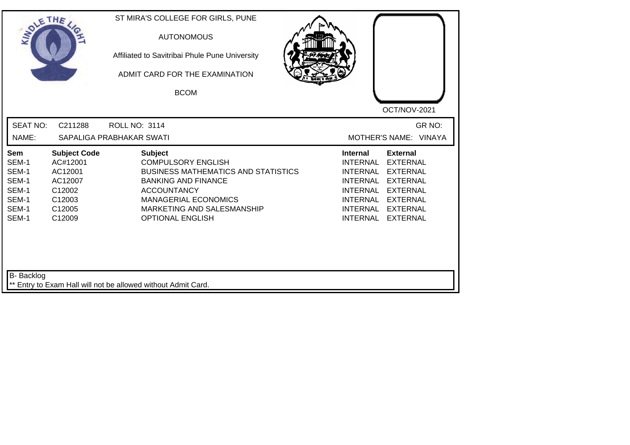| SOLETHE ,                                                          |                                                                                               | ST MIRA'S COLLEGE FOR GIRLS, PUNE<br><b>AUTONOMOUS</b><br>Affiliated to Savitribai Phule Pune University<br>ADMIT CARD FOR THE EXAMINATION<br><b>BCOM</b>                                                                             | OCT/NOV-2021                                                                                                                                                                                                                                                                                                 |
|--------------------------------------------------------------------|-----------------------------------------------------------------------------------------------|---------------------------------------------------------------------------------------------------------------------------------------------------------------------------------------------------------------------------------------|--------------------------------------------------------------------------------------------------------------------------------------------------------------------------------------------------------------------------------------------------------------------------------------------------------------|
| <b>SEAT NO:</b><br>NAME:                                           | C211288                                                                                       | <b>ROLL NO: 3114</b><br>SAPALIGA PRABHAKAR SWATI                                                                                                                                                                                      | GR NO:<br>MOTHER'S NAME: VINAYA                                                                                                                                                                                                                                                                              |
| Sem<br>SEM-1<br>SEM-1<br>SEM-1<br>SEM-1<br>SEM-1<br>SEM-1<br>SEM-1 | <b>Subject Code</b><br>AC#12001<br>AC12001<br>AC12007<br>C12002<br>C12003<br>C12005<br>C12009 | <b>Subject</b><br><b>COMPULSORY ENGLISH</b><br><b>BUSINESS MATHEMATICS AND STATISTICS</b><br><b>BANKING AND FINANCE</b><br><b>ACCOUNTANCY</b><br><b>MANAGERIAL ECONOMICS</b><br>MARKETING AND SALESMANSHIP<br><b>OPTIONAL ENGLISH</b> | <b>Internal</b><br><b>External</b><br><b>INTERNAL</b><br><b>EXTERNAL</b><br><b>INTERNAL</b><br><b>EXTERNAL</b><br><b>INTERNAL</b><br><b>EXTERNAL</b><br><b>INTERNAL</b><br><b>EXTERNAL</b><br><b>INTERNAL</b><br><b>EXTERNAL</b><br><b>INTERNAL</b><br><b>EXTERNAL</b><br><b>INTERNAL</b><br><b>EXTERNAL</b> |
| B- Backlog                                                         |                                                                                               | ** Entry to Exam Hall will not be allowed without Admit Card.                                                                                                                                                                         |                                                                                                                                                                                                                                                                                                              |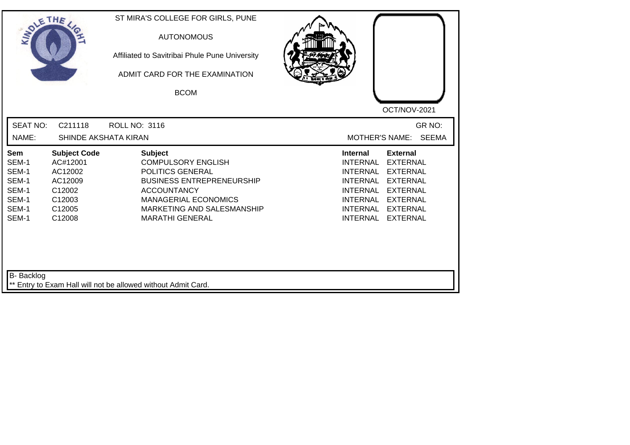| SOLETHE .                                                          |                                                                                               | ST MIRA'S COLLEGE FOR GIRLS, PUNE<br><b>AUTONOMOUS</b><br>Affiliated to Savitribai Phule Pune University<br>ADMIT CARD FOR THE EXAMINATION<br><b>BCOM</b>                                                        |                                                                                                                                                                                                                                                                                      |
|--------------------------------------------------------------------|-----------------------------------------------------------------------------------------------|------------------------------------------------------------------------------------------------------------------------------------------------------------------------------------------------------------------|--------------------------------------------------------------------------------------------------------------------------------------------------------------------------------------------------------------------------------------------------------------------------------------|
| <b>SEAT NO:</b><br>NAME:                                           | C211118<br>SHINDE AKSHATA KIRAN                                                               | <b>ROLL NO: 3116</b>                                                                                                                                                                                             | OCT/NOV-2021<br>GR NO:<br><b>SEEMA</b><br><b>MOTHER'S NAME:</b>                                                                                                                                                                                                                      |
| Sem<br>SEM-1<br>SEM-1<br>SEM-1<br>SEM-1<br>SEM-1<br>SEM-1<br>SEM-1 | <b>Subject Code</b><br>AC#12001<br>AC12002<br>AC12009<br>C12002<br>C12003<br>C12005<br>C12008 | <b>Subject</b><br><b>COMPULSORY ENGLISH</b><br>POLITICS GENERAL<br><b>BUSINESS ENTREPRENEURSHIP</b><br><b>ACCOUNTANCY</b><br><b>MANAGERIAL ECONOMICS</b><br>MARKETING AND SALESMANSHIP<br><b>MARATHI GENERAL</b> | <b>External</b><br><b>Internal</b><br><b>INTERNAL</b><br><b>EXTERNAL</b><br><b>INTERNAL</b><br><b>EXTERNAL</b><br><b>EXTERNAL</b><br>INTERNAL<br><b>INTERNAL</b><br><b>EXTERNAL</b><br>INTERNAL EXTERNAL<br><b>INTERNAL</b><br><b>EXTERNAL</b><br><b>INTERNAL</b><br><b>EXTERNAL</b> |
| <b>B-</b> Backlog                                                  |                                                                                               | ** Entry to Exam Hall will not be allowed without Admit Card.                                                                                                                                                    |                                                                                                                                                                                                                                                                                      |

┛╵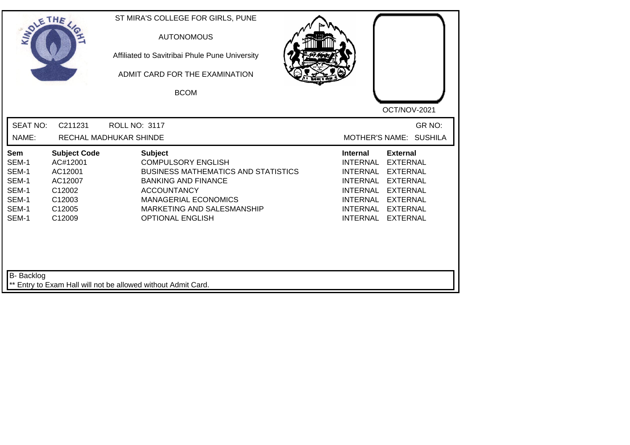| SOLETHE .                                                          |                                                                                               | ST MIRA'S COLLEGE FOR GIRLS, PUNE<br><b>AUTONOMOUS</b><br>Affiliated to Savitribai Phule Pune University<br>ADMIT CARD FOR THE EXAMINATION<br><b>BCOM</b>                                                                             | OCT/NOV-2021                                                                                                                                                                                                                                                                                          |
|--------------------------------------------------------------------|-----------------------------------------------------------------------------------------------|---------------------------------------------------------------------------------------------------------------------------------------------------------------------------------------------------------------------------------------|-------------------------------------------------------------------------------------------------------------------------------------------------------------------------------------------------------------------------------------------------------------------------------------------------------|
| <b>SEAT NO:</b><br>NAME:                                           | C211231                                                                                       | <b>ROLL NO: 3117</b><br>RECHAL MADHUKAR SHINDE                                                                                                                                                                                        | GR NO:<br>MOTHER'S NAME: SUSHILA                                                                                                                                                                                                                                                                      |
| Sem<br>SEM-1<br>SEM-1<br>SEM-1<br>SEM-1<br>SEM-1<br>SEM-1<br>SEM-1 | <b>Subject Code</b><br>AC#12001<br>AC12001<br>AC12007<br>C12002<br>C12003<br>C12005<br>C12009 | <b>Subject</b><br><b>COMPULSORY ENGLISH</b><br><b>BUSINESS MATHEMATICS AND STATISTICS</b><br><b>BANKING AND FINANCE</b><br><b>ACCOUNTANCY</b><br><b>MANAGERIAL ECONOMICS</b><br>MARKETING AND SALESMANSHIP<br><b>OPTIONAL ENGLISH</b> | <b>Internal</b><br><b>External</b><br><b>INTERNAL</b><br><b>EXTERNAL</b><br><b>INTERNAL</b><br><b>EXTERNAL</b><br><b>INTERNAL</b><br><b>EXTERNAL</b><br><b>INTERNAL</b><br><b>EXTERNAL</b><br>INTERNAL<br><b>EXTERNAL</b><br><b>INTERNAL</b><br><b>EXTERNAL</b><br><b>INTERNAL</b><br><b>EXTERNAL</b> |
| <b>B-</b> Backlog                                                  |                                                                                               | ** Entry to Exam Hall will not be allowed without Admit Card.                                                                                                                                                                         |                                                                                                                                                                                                                                                                                                       |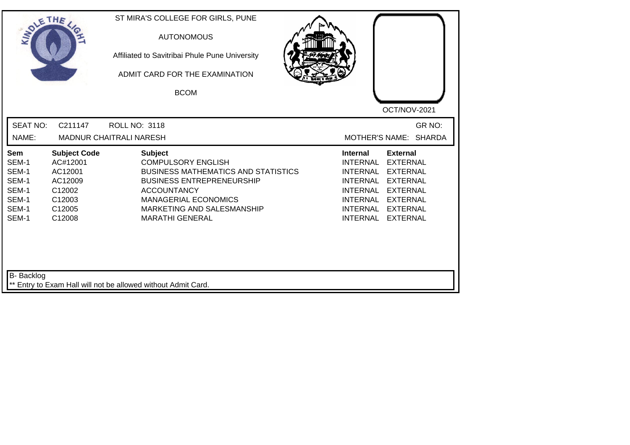| SOLETHE .                                                          |                                                                                               | ST MIRA'S COLLEGE FOR GIRLS, PUNE<br><b>AUTONOMOUS</b><br>Affiliated to Savitribai Phule Pune University<br>ADMIT CARD FOR THE EXAMINATION<br><b>BCOM</b>                                                                                  | OCT/NOV-2021                                                                                                                                                                                                                                                                                          |
|--------------------------------------------------------------------|-----------------------------------------------------------------------------------------------|--------------------------------------------------------------------------------------------------------------------------------------------------------------------------------------------------------------------------------------------|-------------------------------------------------------------------------------------------------------------------------------------------------------------------------------------------------------------------------------------------------------------------------------------------------------|
| <b>SEAT NO:</b><br>NAME:                                           | C211147                                                                                       | <b>ROLL NO: 3118</b><br><b>MADNUR CHAITRALI NARESH</b>                                                                                                                                                                                     | GR NO:<br>MOTHER'S NAME: SHARDA                                                                                                                                                                                                                                                                       |
| Sem<br>SEM-1<br>SEM-1<br>SEM-1<br>SEM-1<br>SEM-1<br>SEM-1<br>SEM-1 | <b>Subject Code</b><br>AC#12001<br>AC12001<br>AC12009<br>C12002<br>C12003<br>C12005<br>C12008 | <b>Subject</b><br><b>COMPULSORY ENGLISH</b><br><b>BUSINESS MATHEMATICS AND STATISTICS</b><br><b>BUSINESS ENTREPRENEURSHIP</b><br><b>ACCOUNTANCY</b><br><b>MANAGERIAL ECONOMICS</b><br>MARKETING AND SALESMANSHIP<br><b>MARATHI GENERAL</b> | <b>Internal</b><br><b>External</b><br><b>INTERNAL</b><br><b>EXTERNAL</b><br><b>INTERNAL</b><br><b>EXTERNAL</b><br><b>INTERNAL</b><br><b>EXTERNAL</b><br><b>INTERNAL</b><br><b>EXTERNAL</b><br>INTERNAL<br><b>EXTERNAL</b><br><b>INTERNAL</b><br><b>EXTERNAL</b><br><b>INTERNAL</b><br><b>EXTERNAL</b> |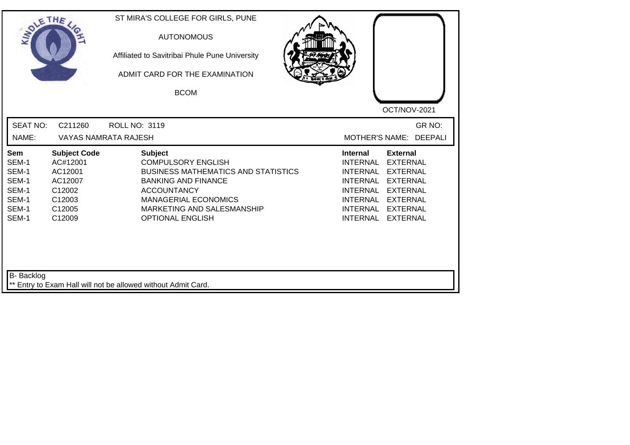| SOLE THE                                                           |                                                                                               | ST MIRA'S COLLEGE FOR GIRLS, PUNE<br><b>AUTONOMOUS</b><br>Affiliated to Savitribai Phule Pune University<br>ADMIT CARD FOR THE EXAMINATION<br><b>BCOM</b>                                                                             | OCT/NOV-2021                                                                                                                                                                                                                                                                                          |
|--------------------------------------------------------------------|-----------------------------------------------------------------------------------------------|---------------------------------------------------------------------------------------------------------------------------------------------------------------------------------------------------------------------------------------|-------------------------------------------------------------------------------------------------------------------------------------------------------------------------------------------------------------------------------------------------------------------------------------------------------|
| <b>SEAT NO:</b><br>NAME:                                           | C211260                                                                                       | <b>ROLL NO: 3119</b><br><b>VAYAS NAMRATA RAJESH</b>                                                                                                                                                                                   | GR NO:<br>MOTHER'S NAME: DEEPALI                                                                                                                                                                                                                                                                      |
| Sem<br>SEM-1<br>SEM-1<br>SEM-1<br>SEM-1<br>SEM-1<br>SEM-1<br>SEM-1 | <b>Subject Code</b><br>AC#12001<br>AC12001<br>AC12007<br>C12002<br>C12003<br>C12005<br>C12009 | <b>Subject</b><br><b>COMPULSORY ENGLISH</b><br><b>BUSINESS MATHEMATICS AND STATISTICS</b><br><b>BANKING AND FINANCE</b><br><b>ACCOUNTANCY</b><br><b>MANAGERIAL ECONOMICS</b><br>MARKETING AND SALESMANSHIP<br><b>OPTIONAL ENGLISH</b> | <b>Internal</b><br><b>External</b><br><b>INTERNAL</b><br><b>EXTERNAL</b><br><b>INTERNAL</b><br><b>EXTERNAL</b><br><b>INTERNAL</b><br><b>EXTERNAL</b><br><b>INTERNAL</b><br><b>EXTERNAL</b><br>INTERNAL<br><b>EXTERNAL</b><br><b>INTERNAL</b><br><b>EXTERNAL</b><br><b>INTERNAL</b><br><b>EXTERNAL</b> |
| <b>B-</b> Backlog                                                  |                                                                                               | ** Entry to Exam Hall will not be allowed without Admit Card.                                                                                                                                                                         |                                                                                                                                                                                                                                                                                                       |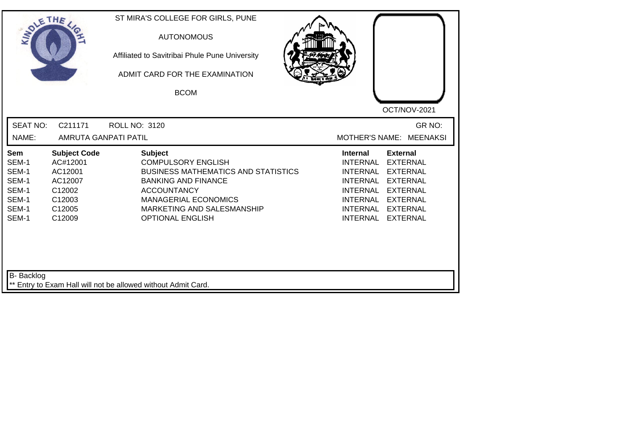| <b>SOLETHE</b>                                                     |                                                                                                           | ST MIRA'S COLLEGE FOR GIRLS, PUNE<br><b>AUTONOMOUS</b><br>Affiliated to Savitribai Phule Pune University<br>ADMIT CARD FOR THE EXAMINATION<br><b>BCOM</b>                                                                             | OCT/NOV-2021                                                                                                                                                                                                                                                                                                 |
|--------------------------------------------------------------------|-----------------------------------------------------------------------------------------------------------|---------------------------------------------------------------------------------------------------------------------------------------------------------------------------------------------------------------------------------------|--------------------------------------------------------------------------------------------------------------------------------------------------------------------------------------------------------------------------------------------------------------------------------------------------------------|
| <b>SEAT NO:</b><br>NAME:                                           | C211171<br>AMRUTA GANPATI PATIL                                                                           | <b>ROLL NO: 3120</b>                                                                                                                                                                                                                  | GR NO:<br>MOTHER'S NAME: MEENAKSI                                                                                                                                                                                                                                                                            |
|                                                                    |                                                                                                           |                                                                                                                                                                                                                                       |                                                                                                                                                                                                                                                                                                              |
| Sem<br>SEM-1<br>SEM-1<br>SEM-1<br>SEM-1<br>SEM-1<br>SEM-1<br>SEM-1 | <b>Subject Code</b><br>AC#12001<br>AC12001<br>AC12007<br>C12002<br>C12003<br>C <sub>12005</sub><br>C12009 | <b>Subject</b><br><b>COMPULSORY ENGLISH</b><br><b>BUSINESS MATHEMATICS AND STATISTICS</b><br><b>BANKING AND FINANCE</b><br><b>ACCOUNTANCY</b><br><b>MANAGERIAL ECONOMICS</b><br>MARKETING AND SALESMANSHIP<br><b>OPTIONAL ENGLISH</b> | <b>External</b><br><b>Internal</b><br><b>INTERNAL</b><br><b>EXTERNAL</b><br><b>INTERNAL</b><br><b>EXTERNAL</b><br><b>INTERNAL</b><br><b>EXTERNAL</b><br><b>INTERNAL</b><br><b>EXTERNAL</b><br><b>INTERNAL</b><br><b>EXTERNAL</b><br><b>INTERNAL</b><br><b>EXTERNAL</b><br><b>INTERNAL</b><br><b>EXTERNAL</b> |
| <b>B-</b> Backlog                                                  |                                                                                                           | ** Entry to Exam Hall will not be allowed without Admit Card.                                                                                                                                                                         |                                                                                                                                                                                                                                                                                                              |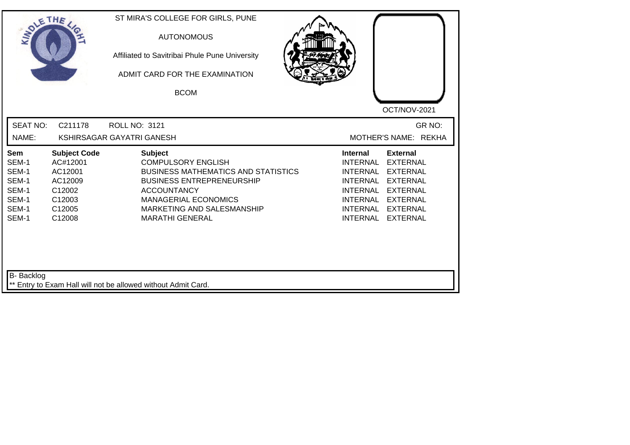| SOLETHE .                                                                 |                                                                                               | ST MIRA'S COLLEGE FOR GIRLS, PUNE<br><b>AUTONOMOUS</b><br>Affiliated to Savitribai Phule Pune University<br>ADMIT CARD FOR THE EXAMINATION<br><b>BCOM</b>                                                                                  | OCT/NOV-2021                                                                                                                                                                                                                                                                                                 |
|---------------------------------------------------------------------------|-----------------------------------------------------------------------------------------------|--------------------------------------------------------------------------------------------------------------------------------------------------------------------------------------------------------------------------------------------|--------------------------------------------------------------------------------------------------------------------------------------------------------------------------------------------------------------------------------------------------------------------------------------------------------------|
| <b>SEAT NO:</b><br>NAME:                                                  | C211178                                                                                       | <b>ROLL NO: 3121</b><br>KSHIRSAGAR GAYATRI GANESH                                                                                                                                                                                          | GR NO:<br>MOTHER'S NAME: REKHA                                                                                                                                                                                                                                                                               |
| <b>Sem</b><br>SEM-1<br>SEM-1<br>SEM-1<br>SEM-1<br>SEM-1<br>SEM-1<br>SEM-1 | <b>Subject Code</b><br>AC#12001<br>AC12001<br>AC12009<br>C12002<br>C12003<br>C12005<br>C12008 | <b>Subject</b><br><b>COMPULSORY ENGLISH</b><br><b>BUSINESS MATHEMATICS AND STATISTICS</b><br><b>BUSINESS ENTREPRENEURSHIP</b><br><b>ACCOUNTANCY</b><br><b>MANAGERIAL ECONOMICS</b><br>MARKETING AND SALESMANSHIP<br><b>MARATHI GENERAL</b> | <b>External</b><br><b>Internal</b><br><b>INTERNAL</b><br><b>EXTERNAL</b><br><b>INTERNAL</b><br><b>EXTERNAL</b><br><b>INTERNAL</b><br><b>EXTERNAL</b><br><b>INTERNAL</b><br><b>EXTERNAL</b><br><b>INTERNAL</b><br><b>EXTERNAL</b><br><b>INTERNAL</b><br><b>EXTERNAL</b><br><b>INTERNAL</b><br><b>EXTERNAL</b> |
| B- Backlog                                                                |                                                                                               | ** Entry to Exam Hall will not be allowed without Admit Card.                                                                                                                                                                              |                                                                                                                                                                                                                                                                                                              |